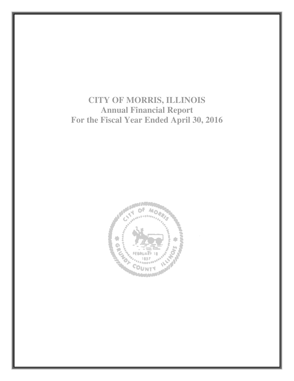**CITY OF MORRIS, ILLINOIS Annual Financial Report For the Fiscal Year Ended April 30, 2016** 

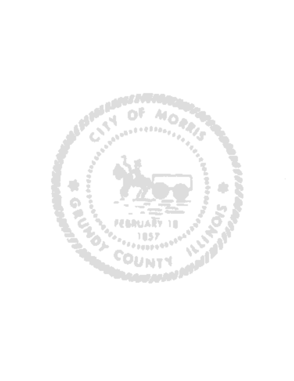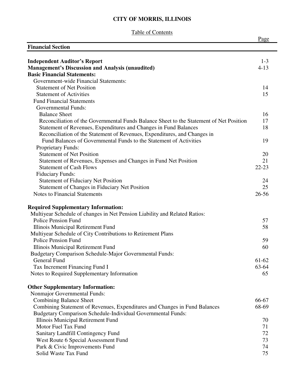# Table of Contents

|                                                                                         | Page      |
|-----------------------------------------------------------------------------------------|-----------|
| <b>Financial Section</b>                                                                |           |
| <b>Independent Auditor's Report</b>                                                     | $1-3$     |
| <b>Management's Discussion and Analysis (unaudited)</b>                                 | $4 - 13$  |
| <b>Basic Financial Statements:</b>                                                      |           |
| Government-wide Financial Statements:                                                   |           |
| <b>Statement of Net Position</b>                                                        | 14        |
| <b>Statement of Activities</b>                                                          | 15        |
| <b>Fund Financial Statements</b>                                                        |           |
| <b>Governmental Funds:</b>                                                              |           |
| <b>Balance Sheet</b>                                                                    | 16        |
| Reconciliation of the Governmental Funds Balance Sheet to the Statement of Net Position | 17        |
| Statement of Revenues, Expenditures and Changes in Fund Balances                        | 18        |
| Reconciliation of the Statement of Revenues, Expenditures, and Changes in               |           |
| Fund Balances of Governmental Funds to the Statement of Activities                      | 19        |
| Proprietary Funds:                                                                      |           |
| <b>Statement of Net Position</b>                                                        | 20        |
| Statement of Revenues, Expenses and Changes in Fund Net Position                        | 21        |
| <b>Statement of Cash Flows</b>                                                          | $22 - 23$ |
| <b>Fiduciary Funds:</b>                                                                 |           |
| <b>Statement of Fiduciary Net Position</b>                                              | 24        |
| Statement of Changes in Fiduciary Net Position                                          | 25        |
| <b>Notes to Financial Statements</b>                                                    | $26 - 56$ |
| <b>Required Supplementary Information:</b>                                              |           |
| Multiyear Schedule of changes in Net Pension Liability and Related Ratios:              |           |
| <b>Police Pension Fund</b>                                                              | 57        |
| Illinois Municipal Retirement Fund                                                      | 58        |
| Multiyear Schedule of City Contributions to Retirement Plans                            |           |
| <b>Police Pension Fund</b>                                                              | 59        |
| Illinois Municipal Retirement Fund                                                      | 60        |
| <b>Budgetary Comparison Schedule-Major Governmental Funds:</b>                          |           |
| General Fund                                                                            | 61-62     |
| Tax Increment Financing Fund I                                                          | 63-64     |
| Notes to Required Supplementary Information                                             | 65        |
| <b>Other Supplementary Information:</b>                                                 |           |
| Nonmajor Governmental Funds:                                                            |           |
| <b>Combining Balance Sheet</b>                                                          | 66-67     |
| Combining Statement of Revenues, Expenditures and Changes in Fund Balances              | 68-69     |
| <b>Budgetary Comparison Schedule-Individual Governmental Funds:</b>                     |           |
| Illinois Municipal Retirement Fund                                                      | 70        |
| Motor Fuel Tax Fund                                                                     | 71        |
| Sanitary Landfill Contingency Fund                                                      | 72        |
| West Route 6 Special Assessment Fund                                                    | 73        |
| Park & Civic Improvements Fund                                                          | 74        |
| Solid Waste Tax Fund                                                                    | 75        |
|                                                                                         |           |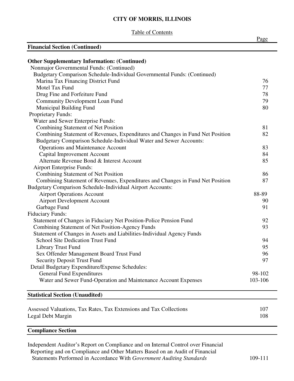Table of Contents

|                                                                                | Page    |
|--------------------------------------------------------------------------------|---------|
| <b>Financial Section (Continued)</b>                                           |         |
|                                                                                |         |
| <b>Other Supplementary Information: (Continued)</b>                            |         |
| Nonmajor Governmental Funds: (Continued)                                       |         |
| Budgetary Comparison Schedule-Individual Governmental Funds: (Continued)       |         |
| Marina Tax Financing District Fund                                             | 76      |
| Motel Tax Fund                                                                 | 77      |
| Drug Fine and Forfeiture Fund                                                  | 78      |
| <b>Community Development Loan Fund</b>                                         | 79      |
| Municipal Building Fund                                                        | 80      |
| Proprietary Funds:                                                             |         |
| Water and Sewer Enterprise Funds:                                              |         |
| <b>Combining Statement of Net Position</b>                                     | 81      |
| Combining Statement of Revenues, Expenditures and Changes in Fund Net Position | 82      |
| Budgetary Comparison Schedule-Individual Water and Sewer Accounts:             |         |
| <b>Operations and Maintenance Account</b>                                      | 83      |
| <b>Capital Improvement Account</b>                                             | 84      |
| Alternate Revenue Bond & Interest Account                                      | 85      |
| <b>Airport Enterprise Funds:</b>                                               |         |
| <b>Combining Statement of Net Position</b>                                     | 86      |
| Combining Statement of Revenues, Expenditures and Changes in Fund Net Position | 87      |
| Budgetary Comparison Schedule-Individual Airport Accounts:                     |         |
| <b>Airport Operations Account</b>                                              | 88-89   |
| <b>Airport Development Account</b>                                             | 90      |
| Garbage Fund                                                                   | 91      |
| <b>Fiduciary Funds:</b>                                                        |         |
| Statement of Changes in Fiduciary Net Position-Police Pension Fund             | 92      |
| Combining Statement of Net Position-Agency Funds                               | 93      |
| Statement of Changes in Assets and Liabilities-Individual Agency Funds         |         |
| <b>School Site Dedication Trust Fund</b>                                       | 94      |
| Library Trust Fund                                                             | 95      |
| Sex Offender Management Board Trust Fund                                       | 96      |
| <b>Security Deposit Trust Fund</b>                                             | 97      |
| Detail Budgetary Expenditure/Expense Schedules:                                |         |
| <b>General Fund Expenditures</b>                                               | 98-102  |
| Water and Sewer Fund-Operation and Maintenance Account Expenses                | 103-106 |
|                                                                                |         |
| <b>Statistical Section (Unaudited)</b>                                         |         |
| Assessed Valuations, Tax Rates, Tax Extensions and Tax Collections             | 107     |
| Legal Debt Margin                                                              | 108     |
|                                                                                |         |

## **Compliance Section**

Independent Auditor's Report on Compliance and on Internal Control over Financial Reporting and on Compliance and Other Matters Based on an Audit of Financial Statements Performed in Accordance With *Government Auditing Standards* 109-111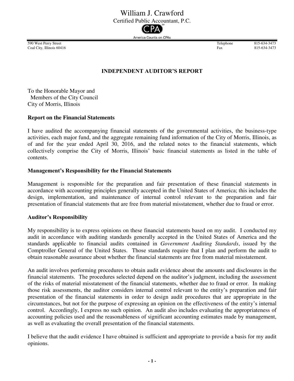# William J. Crawford

Certified Public Accountant, P.C.

America Counts on CPAs

590 West Perry Street and Subset Perry Street and Subset Perry Street and Subset Perry Street and Subset Perry Street and Subset Perry Street and Subset Perry Street and Subset Perry Street and Subset Perry Street and Subs Coal City, Illinois 60416 Fax

# **INDEPENDENT AUDITOR'S REPORT**

To the Honorable Mayor and Members of the City Council City of Morris, Illinois

### **Report on the Financial Statements**

I have audited the accompanying financial statements of the governmental activities, the business-type activities, each major fund, and the aggregate remaining fund information of the City of Morris, Illinois, as of and for the year ended April 30, 2016, and the related notes to the financial statements, which collectively comprise the City of Morris, Illinois' basic financial statements as listed in the table of contents.

### **Management's Responsibility for the Financial Statements**

Management is responsible for the preparation and fair presentation of these financial statements in accordance with accounting principles generally accepted in the United States of America; this includes the design, implementation, and maintenance of internal control relevant to the preparation and fair presentation of financial statements that are free from material misstatement, whether due to fraud or error.

### **Auditor's Responsibility**

My responsibility is to express opinions on these financial statements based on my audit. I conducted my audit in accordance with auditing standards generally accepted in the United States of America and the standards applicable to financial audits contained in *Government Auditing Standards*, issued by the Comptroller General of the United States. Those standards require that I plan and perform the audit to obtain reasonable assurance about whether the financial statements are free from material misstatement.

An audit involves performing procedures to obtain audit evidence about the amounts and disclosures in the financial statements. The procedures selected depend on the auditor's judgment, including the assessment of the risks of material misstatement of the financial statements, whether due to fraud or error. In making those risk assessments, the auditor considers internal control relevant to the entity's preparation and fair presentation of the financial statements in order to design audit procedures that are appropriate in the circumstances, but not for the purpose of expressing an opinion on the effectiveness of the entity's internal control. Accordingly, I express no such opinion. An audit also includes evaluating the appropriateness of accounting policies used and the reasonableness of significant accounting estimates made by management, as well as evaluating the overall presentation of the financial statements.

I believe that the audit evidence I have obtained is sufficient and appropriate to provide a basis for my audit opinions.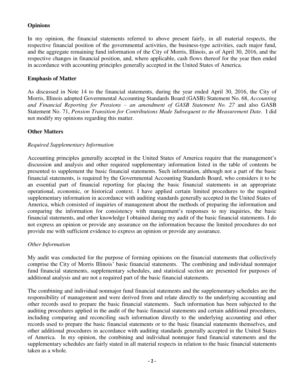## **Opinions**

In my opinion, the financial statements referred to above present fairly, in all material respects, the respective financial position of the governmental activities, the business-type activities, each major fund, and the aggregate remaining fund information of the City of Morris, Illinois, as of April 30, 2016, and the respective changes in financial position, and, where applicable, cash flows thereof for the year then ended in accordance with accounting principles generally accepted in the United States of America.

### **Emphasis of Matter**

As discussed in Note 14 to the financial statements, during the year ended April 30, 2016, the City of Morris, Illinois adopted Governmental Accounting Standards Board (GASB) Statement No. 68, *Accounting and Financial Reporting for Pensions – an amendment of GASB Statement No. 27* and also GASB Statement No. 71, *Pension Transition for Contributions Made Subsequent to the Measurement Date*. I did not modify my opinions regarding this matter.

### **Other Matters**

### *Required Supplementary Information*

Accounting principles generally accepted in the United States of America require that the management's discussion and analysis and other required supplementary information listed in the table of contents be presented to supplement the basic financial statements. Such information, although not a part of the basic financial statements, is required by the Governmental Accounting Standards Board, who considers it to be an essential part of financial reporting for placing the basic financial statements in an appropriate operational, economic, or historical context. I have applied certain limited procedures to the required supplementary information in accordance with auditing standards generally accepted in the United States of America, which consisted of inquiries of management about the methods of preparing the information and comparing the information for consistency with management's responses to my inquiries, the basic financial statements, and other knowledge I obtained during my audit of the basic financial statements. I do not express an opinion or provide any assurance on the information because the limited procedures do not provide me with sufficient evidence to express an opinion or provide any assurance.

### *Other Information*

My audit was conducted for the purpose of forming opinions on the financial statements that collectively comprise the City of Morris Illinois' basic financial statements. The combining and individual nonmajor fund financial statements, supplementary schedules, and statistical section are presented for purposes of additional analysis and are not a required part of the basic financial statements.

The combining and individual nonmajor fund financial statements and the supplementary schedules are the responsibility of management and were derived from and relate directly to the underlying accounting and other records used to prepare the basic financial statements. Such information has been subjected to the auditing procedures applied in the audit of the basic financial statements and certain additional procedures, including comparing and reconciling such information directly to the underlying accounting and other records used to prepare the basic financial statements or to the basic financial statements themselves, and other additional procedures in accordance with auditing standards generally accepted in the United States of America. In my opinion, the combining and individual nonmajor fund financial statements and the supplementary schedules are fairly stated in all material respects in relation to the basic financial statements taken as a whole.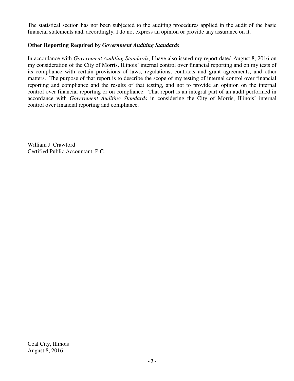The statistical section has not been subjected to the auditing procedures applied in the audit of the basic financial statements and, accordingly, I do not express an opinion or provide any assurance on it.

## **Other Reporting Required by** *Government Auditing Standards*

In accordance with *Government Auditing Standards*, I have also issued my report dated August 8, 2016 on my consideration of the City of Morris, Illinois' internal control over financial reporting and on my tests of its compliance with certain provisions of laws, regulations, contracts and grant agreements, and other matters. The purpose of that report is to describe the scope of my testing of internal control over financial reporting and compliance and the results of that testing, and not to provide an opinion on the internal control over financial reporting or on compliance. That report is an integral part of an audit performed in accordance with *Government Auditing Standards* in considering the City of Morris, Illinois' internal control over financial reporting and compliance.

William J. Crawford Certified Public Accountant, P.C.

Coal City, Illinois August 8, 2016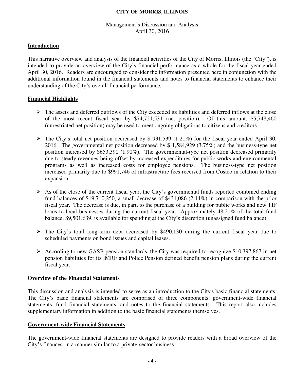### Management's Discussion and Analysis April 30, 2016

### **Introduction**

This narrative overview and analysis of the financial activities of the City of Morris, Illinois (the "City"), is intended to provide an overview of the City's financial performance as a whole for the fiscal year ended April 30, 2016. Readers are encouraged to consider the information presented here in conjunction with the additional information found in the financial statements and notes to financial statements to enhance their understanding of the City's overall financial performance.

### **Financial Highlights**

- $\triangleright$  The assets and deferred outflows of the City exceeded its liabilities and deferred inflows at the close of the most recent fiscal year by \$74,721,531 (net position). Of this amount, \$5,748,460 (unrestricted net position) may be used to meet ongoing obligations to citizens and creditors.
- $\triangleright$  The City's total net position decreased by \$ 931,539 (1.21%) for the fiscal year ended April 30, 2016. The governmental net position decreased by \$ 1,584,929 (3.75%) and the business-type net position increased by \$653,390 (1.90%). The governmental-type net position decreased primarily due to steady revenues being offset by increased expenditures for public works and environmental programs as well as increased costs for employee pensions. The business-type net position increased primarily due to \$991,746 of infrastructure fees received from Costco in relation to their expansion.
- $\triangleright$  As of the close of the current fiscal year, the City's governmental funds reported combined ending fund balances of \$19,710,250, a small decrease of \$431,086 (2.14%) in comparison with the prior fiscal year. The decrease is due, in part, to the purchase of a building for public works and new TIF loans to local businesses during the current fiscal year. Approximately 48.21% of the total fund balance, \$9,501,639, is available for spending at the City's discretion (unassigned fund balance).
- $\triangleright$  The City's total long-term debt decreased by \$490,130 during the current fiscal year due to scheduled payments on bond issues and capital leases.
- $\triangleright$  According to new GASB pension standards, the City was required to recognize \$10,397,867 in net pension liabilities for its IMRF and Police Pension defined benefit pension plans during the current fiscal year.

### **Overview of the Financial Statements**

This discussion and analysis is intended to serve as an introduction to the City's basic financial statements. The City's basic financial statements are comprised of three components: government-wide financial statements, fund financial statements, and notes to the financial statements. This report also includes supplementary information in addition to the basic financial statements themselves.

### **Government-wide Financial Statements**

The government-wide financial statements are designed to provide readers with a broad overview of the City's finances, in a manner similar to a private-sector business.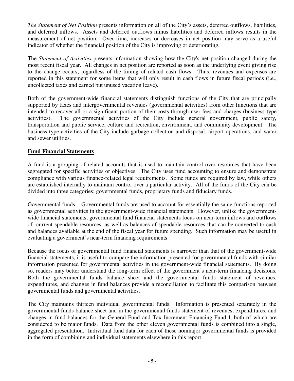*The Statement of Net Position* presents information on all of the City's assets, deferred outflows, liabilities, and deferred inflows. Assets and deferred outflows minus liabilities and deferred inflows results in the measurement of net position. Over time, increases or decreases in net position may serve as a useful indicator of whether the financial position of the City is improving or deteriorating.

The *Statement of Activities* presents information showing how the City's net position changed during the most recent fiscal year. All changes in net position are reported as soon as the underlying event giving rise to the change occurs, regardless of the timing of related cash flows. Thus, revenues and expenses are reported in this statement for some items that will only result in cash flows in future fiscal periods (i.e., uncollected taxes and earned but unused vacation leave).

Both of the government-wide financial statements distinguish functions of the City that are principally supported by taxes and intergovernmental revenues (governmental activities) from other functions that are intended to recover all or a significant portion of their costs through user fees and charges (business-type activities). The governmental activities of the City include general government, public safety, transportation and public service, culture and recreation, environment, and community development. The business-type activities of the City include garbage collection and disposal, airport operations, and water and sewer utilities.

## **Fund Financial Statements**

A fund is a grouping of related accounts that is used to maintain control over resources that have been segregated for specific activities or objectives. The City uses fund accounting to ensure and demonstrate compliance with various finance-related legal requirements. Some funds are required by law, while others are established internally to maintain control over a particular activity. All of the funds of the City can be divided into three categories: governmental funds, proprietary funds and fiduciary funds.

Governmental funds – Governmental funds are used to account for essentially the same functions reported as governmental activities in the government-wide financial statements. However, unlike the governmentwide financial statements, governmental fund financial statements focus on near-term inflows and outflows of current spendable resources, as well as balances of spendable resources that can be converted to cash and balances available at the end of the fiscal year for future spending. Such information may be useful in evaluating a government's near-term financing requirements.

Because the focus of governmental fund financial statements is narrower than that of the government-wide financial statements, it is useful to compare the information presented for governmental funds with similar information presented for governmental activities in the government-wide financial statements. By doing so, readers may better understand the long-term effect of the government's near-term financing decisions. Both the governmental funds balance sheet and the governmental funds statement of revenues, expenditures, and changes in fund balances provide a reconciliation to facilitate this comparison between governmental funds and governmental activities.

The City maintains thirteen individual governmental funds. Information is presented separately in the governmental funds balance sheet and in the governmental funds statement of revenues, expenditures, and changes in fund balances for the General Fund and Tax Increment Financing Fund I, both of which are considered to be major funds. Data from the other eleven governmental funds is combined into a single, aggregated presentation. Individual fund data for each of these nonmajor governmental funds is provided in the form of combining and individual statements elsewhere in this report.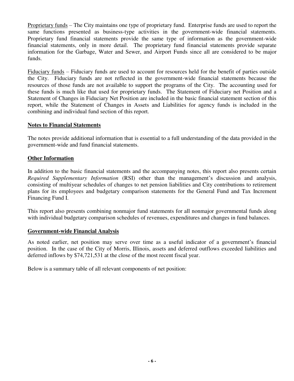Proprietary funds – The City maintains one type of proprietary fund. Enterprise funds are used to report the same functions presented as business-type activities in the government-wide financial statements. Proprietary fund financial statements provide the same type of information as the government-wide financial statements, only in more detail. The proprietary fund financial statements provide separate information for the Garbage, Water and Sewer, and Airport Funds since all are considered to be major funds.

Fiduciary funds – Fiduciary funds are used to account for resources held for the benefit of parties outside the City. Fiduciary funds are not reflected in the government-wide financial statements because the resources of those funds are not available to support the programs of the City. The accounting used for these funds is much like that used for proprietary funds. The Statement of Fiduciary net Position and a Statement of Changes in Fiduciary Net Position are included in the basic financial statement section of this report, while the Statement of Changes in Assets and Liabilities for agency funds is included in the combining and individual fund section of this report.

### **Notes to Financial Statements**

The notes provide additional information that is essential to a full understanding of the data provided in the government-wide and fund financial statements.

## **Other Information**

In addition to the basic financial statements and the accompanying notes, this report also presents certain *Required Supplementary Information* (RSI) other than the management's discussion and analysis, consisting of multiyear schedules of changes to net pension liabilities and City contributions to retirement plans for its employees and budgetary comparison statements for the General Fund and Tax Increment Financing Fund I.

This report also presents combining nonmajor fund statements for all nonmajor governmental funds along with individual budgetary comparison schedules of revenues, expenditures and changes in fund balances.

### **Government-wide Financial Analysis**

As noted earlier, net position may serve over time as a useful indicator of a government's financial position. In the case of the City of Morris, Illinois, assets and deferred outflows exceeded liabilities and deferred inflows by \$74,721,531 at the close of the most recent fiscal year.

Below is a summary table of all relevant components of net position: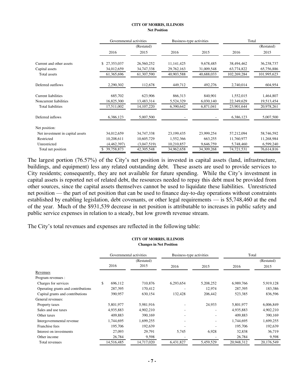#### **CITY OF MORRIS, ILLINOIS Net Position**

|                                  | Governmental activities |              | Business-type activities |            | Total       |             |  |
|----------------------------------|-------------------------|--------------|--------------------------|------------|-------------|-------------|--|
|                                  |                         | (Restated)   |                          |            |             | (Restated)  |  |
|                                  | 2016                    | 2015         | 2016                     | 2015       | 2016        | 2015        |  |
| Current and other assets         | 27,353,037<br>\$.       | 26,560,252   | 11, 141, 425             | 9,678,485  | 38,494,462  | 36,238,737  |  |
| Capital assets                   | 34,012,659              | 34,747,338   | 29,762,163               | 31,009,548 | 63,774,822  | 65,756,886  |  |
| Total assets                     | 61,365,696              | 61,307,590   | 40,903,588               | 40,688,033 | 102,269,284 | 101,995,623 |  |
| Deferred outflows                | 2,290,302               | 112,678      | 449,712                  | 492,276    | 2,740,014   | 604,954     |  |
| <b>Current liabilities</b>       | 685,702                 | 623,906      | 866,313                  | 840,901    | 1,552,015   | 1,464,807   |  |
| Noncurrent liabilities           | 16,825,300              | 13,483,314   | 5,524,329                | 6,030,140  | 22,349,629  | 19,513,454  |  |
| <b>Total liabilities</b>         | 17,511,002              | 14, 107, 220 | 6,390,642                | 6,871,041  | 23,901,644  | 20,978,261  |  |
| Deferred inflows                 | 6,386,123               | 5,007,500    |                          |            | 6,386,123   | 5,007,500   |  |
| Net position:                    |                         |              |                          |            |             |             |  |
| Net investment in capital assets | 34,012,659              | 34,747,338   | 23,199,435               | 23,999,254 | 57,212,094  | 58,746,592  |  |
| Restricted                       | 10,208,611              | 10,605,729   | 1,552,366                | 663,255    | 11,760,977  | 11,268,984  |  |
| Unrestricted                     | (4,462,397)             | (3,047,519)  | 10,210,857               | 9,646,759  | 5,748,460   | 6,599,240   |  |
| Total net position               | 39,758,873              | 42,305,548   | 34,962,658               | 34,309,268 | 74,721,531  | 76,614,816  |  |

The largest portion (76.57%) of the City's net position is invested in capital assets (land, infrastructure, buildings, and equipment) less any related outstanding debt. These assets are used to provide services to City residents; consequently, they are not available for future spending. While the City's investment in capital assets is reported net of related debt, the resources needed to repay this debt must be provided from other sources, since the capital assets themselves cannot be used to liquidate these liabilities. Unrestricted net position — the part of net position that can be used to finance day-to-day operations without constraints established by enabling legislation, debt covenants, or other legal requirements — is \$5,748,460 at the end of the year. Much of the \$931,539 decrease in net position is attributable to increases in public safety and public service expenses in relation to a steady, but low growth revenue stream.

The City's total revenues and expenses are reflected in the following table:

#### **CITY OF MORRIS, ILLINOIS Changes in Net Position**

|                                    | Governmental activities |            | Business-type activities |                          | Total      |            |  |
|------------------------------------|-------------------------|------------|--------------------------|--------------------------|------------|------------|--|
|                                    | (Restated)              |            |                          |                          |            | (Restated) |  |
|                                    | 2016                    | 2015       | 2016                     | 2015                     | 2016       | 2015       |  |
| Revenues                           |                         |            |                          |                          |            |            |  |
| Program revenues :                 |                         |            |                          |                          |            |            |  |
| Charges for services               | \$<br>696,112           | 710,876    | 6,293,654                | 5,208,252                | 6,989,766  | 5,919,128  |  |
| Operating grants and contributions | 287,395                 | 170,412    |                          | 12,974                   | 287,395    | 183,386    |  |
| Capital grants and contributions   | 390,957                 | 630.154    | 132,428                  | 206,442                  | 523,385    | 836,596    |  |
| General revenues:                  |                         |            |                          |                          |            |            |  |
| Property taxes                     | 5,801,977               | 5,981,916  |                          | 24,933                   | 5,801,977  | 6,006,849  |  |
| Sales and use taxes                | 4,935,883               | 4,902,210  |                          | $\overline{\phantom{a}}$ | 4,935,883  | 4,902,210  |  |
| Other taxes                        | 409.883                 | 390,169    |                          |                          | 409.883    | 390,169    |  |
| Intergovernmental revenue          | 1,744,695               | 1,699,255  |                          | $\overline{\phantom{a}}$ | 1,744,695  | 1,699,255  |  |
| Franchise fees                     | 195,706                 | 192,639    |                          |                          | 195,706    | 192,639    |  |
| Interest on investments            | 27,093                  | 29,791     | 5,745                    | 6,928                    | 32,838     | 36,719     |  |
| Other income                       | 26,784                  | 9,598      |                          |                          | 26,784     | 9,598      |  |
| Total revenues                     | 14,516,485              | 14,717,020 | 6,431,827                | 5,459,529                | 20,948,312 | 20,176,549 |  |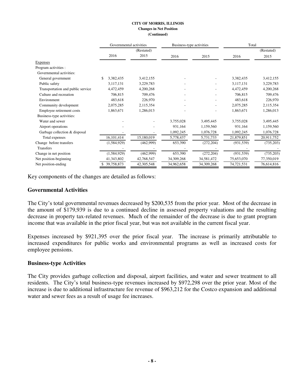#### **CITY OF MORRIS, ILLINOIS Changes in Net Position (Continued)**

|                                   | Governmental activities |            | Business-type activities |            | Total      |            |
|-----------------------------------|-------------------------|------------|--------------------------|------------|------------|------------|
|                                   |                         | (Restated) |                          |            |            | (Restated) |
|                                   | 2016                    | 2015       | 2016                     | 2015       | 2016       | 2015       |
| Expenses                          |                         |            |                          |            |            |            |
| Program activities :              |                         |            |                          |            |            |            |
| Governmental activities:          |                         |            |                          |            |            |            |
| General government                | 3,382,435<br>\$.        | 3,412,155  |                          |            | 3,382,435  | 3,412,155  |
| Public safety                     | 3,117,131               | 3,229,783  |                          |            | 3,117,131  | 3,229,783  |
| Transportation and public service | 4,472,459               | 4,200,268  |                          |            | 4,472,459  | 4,200,268  |
| Culture and recreation            | 706,815                 | 709,476    |                          |            | 706,815    | 709,476    |
| Environment                       | 483,618                 | 226,970    |                          |            | 483,618    | 226,970    |
| Community development             | 2,075,285               | 2,115,354  |                          | ٠          | 2,075,285  | 2,115,354  |
| Employee retirement costs         | 1,863,671               | 1,286,013  |                          |            | 1,863,671  | 1,286,013  |
| Business-type activities:         |                         |            |                          |            |            |            |
| Water and sewer                   |                         |            | 3,755,028                | 3,495,445  | 3,755,028  | 3,495,445  |
| Airport operations                |                         |            | 931,164                  | 1,159,560  | 931,164    | 1,159,560  |
| Garbage collection & disposal     |                         |            | 1,092,245                | 1,076,728  | 1,092,245  | 1,076,728  |
| Total expenses                    | 16,101,414              | 15,180,019 | 5,778,437                | 5,731,733  | 21,879,851 | 20,911,752 |
| Change before transfers           | (1,584,929)             | (462,999)  | 653,390                  | (272, 204) | (931, 539) | (735,203)  |
| <b>Transfers</b>                  |                         |            |                          |            |            |            |
| Change in net position            | (1,584,929)             | (462,999)  | 653,390                  | (272, 204) | (931, 539) | (735,203)  |
| Net position-beginning            | 41,343,802              | 42,768,547 | 34,309,268               | 34,581,472 | 75,653,070 | 77,350,019 |
| Net position-ending               | 39,758,873              | 42,305,548 | 34,962,658               | 34,309,268 | 74,721,531 | 76,614,816 |

Key components of the changes are detailed as follows:

### **Governmental Activities**

The City's total governmental revenues decreased by \$200,535 from the prior year. Most of the decrease in the amount of \$179,939 is due to a continued decline in assessed property valuations and the resulting decrease in property tax-related revenues. Much of the remainder of the decrease is due to grant program income that was available in the prior fiscal year, but was not available in the current fiscal year.

Expenses increased by \$921,395 over the prior fiscal year. The increase is primarily attributable to increased expenditures for public works and environmental programs as well as increased costs for employee pensions.

#### **Business-type Activities**

The City provides garbage collection and disposal, airport facilities, and water and sewer treatment to all residents. The City's total business-type revenues increased by \$972,298 over the prior year. Most of the increase is due to additional infrastructure fee revenue of \$963,212 for the Costco expansion and additional water and sewer fees as a result of usage fee increases.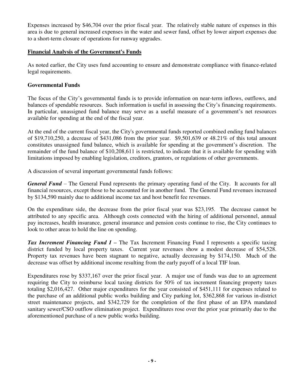Expenses increased by \$46,704 over the prior fiscal year. The relatively stable nature of expenses in this area is due to general increased expenses in the water and sewer fund, offset by lower airport expenses due to a short-term closure of operations for runway upgrades.

## **Financial Analysis of the Government's Funds**

As noted earlier, the City uses fund accounting to ensure and demonstrate compliance with finance-related legal requirements.

## **Governmental Funds**

The focus of the City's governmental funds is to provide information on near-term inflows, outflows, and balances of spendable resources. Such information is useful in assessing the City's financing requirements. In particular, unassigned fund balance may serve as a useful measure of a government's net resources available for spending at the end of the fiscal year.

At the end of the current fiscal year, the City's governmental funds reported combined ending fund balances of \$19,710,250, a decrease of \$431,086 from the prior year. \$9,501,639 or 48.21% of this total amount constitutes unassigned fund balance, which is available for spending at the government's discretion. The remainder of the fund balance of \$10,208,611 is restricted, to indicate that it is available for spending with limitations imposed by enabling legislation, creditors, grantors, or regulations of other governments.

A discussion of several important governmental funds follows:

*General Fund* – The General Fund represents the primary operating fund of the City. It accounts for all financial resources, except those to be accounted for in another fund. The General Fund revenues increased by \$134,590 mainly due to additional income tax and host benefit fee revenues.

On the expenditure side, the decrease from the prior fiscal year was \$23,195. The decrease cannot be attributed to any specific area. Although costs connected with the hiring of additional personnel, annual pay increases, health insurance, general insurance and pension costs continue to rise, the City continues to look to other areas to hold the line on spending.

*Tax Increment Financing Fund I –* The Tax Increment Financing Fund I represents a specific taxing district funded by local property taxes. Current year revenues show a modest decrease of \$54,528. Property tax revenues have been stagnant to negative, actually decreasing by \$174,150. Much of the decrease was offset by additional income resulting from the early payoff of a local TIF loan.

Expenditures rose by \$337,167 over the prior fiscal year. A major use of funds was due to an agreement requiring the City to reimburse local taxing districts for 50% of tax increment financing property taxes totaling \$2,016,427. Other major expenditures for the year consisted of \$451,111 for expenses related to the purchase of an additional public works building and City parking lot, \$362,868 for various in-district street maintenance projects, and \$342,729 for the completion of the first phase of an EPA mandated sanitary sewer/CSO outflow elimination project. Expenditures rose over the prior year primarily due to the aforementioned purchase of a new public works building.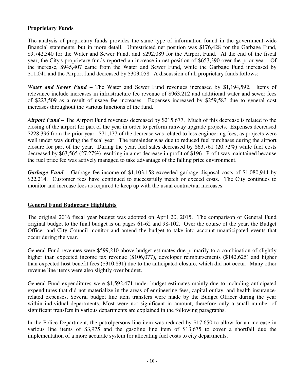## **Proprietary Funds**

The analysis of proprietary funds provides the same type of information found in the government-wide financial statements, but in more detail. Unrestricted net position was \$176,428 for the Garbage Fund, \$9,742,340 for the Water and Sewer Fund, and \$292,089 for the Airport Fund. At the end of the fiscal year, the City's proprietary funds reported an increase in net position of \$653,390 over the prior year. Of the increase, \$945,407 came from the Water and Sewer Fund, while the Garbage Fund increased by \$11,041 and the Airport fund decreased by \$303,058. A discussion of all proprietary funds follows:

*Water and Sewer Fund –* The Water and Sewer Fund revenues increased by \$1,194,592. Items of relevance include increases in infrastructure fee revenue of \$963,212 and additional water and sewer fees of \$223,509 as a result of usage fee increases. Expenses increased by \$259,583 due to general cost increases throughout the various functions of the fund.

*Airport Fund –* The Airport Fund revenues decreased by \$215,677. Much of this decrease is related to the closing of the airport for part of the year in order to perform runway upgrade projects. Expenses decreased \$228,396 from the prior year. \$71,177 of the decrease was related to less engineering fees, as projects were well under way during the fiscal year. The remainder was due to reduced fuel purchases during the airport closure for part of the year. During the year, fuel sales decreased by \$63,761 (20.72%) while fuel costs decreased by \$63,565 (27.27%) resulting in a net decrease in profit of \$196. Profit was maintained because the fuel price fee was actively managed to take advantage of the falling price environment.

*Garbage Fund* **–** Garbage fee income of \$1,103,158 exceeded garbage disposal costs of \$1,080,944 by \$22,214. Customer fees have continued to successfully match or exceed costs. The City continues to monitor and increase fees as required to keep up with the usual contractual increases.

## **General Fund Budgetary Highlights**

The original 2016 fiscal year budget was adopted on April 20, 2015. The comparison of General Fund original budget to the final budget is on pages 61-62 and 98-102. Over the course of the year, the Budget Officer and City Council monitor and amend the budget to take into account unanticipated events that occur during the year.

General Fund revenues were \$599,210 above budget estimates due primarily to a combination of slightly higher than expected income tax revenue (\$106,077), developer reimbursements (\$142,625) and higher than expected host benefit fees (\$310,831) due to the anticipated closure, which did not occur. Many other revenue line items were also slightly over budget.

General Fund expenditures were \$1,592,471 under budget estimates mainly due to including anticipated expenditures that did not materialize in the areas of engineering fees, capital outlay, and health insurancerelated expenses. Several budget line item transfers were made by the Budget Officer during the year within individual departments. Most were not significant in amount, therefore only a small number of significant transfers in various departments are explained in the following paragraphs.

In the Police Department, the patrolpersons line item was reduced by \$17,650 to allow for an increase in various line items of \$3,975 and the gasoline line item of \$13,675 to cover a shortfall due the implementation of a more accurate system for allocating fuel costs to city departments.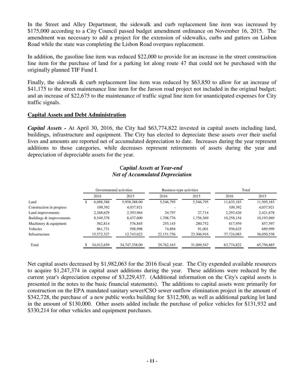In the Street and Alley Department, the sidewalk and curb replacement line item was increased by \$175,000 according to a City Council passed budget amendment ordinance on November 16, 2015. The amendment was necessary to add a project for the extension of sidewalks, curbs and gutters on Lisbon Road while the state was completing the Lisbon Road overpass replacement.

In addition, the gasoline line item was reduced \$22,000 to provide for an increase in the street construction line item for the purchase of land for a parking lot along route 47 that could not be purchased with the originally planned TIF Fund I.

Finally, the sidewalk & curb replacement line item was reduced by \$63,850 to allow for an increase of \$41,175 to the street maintenance line item for the Jarson road project not included in the original budget; and an increase of \$22,675 to the maintenance of traffic signal line item for unanticipated expenses for City traffic signals.

### **Capital Assets and Debt Administration**

*Capital Assets -* At April 30, 2016, the City had \$63,774,822 invested in capital assets including land, buildings, infrastructure and equipment. The City has elected to depreciate these assets over their useful lives and amounts are reported net of accumulated depreciation to date. Increases during the year represent additions to those categories, while decreases represent retirements of assets during the year and depreciation of depreciable assets for the year.

### C*apital Assets at Year-end Net of Accumulated Depreciation*

|                          | Governmental activities |            | Business-type activities |              | Total      |            |            |
|--------------------------|-------------------------|------------|--------------------------|--------------|------------|------------|------------|
|                          |                         | 2016       | 2015                     | 2016         | 2015       | 2016       | 2015       |
| Land                     |                         | 6,088,388  | 5,958,388.00             | 5,546,795    | 5,546,795  | 11,635,183 | 11,505,183 |
| Construction in progress |                         | 109.392    | 4.037.921                |              |            | 109,392    | 4,037,921  |
| Land improvements        |                         | 2,268,629  | 2,393,964                | 24.797       | 27.714     | 2,293,426  | 2,421,678  |
| Buildings & improvements |                         | 8,549,378  | 8,437,600                | 1.708.776    | 1,756,369  | 10,258,154 | 10,193,969 |
| Machinery & equipment    |                         | 562,814    | 576,845                  | 255,145      | 280,752    | 817.959    | 857,597    |
| Vehicles                 |                         | 861,731    | 598,998                  | 74,894       | 91.001     | 936,625    | 689,999    |
| Infrastructure           |                         | 15,572,327 | 12,743,622               | 22, 151, 756 | 23,306,916 | 37,724,083 | 36,050,538 |
| Total                    |                         | 34,012,659 | 34,747,338.00            | 29.762.163   | 31,009,547 | 63.774.822 | 65,756,885 |

Net capital assets decreased by \$1,982,063 for the 2016 fiscal year. The City expended available resources to acquire \$1,247,374 in capital asset additions during the year. These additions were reduced by the current year's depreciation expense of \$3,229,437. (Additional information on the City's capital assets is presented in the notes to the basic financial statements). The additions to capital assets were primarily for construction on the EPA mandated sanitary sewer/CSO sewer outflow elimination project in the amount of \$342,728, the purchase of a new public works building for \$312,500, as well as additional parking lot land in the amount of \$130,000. Other assets added include the purchase of police vehicles for \$131,932 and \$330,214 for other vehicles and equipment purchases.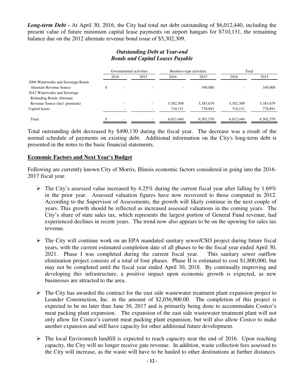*Long-term Debt -* At April 30, 2016, the City had total net debt outstanding of \$6,012,440, including the present value of future minimum capital lease payments on airport hangars for \$710,131, the remaining balance due on the 2012 alternate revenue bond issue of \$5,302,309.

## *Outstanding Debt at Year-end Bonds and Capital Leases Payable*

|                                                                  | Governmental activities |                          | Business-type activities |                          | Total     |           |           |
|------------------------------------------------------------------|-------------------------|--------------------------|--------------------------|--------------------------|-----------|-----------|-----------|
|                                                                  |                         | 2016                     | 2015                     | 2016                     | 2015      | 2016      | 2015      |
| 2006 Waterworks and Sewerage Bonds<br>Alternate Revenue Source   |                         | $\overline{\phantom{a}}$ |                          | $\overline{\phantom{a}}$ | 340,000   |           | 340,000   |
| 2012 Waterworks and Sewerage<br><b>Refunding Bonds Alternate</b> |                         |                          |                          |                          |           |           |           |
| Revenue Source (incl. premium)                                   |                         |                          |                          | 5.302.309                | 5,383,679 | 5,302,309 | 5,383,679 |
| Capital leases                                                   |                         |                          |                          | 710,131                  | 778,891   | 710,131   | 778,891   |
| Total                                                            |                         |                          |                          | 6.012.440                | 6.502.570 | 6.012.440 | 6,502,570 |

Total outstanding debt decreased by \$490,130 during the fiscal year. The decrease was a result of the normal schedule of payments on existing debt. Additional information on the City's long-term debt is presented in the notes to the basic financial statements.

### **Economic Factors and Next Year's Budget**

Following are currently known City of Morris, Illinois economic factors considered in going into the 2016- 2017 fiscal year.

- $\triangleright$  The City's assessed value increased by 4.25% during the current fiscal year after falling by 1.69% in the prior year. Assessed valuation figures have now recovered to those computed in 2012. According to the Supervisor of Assessments, the growth will likely continue in the next couple of years. This growth should be reflected as increased assessed valuations in the coming years. The City's share of state sales tax, which represents the largest portion of General Fund revenue, had experienced declines in recent years. The trend now also appears to be on the upswing for sales tax revenue.
- The City will continue work on an EPA mandated sanitary sewer/CSO project during future fiscal years, with the current estimated completion date of all phases to be the fiscal year ended April 30, 2021. Phase I was completed during the current fiscal year. This sanitary sewer outflow elimination project consists of a total of four phases. Phase II is estimated to cost \$1,800,000, but may not be completed until the fiscal year ended April 30, 2018. By continually improving and developing this infrastructure, a positive impact upon economic growth is expected, as new businesses are attracted to the area.
- $\triangleright$  The City has awarded the contract for the east side wastewater treatment plant expansion project to Leander Construction, Inc. in the amount of \$2,056,900.00. The completion of this project is expected to be no later than June 30, 2017 and is primarily being done to accommodate Costco's meat packing plant expansion. The expansion of the east side wastewater treatment plant will not only allow for Costco's current meat packing plant expansion, but will also allow Costco to make another expansion and still have capacity for other additional future development.
- $\triangleright$  The local Environtech landfill is expected to reach capacity near the end of 2016. Upon reaching capacity, the City will no longer receive gate revenue. In addition, waste collection fees assessed to the City will increase, as the waste will have to be hauled to other destinations at further distances.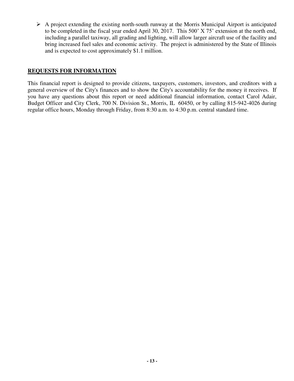$\triangleright$  A project extending the existing north-south runway at the Morris Municipal Airport is anticipated to be completed in the fiscal year ended April 30, 2017. This 500' X 75' extension at the north end, including a parallel taxiway, all grading and lighting, will allow larger aircraft use of the facility and bring increased fuel sales and economic activity. The project is administered by the State of Illinois and is expected to cost approximately \$1.1 million.

## **REQUESTS FOR INFORMATION**

This financial report is designed to provide citizens, taxpayers, customers, investors, and creditors with a general overview of the City's finances and to show the City's accountability for the money it receives. If you have any questions about this report or need additional financial information, contact Carol Adair, Budget Officer and City Clerk, 700 N. Division St., Morris, IL 60450, or by calling 815-942-4026 during regular office hours, Monday through Friday, from 8:30 a.m. to 4:30 p.m. central standard time.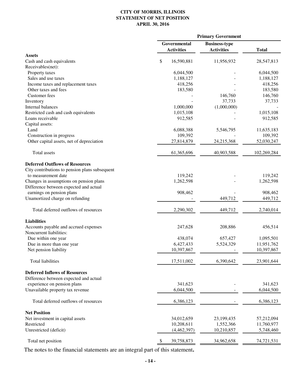#### **CITY OF MORRIS, ILLINOIS STATEMENT OF NET POSITION APRIL 30, 2016**

| Governmental<br><b>Business-type</b><br><b>Activities</b><br><b>Activities</b><br><b>Total</b><br><b>Assets</b><br>\$<br>16,590,881<br>11,956,932<br>Cash and cash equivalents<br>Receivables(net):<br>Property taxes<br>6,044,500<br>Sales and use taxes<br>1,188,127<br>Income taxes and replacement taxes<br>418,256<br>Other taxes and fees<br>183,580<br><b>Customer</b> fees<br>146,760<br>37,733<br>Inventory<br>Internal balances<br>1,000,000<br>(1,000,000)<br>Restricted cash and cash equivalents<br>1,015,108 | 28,547,813<br>6,044,500<br>1,188,127<br>418,256<br>183,580<br>146,760<br>37,733<br>1,015,108<br>912,585<br>11,635,183<br>109,392<br>52,030,247 |
|----------------------------------------------------------------------------------------------------------------------------------------------------------------------------------------------------------------------------------------------------------------------------------------------------------------------------------------------------------------------------------------------------------------------------------------------------------------------------------------------------------------------------|------------------------------------------------------------------------------------------------------------------------------------------------|
|                                                                                                                                                                                                                                                                                                                                                                                                                                                                                                                            |                                                                                                                                                |
|                                                                                                                                                                                                                                                                                                                                                                                                                                                                                                                            |                                                                                                                                                |
|                                                                                                                                                                                                                                                                                                                                                                                                                                                                                                                            |                                                                                                                                                |
|                                                                                                                                                                                                                                                                                                                                                                                                                                                                                                                            |                                                                                                                                                |
|                                                                                                                                                                                                                                                                                                                                                                                                                                                                                                                            |                                                                                                                                                |
|                                                                                                                                                                                                                                                                                                                                                                                                                                                                                                                            |                                                                                                                                                |
|                                                                                                                                                                                                                                                                                                                                                                                                                                                                                                                            |                                                                                                                                                |
|                                                                                                                                                                                                                                                                                                                                                                                                                                                                                                                            |                                                                                                                                                |
|                                                                                                                                                                                                                                                                                                                                                                                                                                                                                                                            |                                                                                                                                                |
|                                                                                                                                                                                                                                                                                                                                                                                                                                                                                                                            |                                                                                                                                                |
|                                                                                                                                                                                                                                                                                                                                                                                                                                                                                                                            |                                                                                                                                                |
|                                                                                                                                                                                                                                                                                                                                                                                                                                                                                                                            |                                                                                                                                                |
|                                                                                                                                                                                                                                                                                                                                                                                                                                                                                                                            |                                                                                                                                                |
| Loans receivable<br>912,585                                                                                                                                                                                                                                                                                                                                                                                                                                                                                                |                                                                                                                                                |
| Capital assets:                                                                                                                                                                                                                                                                                                                                                                                                                                                                                                            |                                                                                                                                                |
| Land<br>6,088,388<br>5,546,795                                                                                                                                                                                                                                                                                                                                                                                                                                                                                             |                                                                                                                                                |
| 109,392<br>Construction in progress                                                                                                                                                                                                                                                                                                                                                                                                                                                                                        |                                                                                                                                                |
| Other capital assets, net of depreciation<br>27,814,879<br>24,215,368                                                                                                                                                                                                                                                                                                                                                                                                                                                      |                                                                                                                                                |
| Total assets<br>61,365,696<br>40,903,588<br>102,269,284                                                                                                                                                                                                                                                                                                                                                                                                                                                                    |                                                                                                                                                |
| <b>Deferred Outflows of Resources</b>                                                                                                                                                                                                                                                                                                                                                                                                                                                                                      |                                                                                                                                                |
| City contributions to pension plans subsequent                                                                                                                                                                                                                                                                                                                                                                                                                                                                             |                                                                                                                                                |
| 119,242<br>to measurement date                                                                                                                                                                                                                                                                                                                                                                                                                                                                                             | 119,242                                                                                                                                        |
| Changes in assumptions on pension plans<br>1,262,598                                                                                                                                                                                                                                                                                                                                                                                                                                                                       | 1,262,598                                                                                                                                      |
| Difference between expected and actual                                                                                                                                                                                                                                                                                                                                                                                                                                                                                     |                                                                                                                                                |
| earnings on pension plans<br>908,462                                                                                                                                                                                                                                                                                                                                                                                                                                                                                       | 908,462                                                                                                                                        |
| Unamortized charge on refunding<br>449,712                                                                                                                                                                                                                                                                                                                                                                                                                                                                                 | 449,712                                                                                                                                        |
|                                                                                                                                                                                                                                                                                                                                                                                                                                                                                                                            |                                                                                                                                                |
| Total deferred outflows of resources<br>2,290,302<br>449,712                                                                                                                                                                                                                                                                                                                                                                                                                                                               | 2,740,014                                                                                                                                      |
| <b>Liabilities</b>                                                                                                                                                                                                                                                                                                                                                                                                                                                                                                         |                                                                                                                                                |
| 208,886<br>Accounts payable and accrued expenses<br>247,628                                                                                                                                                                                                                                                                                                                                                                                                                                                                | 456,514                                                                                                                                        |
| Noncurrent liabilities:                                                                                                                                                                                                                                                                                                                                                                                                                                                                                                    |                                                                                                                                                |
| Due within one year<br>438,074<br>657,427                                                                                                                                                                                                                                                                                                                                                                                                                                                                                  | 1,095,501                                                                                                                                      |
| 6,427,433<br>5,524,329<br>Due in more than one year                                                                                                                                                                                                                                                                                                                                                                                                                                                                        | 11,951,762                                                                                                                                     |
| 10,397,867<br>Net pension liability                                                                                                                                                                                                                                                                                                                                                                                                                                                                                        | 10,397,867                                                                                                                                     |
| <b>Total liabilities</b><br>17,511,002<br>6,390,642                                                                                                                                                                                                                                                                                                                                                                                                                                                                        | 23,901,644                                                                                                                                     |
| <b>Deferred Inflows of Resources</b>                                                                                                                                                                                                                                                                                                                                                                                                                                                                                       |                                                                                                                                                |
| Difference between expected and actual                                                                                                                                                                                                                                                                                                                                                                                                                                                                                     |                                                                                                                                                |
| experience on pension plans<br>341,623                                                                                                                                                                                                                                                                                                                                                                                                                                                                                     | 341,623                                                                                                                                        |
| Unavailable property tax revenue<br>6,044,500                                                                                                                                                                                                                                                                                                                                                                                                                                                                              | 6,044,500                                                                                                                                      |
|                                                                                                                                                                                                                                                                                                                                                                                                                                                                                                                            |                                                                                                                                                |
| Total deferred outflows of resources<br>6,386,123                                                                                                                                                                                                                                                                                                                                                                                                                                                                          | 6,386,123                                                                                                                                      |
| <b>Net Position</b>                                                                                                                                                                                                                                                                                                                                                                                                                                                                                                        |                                                                                                                                                |
| Net investment in capital assets<br>34,012,659<br>23,199,435                                                                                                                                                                                                                                                                                                                                                                                                                                                               | 57,212,094                                                                                                                                     |
| 10,208,611<br>Restricted<br>1,552,366                                                                                                                                                                                                                                                                                                                                                                                                                                                                                      | 11,760,977                                                                                                                                     |
| Unrestricted (deficit)<br>(4,462,397)<br>10,210,857                                                                                                                                                                                                                                                                                                                                                                                                                                                                        | 5,748,460                                                                                                                                      |
| Total net position<br>39,758,873<br>34,962,658                                                                                                                                                                                                                                                                                                                                                                                                                                                                             | 74,721,531                                                                                                                                     |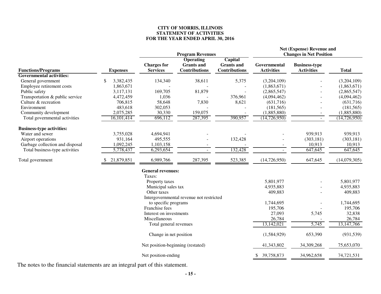#### **CITY OF MORRIS, ILLINOIS STATEMENT OF ACTIVITIES FOR THE YEAR ENDED APRIL 30, 2016**

|                                  |                 |                                   | <b>Program Revenues</b>                  |                                     | Net (Expense) Revenue and<br><b>Changes in Net Position</b> |                      |                |  |
|----------------------------------|-----------------|-----------------------------------|------------------------------------------|-------------------------------------|-------------------------------------------------------------|----------------------|----------------|--|
|                                  |                 | <b>Charges for</b>                | <b>Operating</b><br><b>Grants</b> and    | <b>Capital</b><br><b>Grants and</b> | Governmental                                                | <b>Business-type</b> |                |  |
| <b>Functions/Programs</b>        | <b>Expenses</b> | <b>Services</b>                   | <b>Contributions</b>                     | <b>Contributions</b>                | <b>Activities</b>                                           | <b>Activities</b>    | <b>Total</b>   |  |
| <b>Governmental activities:</b>  |                 |                                   |                                          |                                     |                                                             |                      |                |  |
| General government               | 3,382,435<br>\$ | 134,340                           | 38,611                                   | 5,375                               | (3,204,109)                                                 |                      | (3,204,109)    |  |
| Employee retirement costs        | 1,863,671       |                                   |                                          |                                     | (1,863,671)                                                 |                      | (1,863,671)    |  |
| Public safety                    | 3,117,131       | 169,705                           | 81,879                                   |                                     | (2,865,547)                                                 |                      | (2,865,547)    |  |
| Transportation & public service  | 4,472,459       | 1,036                             |                                          | 376,961                             | (4,094,462)                                                 |                      | (4,094,462)    |  |
| Culture & recreation             | 706,815         | 58,648                            | 7,830                                    | 8,621                               | (631,716)                                                   |                      | (631,716)      |  |
| Environment                      | 483,618         | 302,053                           |                                          |                                     | (181, 565)                                                  |                      | (181, 565)     |  |
| Community development            | 2,075,285       | 30,330                            | 159,075                                  |                                     | (1,885,880)                                                 |                      | (1,885,880)    |  |
| Total governmental activities    | 16,101,414      | 696,112                           | 287,395                                  | 390,957                             | (14, 726, 950)                                              | $\blacksquare$       | (14, 726, 950) |  |
| <b>Business-type activities:</b> |                 |                                   |                                          |                                     |                                                             |                      |                |  |
| Water and sewer                  | 3,755,028       | 4,694,941                         |                                          |                                     |                                                             | 939,913              | 939,913        |  |
| Airport operations               | 931,164         | 495,555                           |                                          | 132,428                             |                                                             | (303, 181)           | (303, 181)     |  |
| Garbage collection and disposal  | 1,092,245       | 1,103,158                         |                                          |                                     |                                                             | 10,913               | 10,913         |  |
| Total business-type activities   | 5,778,437       | 6,293,654                         |                                          | 132,428                             |                                                             | 647,645              | 647,645        |  |
| Total government                 | 21,879,851      | 6,989,766                         | 287,395                                  | 523,385                             | (14, 726, 950)                                              | 647,645              | (14,079,305)   |  |
|                                  |                 | <b>General revenues:</b>          |                                          |                                     |                                                             |                      |                |  |
|                                  |                 | Taxes:                            |                                          |                                     |                                                             |                      |                |  |
|                                  |                 | Property taxes                    |                                          |                                     | 5,801,977                                                   |                      | 5,801,977      |  |
|                                  |                 | Municipal sales tax               |                                          |                                     | 4,935,883                                                   |                      | 4,935,883      |  |
|                                  |                 | Other taxes                       |                                          |                                     | 409,883                                                     |                      | 409,883        |  |
|                                  |                 |                                   | Intergovernmental revenue not restricted |                                     |                                                             |                      |                |  |
|                                  |                 | to specific programs              |                                          |                                     | 1,744,695                                                   |                      | 1,744,695      |  |
|                                  |                 | Franchise fees                    |                                          |                                     | 195,706                                                     |                      | 195,706        |  |
|                                  |                 | Interest on investments           |                                          |                                     | 27,093                                                      | 5,745                | 32,838         |  |
|                                  |                 | Miscellaneous                     |                                          |                                     | 26,784                                                      |                      | 26,784         |  |
|                                  |                 | Total general revenues            |                                          |                                     | 13,142,021                                                  | 5,745                | 13, 147, 766   |  |
|                                  |                 | Change in net position            |                                          |                                     | (1,584,929)                                                 | 653,390              | (931, 539)     |  |
|                                  |                 | Net position-beginning (restated) |                                          |                                     | 41,343,802                                                  | 34,309,268           | 75,653,070     |  |
|                                  |                 | Net position-ending               |                                          |                                     | 39,758,873                                                  | 34,962,658           | 74,721,531     |  |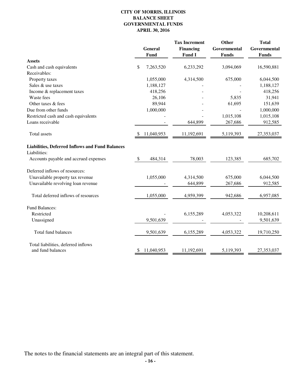#### **CITY OF MORRIS, ILLINOIS BALANCE SHEET GOVERNMENTAL FUNDS APRIL 30, 2016**

|                                                                        |     | <b>General</b><br>Fund | <b>Tax Increment</b><br><b>Financing</b><br><b>Fund I</b> | Other<br>Governmental<br><b>Funds</b> | <b>Total</b><br>Governmental<br><b>Funds</b> |
|------------------------------------------------------------------------|-----|------------------------|-----------------------------------------------------------|---------------------------------------|----------------------------------------------|
| <b>Assets</b>                                                          |     |                        |                                                           |                                       |                                              |
| Cash and cash equivalents                                              | \$  | 7,263,520              | 6,233,292                                                 | 3,094,069                             | 16,590,881                                   |
| Receivables:                                                           |     |                        |                                                           |                                       |                                              |
| Property taxes                                                         |     | 1,055,000              | 4,314,500                                                 | 675,000                               | 6,044,500                                    |
| Sales & use taxes                                                      |     | 1,188,127              |                                                           |                                       | 1,188,127                                    |
| Income & replacement taxes                                             |     | 418,256                |                                                           |                                       | 418,256                                      |
| Waste fees                                                             |     | 26,106                 |                                                           | 5,835                                 | 31,941                                       |
| Other taxes & fees                                                     |     | 89,944                 |                                                           | 61,695                                | 151,639                                      |
| Due from other funds                                                   |     | 1,000,000              |                                                           |                                       | 1,000,000                                    |
| Restricted cash and cash equivalents                                   |     |                        |                                                           | 1,015,108                             | 1,015,108                                    |
| Loans receivable                                                       |     |                        | 644,899                                                   | 267,686                               | 912,585                                      |
| Total assets                                                           | \$. | 11,040,953             | 11,192,691                                                | 5,119,393                             | 27,353,037                                   |
| <b>Liabilities, Deferred Inflows and Fund Balances</b><br>Liabilities: |     |                        |                                                           |                                       |                                              |
| Accounts payable and accrued expenses                                  | \$  | 484,314                | 78,003                                                    | 123,385                               | 685,702                                      |
| Deferred inflows of resources:                                         |     |                        |                                                           |                                       |                                              |
| Unavailable property tax revenue                                       |     | 1,055,000              | 4,314,500                                                 | 675,000                               | 6,044,500                                    |
| Unavailable revolving loan revenue                                     |     |                        | 644,899                                                   | 267,686                               | 912,585                                      |
| Total deferred inflows of resources                                    |     | 1,055,000              | 4,959,399                                                 | 942,686                               | 6,957,085                                    |
| <b>Fund Balances:</b>                                                  |     |                        |                                                           |                                       |                                              |
| Restricted                                                             |     |                        | 6,155,289                                                 | 4,053,322                             | 10,208,611                                   |
| Unassigned                                                             |     | 9,501,639              |                                                           |                                       | 9,501,639                                    |
| Total fund balances                                                    |     | 9,501,639              | 6,155,289                                                 | 4,053,322                             | 19,710,250                                   |
| Total liabilities, deferred inflows                                    |     |                        |                                                           |                                       |                                              |
| and fund balances                                                      | \$  | 11,040,953             | 11,192,691                                                | 5,119,393                             | 27,353,037                                   |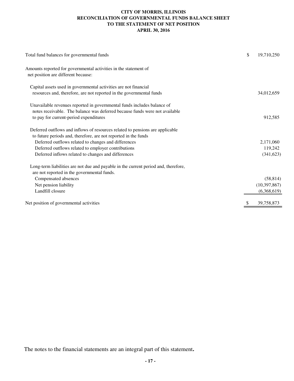#### **CITY OF MORRIS, ILLINOIS RECONCILIATION OF GOVERNMENTAL FUNDS BALANCE SHEET TO THE STATEMENT OF NET POSITION APRIL 30, 2016**

| Total fund balances for governmental funds                                                                                               | \$<br>19,710,250 |
|------------------------------------------------------------------------------------------------------------------------------------------|------------------|
| Amounts reported for governmental activities in the statement of<br>net position are different because:                                  |                  |
| Capital assets used in governmental activities are not financial<br>resources and, therefore, are not reported in the governmental funds | 34,012,659       |
| Unavailable revenues reported in governmental funds includes balance of                                                                  |                  |
| notes receivable. The balance was deferred because funds were not available                                                              |                  |
| to pay for current-period expenditures                                                                                                   | 912,585          |
| Deferred outflows and inflows of resources related to pensions are applicable                                                            |                  |
| to future periods and, therefore, are not reported in the funds                                                                          |                  |
| Deferred outflows related to changes and differences                                                                                     | 2,171,060        |
| Deferred outflows related to employer contributions                                                                                      | 119,242          |
| Deferred inflows related to changes and differences                                                                                      | (341, 623)       |
| Long-term liabilities are not due and payable in the current period and, therefore,<br>are not reported in the governmental funds.       |                  |
| Compensated absences                                                                                                                     | (58, 814)        |
| Net pension liability                                                                                                                    | (10, 397, 867)   |
| Landfill closure                                                                                                                         | (6,368,619)      |
| Net position of governmental activities                                                                                                  | 39,758,873       |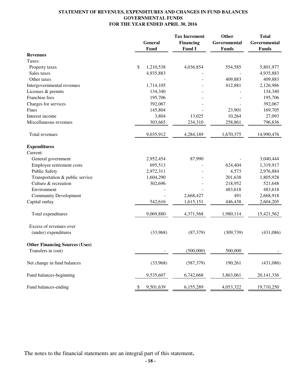#### **STATEMENT OF REVENUES, EXPENDITURES AND CHANGES IN FUND BALANCES GOVERNMENTAL FUNDS FOR THE YEAR ENDED APRIL 30, 2016**

|                                       | General<br>Fund | <b>Tax Increment</b><br><b>Financing</b><br>Fund I | Other<br>Governmental<br><b>Funds</b> | <b>Total</b><br>Governmental<br><b>Funds</b> |
|---------------------------------------|-----------------|----------------------------------------------------|---------------------------------------|----------------------------------------------|
| <b>Revenues</b>                       |                 |                                                    |                                       |                                              |
| Taxes:                                |                 |                                                    |                                       |                                              |
| Property taxes                        | \$<br>1,210,538 | 4,036,854                                          | 554,585                               | 5,801,977                                    |
| Sales taxes                           | 4,935,883       |                                                    |                                       | 4,935,883                                    |
| Other taxes                           |                 |                                                    | 409,883                               | 409,883                                      |
| Intergovernmental revenues            | 1,714,105       |                                                    | 412,881                               | 2,126,986                                    |
| Licenses & permits                    | 134,340         |                                                    |                                       | 134,340                                      |
| Franchise fees                        | 195,706         |                                                    |                                       | 195,706                                      |
| Charges for services                  | 392,067         |                                                    |                                       | 392,067                                      |
| Fines                                 | 145,804         |                                                    | 23,901                                | 169,705                                      |
| Interest income                       | 3,804           | 13,025                                             | 10,264                                | 27,093                                       |
| Miscellaneous revenues                | 303,665         | 234,310                                            | 258,861                               | 796,836                                      |
| Total revenues                        | 9,035,912       | 4,284,189                                          | 1,670,375                             | 14,990,476                                   |
| <b>Expenditures</b>                   |                 |                                                    |                                       |                                              |
| Current:                              |                 |                                                    |                                       |                                              |
| General government                    | 2,952,454       | 87,990                                             |                                       | 3,040,444                                    |
| Employee retirement costs             | 695,513         |                                                    | 624,404                               | 1,319,917                                    |
| <b>Public Safety</b>                  | 2,972,311       |                                                    | 4,573                                 | 2,976,884                                    |
| Transportation & public service       | 1,604,290       |                                                    | 201,638                               | 1,805,928                                    |
| Culture & recreation                  | 302,696         |                                                    | 218,952                               | 521,648                                      |
| Environment                           |                 |                                                    | 483,618                               | 483,618                                      |
| <b>Community Development</b>          |                 | 2,668,427                                          | 491                                   | 2,668,918                                    |
| Capital outlay                        | 542,616         | 1,615,151                                          | 446,438                               | 2,604,205                                    |
| Total expenditures                    | 9,069,880       | 4,371,568                                          | 1,980,114                             | 15,421,562                                   |
| Excess of revenues over               |                 |                                                    |                                       |                                              |
| (under) expenditures                  | (33,968)        | (87, 379)                                          | (309, 739)                            | (431,086)                                    |
| <b>Other Financing Sources (Uses)</b> |                 |                                                    |                                       |                                              |
| Transfers in (out)                    |                 | (500,000)                                          | 500,000                               | $\blacksquare$                               |
| Net change in fund balances           | (33,968)        | (587, 379)                                         | 190,261                               | (431,086)                                    |
| Fund balances-beginning               | 9,535,607       | 6,742,668                                          | 3,863,061                             | 20, 141, 336                                 |
| Fund balances-ending                  | 9,501,639<br>\$ | 6,155,289                                          | 4,053,322                             | 19,710,250                                   |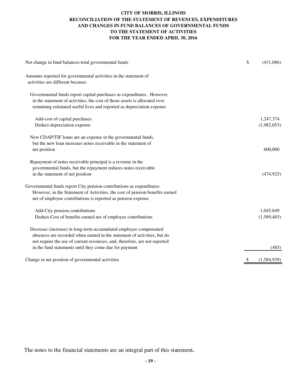#### **CITY OF MORRIS, ILLINOIS RECONCILIATION OF THE STATEMENT OF REVENUES, EXPENDITURES AND CHANGES IN FUND BALANCES OF GOVERNMENTAL FUNDS TO THE STATEMENT OF ACTIVITIES FOR THE YEAR ENDED APRIL 30, 2016**

| Net change in fund balances-total governmental funds                                                                                                                                                                         | \$ | (431,086)   |
|------------------------------------------------------------------------------------------------------------------------------------------------------------------------------------------------------------------------------|----|-------------|
| Amounts reported for governmental activities in the statement of<br>activities are different because:                                                                                                                        |    |             |
| Governmental funds report capital purchases as expenditures. However,<br>in the statement of activities, the cost of those assets is allocated over<br>remaining estimated useful lives and reported as depreciation expense |    |             |
| Add-cost of capital purchases                                                                                                                                                                                                |    | 1,247,374   |
| Deduct-depreciation expense                                                                                                                                                                                                  |    | (1,982,053) |
| New CDAP/TIF loans are an expense in the governmental funds,<br>but the new loan increases notes receivable in the statement of<br>net position                                                                              |    | 600,000     |
| Repayment of notes receivable principal is a revenue in the                                                                                                                                                                  |    |             |
| governmental funds, but the repayment reduces notes receivable                                                                                                                                                               |    |             |
| in the statement of net position                                                                                                                                                                                             |    | (474, 925)  |
| Governmental funds report City pension contributions as expenditures.<br>However, in the Statement of Activities, the cost of pension benefits earned<br>net of employee contributions is reported as pension expense        |    |             |
| Add-City pension contributions                                                                                                                                                                                               |    | 1,045,649   |
| Deduct-Cost of benefits earned net of employee contributions                                                                                                                                                                 |    | (1,589,403) |
| Decrease (increase) in long-term accumulated employee compensated<br>absences are recorded when earned in the statement of activities, but do<br>not require the use of current resources, and, therefore, are not reported  |    |             |
| in the fund statements until they come due for payment                                                                                                                                                                       |    | (485)       |
| Change in net position of governmental activities                                                                                                                                                                            | S  | (1,584,929) |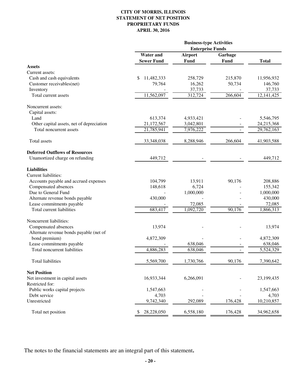#### **CITY OF MORRIS, ILLINOIS STATEMENT OF NET POSITION PROPRIETARY FUNDS APRIL 30, 2016**

|                                           | <b>Business-type Activities</b><br><b>Enterprise Funds</b> |                |             |              |
|-------------------------------------------|------------------------------------------------------------|----------------|-------------|--------------|
|                                           |                                                            |                |             |              |
|                                           | <b>Water</b> and                                           | <b>Airport</b> | Garbage     |              |
|                                           | <b>Sewer Fund</b>                                          | Fund           | <b>Fund</b> | <b>Total</b> |
| <b>Assets</b>                             |                                                            |                |             |              |
| Current assets:                           |                                                            |                |             |              |
| Cash and cash equivalents                 | \$<br>11,482,333                                           | 258,729        | 215,870     | 11,956,932   |
| Customer receivables(net)                 | 79,764                                                     | 16,262         | 50,734      | 146,760      |
| Inventory                                 |                                                            | 37,733         |             | 37,733       |
| Total current assets                      | 11,562,097                                                 | 312,724        | 266,604     | 12, 141, 425 |
| Noncurrent assets:                        |                                                            |                |             |              |
| Capital assets:                           |                                                            |                |             |              |
| Land                                      | 613,374                                                    | 4,933,421      |             | 5,546,795    |
| Other capital assets, net of depreciation | 21,172,567                                                 | 3,042,801      |             | 24,215,368   |
| Total noncurrent assets                   | 21,785,941                                                 | 7,976,222      |             | 29,762,163   |
| Total assets                              | 33,348,038                                                 | 8,288,946      | 266,604     | 41,903,588   |
| <b>Deferred Outflows of Resources</b>     |                                                            |                |             |              |
| Unamortized charge on refunding           | 449,712                                                    |                |             | 449,712      |
| <b>Liabilities</b>                        |                                                            |                |             |              |
| Current liabilities:                      |                                                            |                |             |              |
| Accounts payable and accrued expenses     | 104,799                                                    | 13,911         | 90,176      | 208,886      |
| Compensated absences                      | 148,618                                                    | 6,724          |             | 155,342      |
| Due to General Fund                       |                                                            | 1,000,000      |             | 1,000,000    |
| Alternate revenue bonds payable           | 430,000                                                    |                |             | 430,000      |
| Lease commitments payable                 |                                                            | 72,085         |             | 72,085       |
| Total current liabilities                 | 683,417                                                    | 1,092,720      | 90,176      | 1,866,313    |
| Noncurrent liabilities:                   |                                                            |                |             |              |
| Compensated absences                      | 13,974                                                     |                |             | 13,974       |
| Alternate revenue bonds payable (net of   |                                                            |                |             |              |
| bond premium)                             | 4,872,309                                                  |                |             | 4,872,309    |
| Lease commitments payable                 |                                                            | 638,046        |             | 638,046      |
| Total noncurrent liabilities              | 4,886,283                                                  | 638,046        |             | 5,524,329    |
| <b>Total liabilities</b>                  | 5,569,700                                                  | 1,730,766      | 90,176      | 7,390,642    |
| <b>Net Position</b>                       |                                                            |                |             |              |
| Net investment in capital assets          | 16,933,344                                                 | 6,266,091      |             | 23,199,435   |
| Restricted for:                           |                                                            |                |             |              |
| Public works capital projects             | 1,547,663                                                  |                |             | 1,547,663    |
| Debt service                              | 4,703                                                      |                |             | 4,703        |
| Unrestricted                              | 9,742,340                                                  | 292,089        | 176,428     | 10,210,857   |
| Total net position                        | 28,228,050<br>\$                                           | 6,558,180      | 176,428     | 34,962,658   |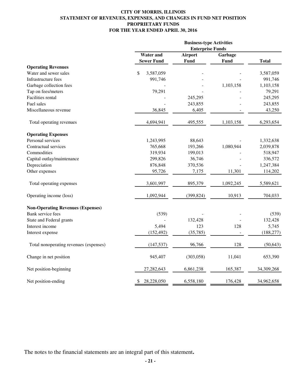#### **CITY OF MORRIS, ILLINOIS STATEMENT OF REVENUES, EXPENSES, AND CHANGES IN FUND NET POSITION PROPRIETARY FUNDS FOR THE YEAR ENDED APRIL 30, 2016**

|                                          | <b>Business-type Activities</b><br><b>Enterprise Funds</b> |            |           |              |
|------------------------------------------|------------------------------------------------------------|------------|-----------|--------------|
|                                          | <b>Water</b> and                                           | Airport    | Garbage   |              |
|                                          | <b>Sewer Fund</b>                                          | Fund       | Fund      | <b>Total</b> |
| <b>Operating Revenues</b>                |                                                            |            |           |              |
| Water and sewer sales                    | \$<br>3,587,059                                            |            |           | 3,587,059    |
| Infrastructure fees                      | 991,746                                                    |            |           | 991,746      |
| Garbage collection fees                  |                                                            |            | 1,103,158 | 1,103,158    |
| Tap on fees/meters                       | 79,291                                                     |            |           | 79,291       |
| Facilities rental                        |                                                            | 245,295    |           | 245,295      |
| Fuel sales                               |                                                            | 243,855    |           | 243,855      |
| Miscellaneous revenue                    | 36,845                                                     | 6,405      |           | 43,250       |
| Total operating revenues                 | 4,694,941                                                  | 495,555    | 1,103,158 | 6,293,654    |
| <b>Operating Expenses</b>                |                                                            |            |           |              |
| Personal services                        | 1,243,995                                                  | 88,643     |           | 1,332,638    |
| Contractual services                     | 765,668                                                    | 193,266    | 1,080,944 | 2,039,878    |
| Commodities                              | 319,934                                                    | 199,013    |           | 518,947      |
| Capital outlay/maintenance               | 299,826                                                    | 36,746     |           | 336,572      |
| Depreciation                             | 876,848                                                    | 370,536    |           | 1,247,384    |
| Other expenses                           | 95,726                                                     | 7,175      | 11,301    | 114,202      |
| Total operating expenses                 | 3,601,997                                                  | 895,379    | 1,092,245 | 5,589,621    |
| Operating income (loss)                  | 1,092,944                                                  | (399, 824) | 10,913    | 704,033      |
| <b>Non-Operating Revenues (Expenses)</b> |                                                            |            |           |              |
| Bank service fees                        | (539)                                                      |            |           | (539)        |
| State and Federal grants                 |                                                            | 132,428    |           | 132,428      |
| Interest income                          | 5,494                                                      | 123        | 128       | 5,745        |
| Interest expense                         | (152, 492)                                                 | (35,785)   |           | (188, 277)   |
| Total nonoperating revenues (expenses)   | (147, 537)                                                 | 96,766     | 128       | (50, 643)    |
| Change in net position                   | 945,407                                                    | (303,058)  | 11,041    | 653,390      |
| Net position-beginning                   | 27, 282, 643                                               | 6,861,238  | 165,387   | 34,309,268   |
| Net position-ending                      | 28,228,050<br>\$                                           | 6,558,180  | 176,428   | 34,962,658   |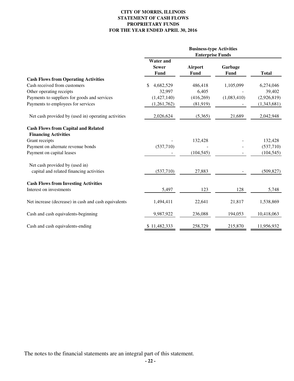#### **CITY OF MORRIS, ILLINOIS STATEMENT OF CASH FLOWS PROPRIETARY FUNDS FOR THE YEAR ENDED APRIL 30, 2016**

|                                                                           | <b>Business-type Activities</b><br><b>Enterprise Funds</b> |                        |                 |              |
|---------------------------------------------------------------------------|------------------------------------------------------------|------------------------|-----------------|--------------|
|                                                                           | <b>Water and</b><br><b>Sewer</b><br><b>Fund</b>            | <b>Airport</b><br>Fund | Garbage<br>Fund | <b>Total</b> |
| <b>Cash Flows from Operating Activities</b>                               |                                                            |                        |                 |              |
| Cash received from customers                                              | 4,682,529<br>\$                                            | 486,418                | 1,105,099       | 6,274,046    |
| Other operating receipts                                                  | 32,997                                                     | 6,405                  |                 | 39,402       |
| Payments to suppliers for goods and services                              | (1,427,140)                                                | (416, 269)             | (1,083,410)     | (2,926,819)  |
| Payments to employees for services                                        | (1,261,762)                                                | (81,919)               |                 | (1,343,681)  |
| Net cash provided by (used in) operating activities                       | 2,026,624                                                  | (5,365)                | 21,689          | 2,042,948    |
| <b>Cash Flows from Capital and Related</b><br><b>Financing Activities</b> |                                                            |                        |                 |              |
| Grant receipts                                                            |                                                            | 132,428                |                 | 132,428      |
| Payment on alternate revenue bonds                                        | (537,710)                                                  |                        |                 | (537,710)    |
| Payment on capital leases                                                 |                                                            | (104, 545)             |                 | (104, 545)   |
| Net cash provided by (used in)                                            |                                                            |                        |                 |              |
| capital and related financing activities                                  | (537,710)                                                  | 27,883                 |                 | (509, 827)   |
| <b>Cash Flows from Investing Activities</b>                               |                                                            |                        |                 |              |
| Interest on investments                                                   | 5,497                                                      | 123                    | 128             | 5,748        |
| Net increase (decrease) in cash and cash equivalents                      | 1,494,411                                                  | 22,641                 | 21,817          | 1,538,869    |
| Cash and cash equivalents-beginning                                       | 9,987,922                                                  | 236,088                | 194,053         | 10,418,063   |
| Cash and cash equivalents-ending                                          | \$11,482,333                                               | 258,729                | 215,870         | 11,956,932   |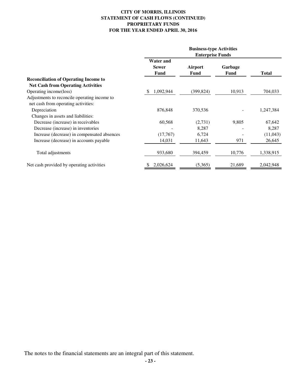#### **CITY OF MORRIS, ILLINOIS STATEMENT OF CASH FLOWS (CONTINUED) PROPRIETARY FUNDS FOR THE YEAR ENDED APRIL 30, 2016**

|                                              | <b>Business-type Activities</b><br><b>Enterprise Funds</b> |                 |                 |              |
|----------------------------------------------|------------------------------------------------------------|-----------------|-----------------|--------------|
|                                              | <b>Water and</b><br><b>Sewer</b><br>Fund                   | Airport<br>Fund | Garbage<br>Fund | <b>Total</b> |
| <b>Reconciliation of Operating Income to</b> |                                                            |                 |                 |              |
| <b>Net Cash from Operating Activities</b>    |                                                            |                 |                 |              |
| Operating income(loss)                       | 1,092,944<br>S                                             | (399, 824)      | 10,913          | 704,033      |
| Adjustments to reconcile operating income to |                                                            |                 |                 |              |
| net cash from operating activities:          |                                                            |                 |                 |              |
| Depreciation                                 | 876,848                                                    | 370,536         |                 | 1,247,384    |
| Changes in assets and liabilities:           |                                                            |                 |                 |              |
| Decrease (increase) in receivables           | 60,568                                                     | (2,731)         | 9,805           | 67,642       |
| Decrease (increase) in inventories           |                                                            | 8,287           |                 | 8,287        |
| Increase (decrease) in compensated absences  | (17,767)                                                   | 6,724           |                 | (11,043)     |
| Increase (decrease) in accounts payable      | 14,031                                                     | 11,643          | 971             | 26,645       |
| Total adjustments                            | 933,680                                                    | 394,459         | 10,776          | 1,338,915    |
| Net cash provided by operating activities    | 2,026,624                                                  | (5,365)         | 21,689          | 2,042,948    |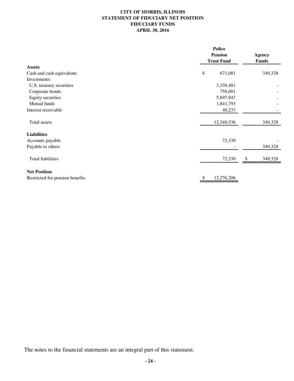### **CITY OF MORRIS, ILLINOIS STATEMENT OF FIDUCIARY NET POSITION FIDUCIARY FUNDS APRIL 30, 2016**

|                                 |    | <b>Police</b><br><b>Pension</b> |              |               |
|---------------------------------|----|---------------------------------|--------------|---------------|
|                                 |    |                                 |              | <b>Agency</b> |
|                                 |    | <b>Trust Fund</b>               | <b>Funds</b> |               |
| <b>Assets</b>                   |    |                                 |              |               |
| Cash and cash equivalents       | \$ | 671,081                         |              | 349,328       |
| Investments:                    |    |                                 |              |               |
| U.S. treasury securities        |    | 3,339,481                       |              |               |
| Corporate bonds                 |    | 758,001                         |              |               |
| Equity securities               |    | 5,697,947                       |              |               |
| Mutual funds                    |    | 1,841,793                       |              |               |
| Interest receivable             |    | 40,233                          |              |               |
| Total assets                    |    | 12,348,536                      |              | 349,328       |
| <b>Liabilities</b>              |    |                                 |              |               |
| Accounts payable                |    | 72,330                          |              |               |
| Payable to others               |    |                                 |              | 349,328       |
| <b>Total liabilities</b>        |    | 72,330                          | \$           | 349,328       |
| <b>Net Position</b>             |    |                                 |              |               |
| Restricted for pension benefits |    | 12,276,206                      |              |               |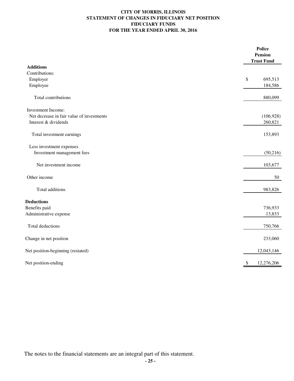#### **CITY OF MORRIS, ILLINOIS STATEMENT OF CHANGES IN FIDUCIARY NET POSITION FIDUCIARY FUNDS FOR THE YEAR ENDED APRIL 30, 2016**

|                                           | <b>Police</b><br><b>Pension</b><br><b>Trust Fund</b> |
|-------------------------------------------|------------------------------------------------------|
| <b>Additions</b>                          |                                                      |
| Contributions:                            |                                                      |
| Employer                                  | \$<br>695,513                                        |
| Employee                                  | 184,586                                              |
| Total contributions                       | 880,099                                              |
| Investment Income:                        |                                                      |
| Net decrease in fair value of investments | (106, 928)                                           |
| Interest & dividends                      | 260,821                                              |
| Total investment earnings                 | 153,893                                              |
| Less investment expenses                  |                                                      |
| Investment management fees                | (50, 216)                                            |
| Net investment income                     | 103,677                                              |
| Other income                              | 50                                                   |
| Total additions                           | 983,826                                              |
| <b>Deductions</b>                         |                                                      |
| Benefits paid                             | 736,933                                              |
| Administrative expense                    | 13,833                                               |
| Total deductions                          | 750,766                                              |
| Change in net position                    | 233,060                                              |
| Net position-beginning (restated)         | 12,043,146                                           |
| Net position-ending                       | 12,276,206<br>\$                                     |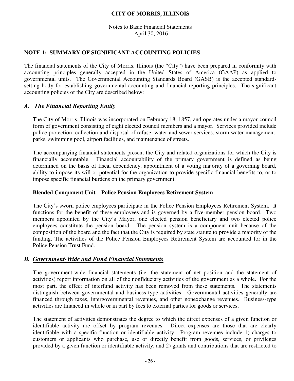Notes to Basic Financial Statements April 30, 2016

### **NOTE 1: SUMMARY OF SIGNIFICANT ACCOUNTING POLICIES**

The financial statements of the City of Morris, Illinois (the "City") have been prepared in conformity with accounting principles generally accepted in the United States of America (GAAP) as applied to governmental units. The Governmental Accounting Standards Board (GASB) is the accepted standardsetting body for establishing governmental accounting and financial reporting principles. The significant accounting policies of the City are described below:

### *A. The Financial Reporting Entity*

 The City of Morris, Illinois was incorporated on February 18, 1857, and operates under a mayor-council form of government consisting of eight elected council members and a mayor. Services provided include police protection, collection and disposal of refuse, water and sewer services, storm water management, parks, swimming pool, airport facilities, and maintenance of streets.

 The accompanying financial statements present the City and related organizations for which the City is financially accountable. Financial accountability of the primary government is defined as being determined on the basis of fiscal dependency, appointment of a voting majority of a governing board, ability to impose its will or potential for the organization to provide specific financial benefits to, or to impose specific financial burdens on the primary government.

### **Blended Component Unit – Police Pension Employees Retirement System**

The City's sworn police employees participate in the Police Pension Employees Retirement System. It functions for the benefit of these employees and is governed by a five-member pension board. Two members appointed by the City's Mayor, one elected pension beneficiary and two elected police employees constitute the pension board. The pension system is a component unit because of the composition of the board and the fact that the City is required by state statute to provide a majority of the funding. The activities of the Police Pension Employees Retirement System are accounted for in the Police Pension Trust Fund.

### *B. Government-Wide and Fund Financial Statements*

The government-wide financial statements (i.e. the statement of net position and the statement of activities) report information on all of the nonfiduciary activities of the government as a whole. For the most part, the effect of interfund activity has been removed from these statements. The statements distinguish between governmental and business-type activities. Governmental activities generally are financed through taxes, intergovernmental revenues, and other nonexchange revenues. Business-type activities are financed in whole or in part by fees to external parties for goods or services.

The statement of activities demonstrates the degree to which the direct expenses of a given function or identifiable activity are offset by program revenues. Direct expenses are those that are clearly identifiable with a specific function or identifiable activity. Program revenues include 1) charges to customers or applicants who purchase, use or directly benefit from goods, services, or privileges provided by a given function or identifiable activity, and 2) grants and contributions that are restricted to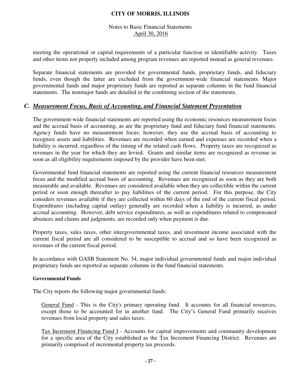### Notes to Basic Financial Statements April 30, 2016

meeting the operational or capital requirements of a particular function or identifiable activity. Taxes and other items not properly included among program revenues are reported instead as general revenues.

Separate financial statements are provided for governmental funds, proprietary funds, and fiduciary funds, even though the latter are excluded from the government-wide financial statements. Major governmental funds and major proprietary funds are reported as separate columns in the fund financial statements. The nonmajor funds are detailed in the combining section of the statements.

### *C. Measurement Focus, Basis of Accounting, and Financial Statement Presentation*

The government-wide financial statements are reported using the economic resources measurement focus and the accrual basis of accounting, as are the proprietary fund and fiduciary fund financial statements. Agency funds have no measurement focus; however, they use the accrual basis of accounting to recognize assets and liabilities. Revenues are recorded when earned and expenses are recorded when a liability is incurred, regardless of the timing of the related cash flows. Property taxes are recognized as revenues in the year for which they are levied. Grants and similar items are recognized as revenue as soon as all eligibility requirements imposed by the provider have been met.

Governmental fund financial statements are reported using the current financial resources measurement focus and the modified accrual basis of accounting. Revenues are recognized as soon as they are both measurable and available. Revenues are considered available when they are collectible within the current period or soon enough thereafter to pay liabilities of the current period. For this purpose, the City considers revenues available if they are collected within 60 days of the end of the current fiscal period. Expenditures (including capital outlay) generally are recorded when a liability is incurred, as under accrual accounting. However, debt service expenditures, as well as expenditures related to compensated absences and claims and judgments, are recorded only when payment is due.

Property taxes, sales taxes, other intergovernmental taxes, and investment income associated with the current fiscal period are all considered to be susceptible to accrual and so have been recognized as revenues of the current fiscal period.

In accordance with GASB Statement No. 34, major individual governmental funds and major individual proprietary funds are reported as separate columns in the fund financial statements.

#### **Governmental Funds**

The City reports the following major governmental funds:

General Fund - This is the City's primary operating fund. It accounts for all financial resources, except those to be accounted for in another fund. The City's General Fund primarily receives revenues from local property and sales taxes.

Tax Increment Financing Fund I - Accounts for capital improvements and community development for a specific area of the City established as the Tax Increment Financing District. Revenues are primarily comprised of incremental property tax proceeds.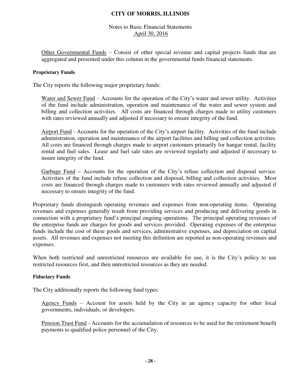### Notes to Basic Financial Statements April 30, 2016

Other Governmental Funds – Consist of other special revenue and capital projects funds that are aggregated and presented under this column in the governmental funds financial statements.

#### **Proprietary Funds**

The City reports the following major proprietary funds:

Water and Sewer Fund – Accounts for the operation of the City's water and sewer utility. Activities of the fund include administration, operation and maintenance of the water and sewer system and billing and collection activities. All costs are financed through charges made to utility customers with rates reviewed annually and adjusted if necessary to ensure integrity of the fund.

Airport Fund - Accounts for the operation of the City's airport facility. Activities of the fund include administration, operation and maintenance of the airport facilities and billing and collection activities. All costs are financed through charges made to airport customers primarily for hangar rental, facility rental and fuel sales. Lease and fuel sale rates are reviewed regularly and adjusted if necessary to insure integrity of the fund.

Garbage Fund *–* Accounts for the operation of the City's refuse collection and disposal service. Activities of the fund include refuse collection and disposal, billing and collection activities. Most costs are financed through charges made to customers with rates reviewed annually and adjusted if necessary to ensure integrity of the fund.

Proprietary funds distinguish operating revenues and expenses from non-operating items. Operating revenues and expenses generally result from providing services and producing and delivering goods in connection with a proprietary fund's principal ongoing operations. The principal operating revenues of the enterprise funds are charges for goods and services provided. Operating expenses of the enterprise funds include the cost of these goods and services, administrative expenses, and depreciation on capital assets. All revenues and expenses not meeting this definition are reported as non-operating revenues and expenses.

When both restricted and unrestricted resources are available for use, it is the City's policy to use restricted resources first, and then unrestricted resources as they are needed.

### **Fiduciary Funds**

The City additionally reports the following fund types:

Agency Funds – Account for assets held by the City in an agency capacity for other local governments, individuals, or developers.

Pension Trust Fund - Accounts for the accumulation of resources to be used for the retirement benefit payments to qualified police personnel of the City.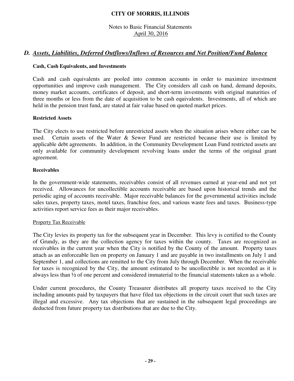### Notes to Basic Financial Statements April 30, 2016

## *D. Assets, Liabilities, Deferred Outflows/Inflows of Resources and Net Position/Fund Balance*

### **Cash, Cash Equivalents, and Investments**

 Cash and cash equivalents are pooled into common accounts in order to maximize investment opportunities and improve cash management. The City considers all cash on hand, demand deposits, money market accounts, certificates of deposit, and short-term investments with original maturities of three months or less from the date of acquisition to be cash equivalents. Investments, all of which are held in the pension trust fund, are stated at fair value based on quoted market prices.

#### **Restricted Assets**

The City elects to use restricted before unrestricted assets when the situation arises where either can be used. Certain assets of the Water & Sewer Fund are restricted because their use is limited by applicable debt agreements. In addition, in the Community Development Loan Fund restricted assets are only available for community development revolving loans under the terms of the original grant agreement.

#### **Receivables**

In the government-wide statements, receivables consist of all revenues earned at year-end and not yet received. Allowances for uncollectible accounts receivable are based upon historical trends and the periodic aging of accounts receivable. Major receivable balances for the governmental activities include sales taxes, property taxes, motel taxes, franchise fees, and various waste fees and taxes. Business-type activities report service fees as their major receivables.

### Property Tax Receivable

The City levies its property tax for the subsequent year in December. This levy is certified to the County of Grundy, as they are the collection agency for taxes within the county. Taxes are recognized as receivables in the current year when the City is notified by the County of the amount. Property taxes attach as an enforceable lien on property on January 1 and are payable in two installments on July 1 and September 1, and collections are remitted to the City from July through December. When the receivable for taxes is recognized by the City, the amount estimated to be uncollectible is not recorded as it is always less than ½ of one percent and considered immaterial to the financial statements taken as a whole.

Under current procedures, the County Treasurer distributes all property taxes received to the City including amounts paid by taxpayers that have filed tax objections in the circuit court that such taxes are illegal and excessive. Any tax objections that are sustained in the subsequent legal proceedings are deducted from future property tax distributions that are due to the City.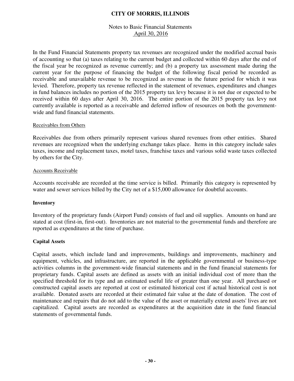### Notes to Basic Financial Statements April 30, 2016

In the Fund Financial Statements property tax revenues are recognized under the modified accrual basis of accounting so that (a) taxes relating to the current budget and collected within 60 days after the end of the fiscal year be recognized as revenue currently; and (b) a property tax assessment made during the current year for the purpose of financing the budget of the following fiscal period be recorded as receivable and unavailable revenue to be recognized as revenue in the future period for which it was levied. Therefore, property tax revenue reflected in the statement of revenues, expenditures and changes in fund balances includes no portion of the 2015 property tax levy because it is not due or expected to be received within 60 days after April 30, 2016. The entire portion of the 2015 property tax levy not currently available is reported as a receivable and deferred inflow of resources on both the governmentwide and fund financial statements.

#### Receivables from Others

Receivables due from others primarily represent various shared revenues from other entities. Shared revenues are recognized when the underlying exchange takes place. Items in this category include sales taxes, income and replacement taxes, motel taxes, franchise taxes and various solid waste taxes collected by others for the City.

#### Accounts Receivable

Accounts receivable are recorded at the time service is billed. Primarily this category is represented by water and sewer services billed by the City net of a \$15,000 allowance for doubtful accounts.

### **Inventory**

Inventory of the proprietary funds (Airport Fund) consists of fuel and oil supplies. Amounts on hand are stated at cost (first-in, first-out). Inventories are not material to the governmental funds and therefore are reported as expenditures at the time of purchase.

#### **Capital Assets**

Capital assets, which include land and improvements, buildings and improvements, machinery and equipment, vehicles, and infrastructure, are reported in the applicable governmental or business-type activities columns in the government-wide financial statements and in the fund financial statements for proprietary funds. Capital assets are defined as assets with an initial individual cost of more than the specified threshold for its type and an estimated useful life of greater than one year. All purchased or constructed capital assets are reported at cost or estimated historical cost if actual historical cost is not available. Donated assets are recorded at their estimated fair value at the date of donation. The cost of maintenance and repairs that do not add to the value of the asset or materially extend assets' lives are not capitalized. Capital assets are recorded as expenditures at the acquisition date in the fund financial statements of governmental funds.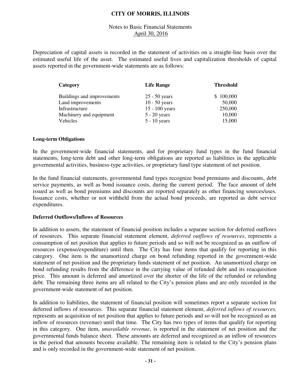### Notes to Basic Financial Statements April 30, 2016

Depreciation of capital assets is recorded in the statement of activities on a straight-line basis over the estimated useful life of the asset. The estimated useful lives and capitalization thresholds of capital assets reported in the government-wide statements are as follows:

| Category                   | <b>Life Range</b> | <b>Threshold</b> |
|----------------------------|-------------------|------------------|
| Buildings and improvements | $25 - 50$ years   | \$100,000        |
| Land improvements          | $10 - 50$ years   | 50,000           |
| Infrastructure             | $15 - 100$ years  | 250,000          |
| Machinery and equipment    | $5 - 20$ years    | 10,000           |
| Vehicles                   | $5 - 10$ years    | 15,000           |

#### **Long-term Obligations**

In the government-wide financial statements, and for proprietary fund types in the fund financial statements, long-term debt and other long-term obligations are reported as liabilities in the applicable governmental activities, business-type activities, or proprietary fund type statement of net position.

In the fund financial statements, governmental fund types recognize bond premiums and discounts, debt service payments, as well as bond issuance costs, during the current period. The face amount of debt issued as well as bond premiums and discounts are reported separately as other financing sources/uses. Issuance costs, whether or not withheld from the actual bond proceeds, are reported as debt service expenditures.

#### **Deferred Outflows/Inflows of Resources**

In addition to assets, the statement of financial position includes a separate section for deferred outflows of resources. This separate financial statement element, *deferred outflows of resources*, represents a consumption of net position that applies to future periods and so will not be recognized as an outflow of resources (expense/expenditure) until then. The City has four items that qualify for reporting in this category. One item is the unamortized charge on bond refunding reported in the government-wide statement of net position and the proprietary funds statement of net position. An unamortized charge on bond refunding results from the difference in the carrying value of refunded debt and its reacquisition price. This amount is deferred and amortized over the shorter of the life of the refunded or refunding debt. The remaining three items are all related to the City's pension plans and are only recorded in the government-wide statement of net position.

In addition to liabilities, the statement of financial position will sometimes report a separate section for deferred inflows of resources. This separate financial statement element, *deferred inflows of resources,*  represents an acquisition of net position that applies to future periods and so will not be recognized as an inflow of resources (revenue) until that time. The City has two types of items that qualify for reporting in this category. One item, *unavailable revenue*, is reported in the statement of net position and the governmental funds balance sheet. These amounts are deferred and recognized as an inflow of resources in the period that amounts become available. The remaining item is related to the City's pension plans and is only recorded in the government-wide statement of net position.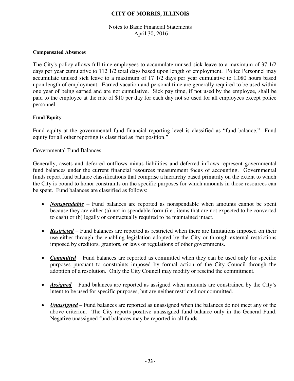## Notes to Basic Financial Statements April 30, 2016

#### **Compensated Absences**

The City's policy allows full-time employees to accumulate unused sick leave to a maximum of 37 1/2 days per year cumulative to 112 1/2 total days based upon length of employment. Police Personnel may accumulate unused sick leave to a maximum of 17 1/2 days per year cumulative to 1,080 hours based upon length of employment. Earned vacation and personal time are generally required to be used within one year of being earned and are not cumulative. Sick pay time, if not used by the employee, shall be paid to the employee at the rate of \$10 per day for each day not so used for all employees except police personnel.

### **Fund Equity**

Fund equity at the governmental fund financial reporting level is classified as "fund balance." Fund equity for all other reporting is classified as "net position."

### Governmental Fund Balances

Generally, assets and deferred outflows minus liabilities and deferred inflows represent governmental fund balances under the current financial resources measurement focus of accounting. Governmental funds report fund balance classifications that comprise a hierarchy based primarily on the extent to which the City is bound to honor constraints on the specific purposes for which amounts in those resources can be spent. Fund balances are classified as follows:

- *Nonspendable* Fund balances are reported as nonspendable when amounts cannot be spent because they are either (a) not in spendable form (i.e., items that are not expected to be converted to cash) or (b) legally or contractually required to be maintained intact.
- **Restricted** Fund balances are reported as restricted when there are limitations imposed on their use either through the enabling legislation adopted by the City or through external restrictions imposed by creditors, grantors, or laws or regulations of other governments.
- *Committed* Fund balances are reported as committed when they can be used only for specific purposes pursuant to constraints imposed by formal action of the City Council through the adoption of a resolution. Only the City Council may modify or rescind the commitment.
- *Assigned* Fund balances are reported as assigned when amounts are constrained by the City's intent to be used for specific purposes, but are neither restricted nor committed.
- *Unassigned* Fund balances are reported as unassigned when the balances do not meet any of the above criterion. The City reports positive unassigned fund balance only in the General Fund. Negative unassigned fund balances may be reported in all funds.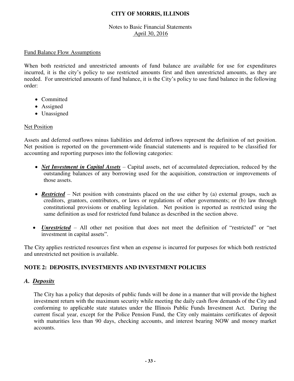## Notes to Basic Financial Statements April 30, 2016

## Fund Balance Flow Assumptions

When both restricted and unrestricted amounts of fund balance are available for use for expenditures incurred, it is the city's policy to use restricted amounts first and then unrestricted amounts, as they are needed. For unrestricted amounts of fund balance, it is the City's policy to use fund balance in the following order:

- Committed
- Assigned
- Unassigned

## Net Position

Assets and deferred outflows minus liabilities and deferred inflows represent the definition of net position. Net position is reported on the government-wide financial statements and is required to be classified for accounting and reporting purposes into the following categories:

- *Net Investment in Capital Assets* Capital assets, net of accumulated depreciation, reduced by the outstanding balances of any borrowing used for the acquisition, construction or improvements of those assets.
- **Restricted** Net position with constraints placed on the use either by (a) external groups, such as creditors, grantors, contributors, or laws or regulations of other governments; or (b) law through constitutional provisions or enabling legislation. Net position is reported as restricted using the same definition as used for restricted fund balance as described in the section above.
- *Unrestricted* All other net position that does not meet the definition of "restricted" or "net investment in capital assets".

The City applies restricted resources first when an expense is incurred for purposes for which both restricted and unrestricted net position is available.

## **NOTE 2: DEPOSITS, INVESTMENTS AND INVESTMENT POLICIES**

## *A. Deposits*

The City has a policy that deposits of public funds will be done in a manner that will provide the highest investment return with the maximum security while meeting the daily cash flow demands of the City and conforming to applicable state statutes under the Illinois Public Funds Investment Act. During the current fiscal year, except for the Police Pension Fund, the City only maintains certificates of deposit with maturities less than 90 days, checking accounts, and interest bearing NOW and money market accounts.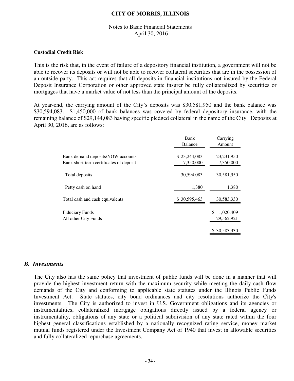## Notes to Basic Financial Statements April 30, 2016

#### **Custodial Credit Risk**

This is the risk that, in the event of failure of a depository financial institution, a government will not be able to recover its deposits or will not be able to recover collateral securities that are in the possession of an outside party. This act requires that all deposits in financial institutions not insured by the Federal Deposit Insurance Corporation or other approved state insurer be fully collateralized by securities or mortgages that have a market value of not less than the principal amount of the deposits.

At year-end, the carrying amount of the City's deposits was \$30,581,950 and the bank balance was \$30,594,083. \$1,450,000 of bank balances was covered by federal depository insurance, with the remaining balance of \$29,144,083 having specific pledged collateral in the name of the City. Deposits at April 30, 2016, are as follows:

|                                                                              | Bank<br>Balance           | Carrying<br>Amount           |
|------------------------------------------------------------------------------|---------------------------|------------------------------|
| Bank demand deposits/NOW accounts<br>Bank short-term certificates of deposit | \$23,244,083<br>7,350,000 | 23,231,950<br>7,350,000      |
| Total deposits                                                               | 30,594,083                | 30,581,950                   |
| Petty cash on hand                                                           | 1,380                     | 1,380                        |
| Total cash and cash equivalents                                              | \$30,595,463              | 30,583,330                   |
| <b>Fiduciary Funds</b><br>All other City Funds                               |                           | 1,020,409<br>S<br>29,562,921 |
|                                                                              |                           | \$30,583,330                 |

## *B. Investments*

The City also has the same policy that investment of public funds will be done in a manner that will provide the highest investment return with the maximum security while meeting the daily cash flow demands of the City and conforming to applicable state statutes under the Illinois Public Funds Investment Act. State statutes, city bond ordinances and city resolutions authorize the City's investments. The City is authorized to invest in U.S. Government obligations and its agencies or instrumentalities, collateralized mortgage obligations directly issued by a federal agency or instrumentality, obligations of any state or a political subdivision of any state rated within the four highest general classifications established by a nationally recognized rating service, money market mutual funds registered under the Investment Company Act of 1940 that invest in allowable securities and fully collateralized repurchase agreements.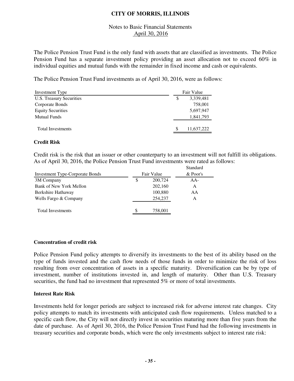## Notes to Basic Financial Statements April 30, 2016

The Police Pension Trust Fund is the only fund with assets that are classified as investments. The Police Pension Fund has a separate investment policy providing an asset allocation not to exceed 60% in individual equities and mutual funds with the remainder in fixed income and cash or equivalents.

The Police Pension Trust Fund investments as of April 30, 2016, were as follows:

| Investment Type          | Fair Value      |            |
|--------------------------|-----------------|------------|
| U.S. Treasury Securities | 3,339,481<br>\$ |            |
| Corporate Bonds          |                 | 758,001    |
| <b>Equity Securities</b> |                 | 5,697,947  |
| <b>Mutual Funds</b>      |                 | 1,841,793  |
|                          |                 |            |
| <b>Total Investments</b> |                 | 11,637,222 |

#### **Credit Risk**

Credit risk is the risk that an issuer or other counterparty to an investment will not fulfill its obligations. As of April 30, 2016, the Police Pension Trust Fund investments were rated as follows:

|                                        |   |            | Standard   |
|----------------------------------------|---|------------|------------|
| <b>Investment Type-Corporate Bonds</b> |   | Fair Value | $&$ Poor's |
| 3M Company                             | S | 200,724    | $AA-$      |
| Bank of New York Mellon                |   | 202,160    | A          |
| Berkshire Hathaway                     |   | 100,880    | AA         |
| Wells Fargo & Company                  |   | 254,237    | A          |
|                                        |   |            |            |
| <b>Total Investments</b>               | S | 758,001    |            |
|                                        |   |            |            |

#### **Concentration of credit risk**

Police Pension Fund policy attempts to diversify its investments to the best of its ability based on the type of funds invested and the cash flow needs of those funds in order to minimize the risk of loss resulting from over concentration of assets in a specific maturity. Diversification can be by type of investment, number of institutions invested in, and length of maturity. Other than U.S. Treasury securities, the fund had no investment that represented 5% or more of total investments.

#### **Interest Rate Risk**

Investments held for longer periods are subject to increased risk for adverse interest rate changes. City policy attempts to match its investments with anticipated cash flow requirements. Unless matched to a specific cash flow, the City will not directly invest in securities maturing more than five years from the date of purchase. As of April 30, 2016, the Police Pension Trust Fund had the following investments in treasury securities and corporate bonds, which were the only investments subject to interest rate risk: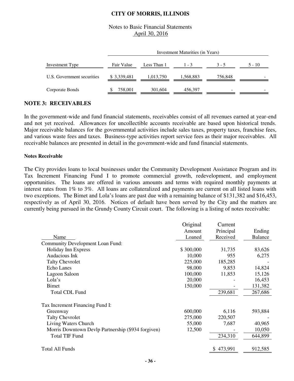## Notes to Basic Financial Statements April 30, 2016

|                            |              | Investment Maturities (in Years) |           |         |          |  |  |
|----------------------------|--------------|----------------------------------|-----------|---------|----------|--|--|
| Investment Type            | Fair Value   | Less Than 1                      | $1 - 3$   | $3 - 5$ | $5 - 10$ |  |  |
| U.S. Government securities | \$ 3,339,481 | 1,013,750                        | 1,568,883 | 756.848 |          |  |  |
| Corporate Bonds            | 758,001      | 301,604                          | 456,397   | -       |          |  |  |

## **NOTE 3: RECEIVABLES**

In the government-wide and fund financial statements, receivables consist of all revenues earned at year-end and not yet received. Allowances for uncollectible accounts receivable are based upon historical trends. Major receivable balances for the governmental activities include sales taxes, property taxes, franchise fees, and various waste fees and taxes. Business-type activities report service fees as their major receivables. All receivable balances are presented in detail in the government-wide and fund financial statements.

#### **Notes Receivable**

The City provides loans to local businesses under the Community Development Assistance Program and its Tax Increment Financing Fund I to promote commercial growth, redevelopment, and employment opportunities. The loans are offered in various amounts and terms with required monthly payments at interest rates from 1% to 3%. All loans are collateralized and payments are current on all listed loans with two exceptions. The Bimet and Lola's loans are past due with a remaining balance of \$131,382 and \$16,453, respectively as of April 30, 2016. Notices of default have been served by the City and the matters are currently being pursued in the Grundy County Circuit court. The following is a listing of notes receivable:

|                                                    | Original  | Current   |                |
|----------------------------------------------------|-----------|-----------|----------------|
|                                                    | Amount    | Principal | Ending         |
| Name                                               | Loaned    | Received  | <b>Balance</b> |
| <b>Community Development Loan Fund:</b>            |           |           |                |
| Holiday Inn Express                                | \$300,000 | 31,735    | 83,626         |
| Audacious Ink                                      | 10,000    | 955       | 6,275          |
| <b>Talty Chevrolet</b>                             | 225,000   | 185,285   |                |
| Echo Lanes                                         | 98,000    | 9,853     | 14,824         |
| Lagoon Saloon                                      | 100,000   | 11,853    | 15,126         |
| Lola's                                             | 20,000    |           | 16,453         |
| <b>Bimet</b>                                       | 150,000   |           | 131,382        |
| <b>Total CDL Fund</b>                              |           | 239,681   | 267,686        |
| Tax Increment Financing Fund I:                    |           |           |                |
| Greenway                                           | 600,000   | 6,116     | 593,884        |
| <b>Talty Chevrolet</b>                             | 275,000   | 220,507   |                |
| Living Waters Church                               | 55,000    | 7,687     | 40,965         |
| Morris Downtown Devlp Partnership (\$934 forgiven) | 12,500    |           | 10,050         |
| <b>Total TIF Fund</b>                              |           | 234,310   | 644,899        |
| <b>Total All Funds</b>                             |           | \$473,991 | 912,585        |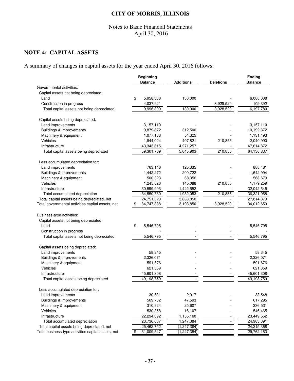## Notes to Basic Financial Statements April 30, 2016

# **NOTE 4: CAPITAL ASSETS**

A summary of changes in capital assets for the year ended April 30, 2016 follows:

|                                                    | <b>Beginning</b> |                  |                          | <b>Ending</b>  |
|----------------------------------------------------|------------------|------------------|--------------------------|----------------|
|                                                    | <b>Balance</b>   | <b>Additions</b> | <b>Deletions</b>         | <b>Balance</b> |
| Governmental activities:                           |                  |                  |                          |                |
| Capital assets not being depreciated:              |                  |                  |                          |                |
| Land                                               | \$<br>5,958,388  | 130,000          |                          | 6,088,388      |
| Construction in progress                           | 4,037,921        |                  | 3,928,529                | 109,392        |
| Total capital assets not being depreciated         | 9,996,309        | 130,000          | 3,928,529                | 6,197,780      |
| Capital assets being depreciated:                  |                  |                  |                          |                |
| Land improvements                                  | 3,157,110        |                  |                          | 3,157,110      |
| Buildings & improvements                           | 9,879,872        | 312,500          |                          | 10,192,372     |
| Machinery & equipment                              | 1,077,168        | 54,325           |                          | 1,131,493      |
| Vehicles                                           | 1,844,024        | 407,821          | 210,855                  | 2,040,990      |
| Infrastructure                                     | 43,343,615       | 4,271,257        |                          | 47,614,872     |
| Total capital assets being depreciated             | 59,301,789       | 5,045,903        | 210,855                  | 64,136,837     |
| Less accumulated depreciation for:                 |                  |                  |                          |                |
| Land improvements                                  | 763,146          | 125,335          |                          | 888,481        |
| Buildings & improvements                           | 1,442,272        | 200,722          |                          | 1,642,994      |
| Machinery & equipment                              | 500,323          | 68,356           |                          | 568,679        |
| Vehicles                                           | 1,245,026        | 145,088          | 210,855                  | 1,179,259      |
| Infrastructure                                     | 30,599,993       | 1,442,552        |                          | 32,042,545     |
| Total accumulated depreciation                     | 34,550,760       | 1,982,053        | 210,855                  | 36,321,958     |
| Total capital assets being depreciated, net        | 24,751,029       | 3,063,850        |                          | 27,814,879     |
| Total governmental activities capital assets, net  | 34,747,338<br>\$ | 3,193,850        | 3,928,529                | 34,012,659     |
| Business-type activities:                          |                  |                  |                          |                |
| Capital assets not being depreciated:              |                  |                  |                          |                |
| Land                                               | \$<br>5,546,795  |                  |                          | 5,546,795      |
| Construction in progress                           |                  |                  |                          |                |
| Total capital assets not being depreciated         | 5,546,795        |                  |                          | 5,546,795      |
| Capital assets being depreciated:                  |                  |                  |                          |                |
| Land improvements                                  | 58,345           |                  |                          | 58,345         |
| Buildings & improvements                           | 2,326,071        |                  |                          | 2,326,071      |
| Machinery & equipment                              | 591,676          |                  |                          | 591,676        |
| Vehicles                                           | 621,359          |                  |                          | 621,359        |
| Infrastructure                                     | 45,601,308       |                  |                          | 45,601,308     |
| Total capital assets being depreciated             | 49,198,759       |                  |                          | 49,198,759     |
| ess accumulated depreciation for:                  |                  |                  |                          |                |
| Land improvements                                  | 30,631           | 2,917            |                          | 33,548         |
| Buildings & improvements                           | 569,702          | 47,593           |                          | 617,295        |
| Machinery & equipment                              | 310,924          | 25,607           |                          | 336,531        |
| Vehicles                                           | 530,358          | 16,107           |                          | 546,465        |
| Infrastructure                                     | 22,294,392       | 1,155,160        |                          | 23,449,552     |
| Total accumulated depreciation                     | 23,736,007       | 1,247,384        |                          | 24,983,391     |
| Total capital assets being depreciated, net        | 25,462,752       | (1, 247, 384)    | $\overline{\phantom{a}}$ | 24,215,368     |
| Total business-type activities capital assets, net | 31,009,547<br>\$ | (1, 247, 384)    |                          | 29,762,163     |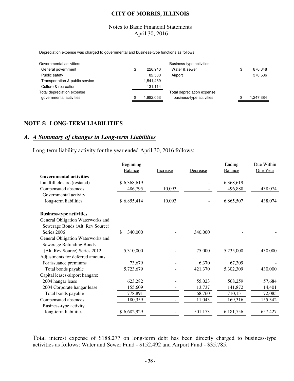## Notes to Basic Financial Statements April 30, 2016

Depreciation expense was charged to governmental and business-type functions as follows:

| Governmental activities:        |               | Business-type activities:  |                 |
|---------------------------------|---------------|----------------------------|-----------------|
| General government              | \$<br>226.940 | Water & sewer              | \$<br>876.848   |
| Public safety                   | 82.530        | Airport                    | 370.536         |
| Transportation & public service | .541,469      |                            |                 |
| Culture & recreation            | 131,114       |                            |                 |
| Total depreciation expense      |               | Total depreciation expense |                 |
| governmental activities         | 1.982.053     | business-type activities   | \$<br>1.247.384 |

#### **NOTE 5: LONG-TERM LIABILITIES**

# *A. A Summary of changes in Long-term Liabilities*

Long-term liability activity for the year ended April 30, 2016 follows:

|                                   | Beginning      |          |          | Ending         | Due Within |
|-----------------------------------|----------------|----------|----------|----------------|------------|
|                                   | <b>Balance</b> | Increase | Decrease | <b>Balance</b> | One Year   |
| <b>Governmental activities</b>    |                |          |          |                |            |
| Landfill closure (restated)       | \$6,368,619    |          |          | 6,368,619      |            |
| Compensated absences              | 486,795        | 10,093   |          | 496,888        | 438,074    |
| Governmental activity             |                |          |          |                |            |
| long-term liabilities             | \$6,855,414    | 10,093   |          | 6,865,507      | 438,074    |
| <b>Business-type activities</b>   |                |          |          |                |            |
| General Obligation Waterworks and |                |          |          |                |            |
| Sewerage Bonds (Alt. Rev Source)  |                |          |          |                |            |
| Series 2006                       | \$<br>340,000  |          | 340,000  |                |            |
| General Obligation Waterworks and |                |          |          |                |            |
| <b>Sewerage Refunding Bonds</b>   |                |          |          |                |            |
| (Alt. Rev Source) Series 2012     | 5,310,000      |          | 75,000   | 5,235,000      | 430,000    |
| Adjustments for deferred amounts: |                |          |          |                |            |
| For issuance premiums             | 73,679         |          | 6,370    | 67,309         |            |
| Total bonds payable               | 5,723,679      |          | 421,370  | 5,302,309      | 430,000    |
| Capital leases-airport hangars:   |                |          |          |                |            |
| 2004 hangar lease                 | 623,282        |          | 55,023   | 568,259        | 57,684     |
| 2004 Corporate hangar lease       | 155,609        |          | 13,737   | 141,872        | 14,401     |
| Total bonds payable               | 778,891        |          | 68,760   | 710,131        | 72,085     |
| Compensated absences              | 180,359        |          | 11,043   | 169,316        | 155,342    |
| Business-type activity            |                |          |          |                |            |
| long-term liabilities             | \$6,682,929    |          | 501,173  | 6,181,756      | 657,427    |

Total interest expense of \$188,277 on long-term debt has been directly charged to business-type activities as follows: Water and Sewer Fund - \$152,492 and Airport Fund - \$35,785.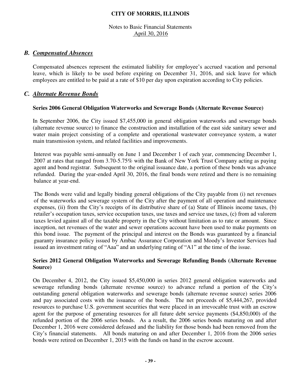## Notes to Basic Financial Statements April 30, 2016

## *B. Compensated Absences*

Compensated absences represent the estimated liability for employee's accrued vacation and personal leave, which is likely to be used before expiring on December 31, 2016, and sick leave for which employees are entitled to be paid at a rate of \$10 per day upon expiration according to City policies.

## *C. Alternate Revenue Bonds*

#### **Series 2006 General Obligation Waterworks and Sewerage Bonds (Alternate Revenue Source)**

In September 2006, the City issued \$7,455,000 in general obligation waterworks and sewerage bonds (alternate revenue source) to finance the construction and installation of the east side sanitary sewer and water main project consisting of a complete and operational wastewater conveyance system, a water main transmission system, and related facilities and improvements.

Interest was payable semi-annually on June 1 and December 1 of each year, commencing December 1, 2007 at rates that ranged from 3.70-5.75% with the Bank of New York Trust Company acting as paying agent and bond registrar. Subsequent to the original issuance date, a portion of these bonds was advance refunded. During the year-ended April 30, 2016, the final bonds were retired and there is no remaining balance at year-end.

The Bonds were valid and legally binding general obligations of the City payable from (i) net revenues of the waterworks and sewerage system of the City after the payment of all operation and maintenance expenses, (ii) from the City's receipts of its distributive share of (a) State of Illinois income taxes, (b) retailer's occupation taxes, service occupation taxes, use taxes and service use taxes, (c) from ad valorem taxes levied against all of the taxable property in the City without limitation as to rate or amount. Since inception, net revenues of the water and sewer operations account have been used to make payments on this bond issue. The payment of the principal and interest on the Bonds was guaranteed by a financial guaranty insurance policy issued by Ambac Assurance Corporation and Moody's Investor Services had issued an investment rating of "Aaa" and an underlying rating of "A1" at the time of the issue.

## **Series 2012 General Obligation Waterworks and Sewerage Refunding Bonds (Alternate Revenue Source)**

On December 4, 2012, the City issued \$5,450,000 in series 2012 general obligation waterworks and sewerage refunding bonds (alternate revenue source) to advance refund a portion of the City's outstanding general obligation waterworks and sewerage bonds (alternate revenue source) series 2006 and pay associated costs with the issuance of the bonds. The net proceeds of \$5,444,267, provided resources to purchase U.S. government securities that were placed in an irrevocable trust with an escrow agent for the purpose of generating resources for all future debt service payments (\$4,850,000) of the refunded portion of the 2006 series bonds. As a result, the 2006 series bonds maturing on and after December 1, 2016 were considered defeased and the liability for those bonds had been removed from the City's financial statements. All bonds maturing on and after December 1, 2016 from the 2006 series bonds were retired on December 1, 2015 with the funds on hand in the escrow account.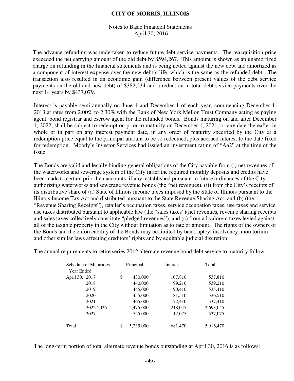## Notes to Basic Financial Statements April 30, 2016

The advance refunding was undertaken to reduce future debt service payments. The reacquisition price exceeded the net carrying amount of the old debt by \$594,267. This amount is shown as an unamortized charge on refunding in the financial statements and is being netted against the new debt and amortized as a component of interest expense over the new debt's life, which is the same as the refunded debt. The transaction also resulted in an economic gain (difference between present values of the debt service payments on the old and new debt) of \$382,234 and a reduction in total debt service payments over the next 14 years by \$437,079.

Interest is payable semi-annually on June 1 and December 1 of each year, commencing December 1, 2013 at rates from 2.00% to 2.30% with the Bank of New York Mellon Trust Company acting as paying agent, bond registrar and escrow agent for the refunded bonds. Bonds maturing on and after December 1, 2022, shall be subject to redemption prior to maturity on December 1, 2021, or any date thereafter in whole or in part on any interest payment date, in any order of maturity specified by the City at a redemption price equal to the principal amount to be so redeemed, plus accrued interest to the date fixed for redemption. Moody's Investor Services had issued an investment rating of "Aa2" at the time of the issue.

The Bonds are valid and legally binding general obligations of the City payable from (i) net revenues of the waterworks and sewerage system of the City (after the required monthly deposits and credits have been made to certain prior lien accounts, if any, established pursuant to future ordinances of the City authorizing waterworks and sewerage revenue bonds (the "net revenues), (ii) from the City's receipts of its distributive share of (a) State of Illinois income taxes imposed by the State of Illinois pursuant to the Illinois Income Tax Act and distributed pursuant to the State Revenue Sharing Act, and (b) (the "Revenue Sharing Receipts"), retailer's occupation taxes, service occupation taxes, use taxes and service use taxes distributed pursuant to applicable law (the "sales taxes")(net revenues, revenue sharing receipts and sales taxes collectively constitute "pledged revenues"), and (c) from ad valorem taxes levied against all of the taxable property in the City without limitation as to rate or amount. The rights of the owners of the Bonds and the enforceability of the Bonds may be limited by bankruptcy, insolvency, moratorium and other similar laws affecting creditors' rights and by equitable judicial discretion.

| The annual requirements to retire series 2012 alternate revenue bond debt service to maturity follow: |  |
|-------------------------------------------------------------------------------------------------------|--|
|-------------------------------------------------------------------------------------------------------|--|

| Schedule of Maturities | Principal        | Interest | Total     |
|------------------------|------------------|----------|-----------|
| Year Ended:            |                  |          |           |
| April 30, 2017         | \$<br>430,000    | 107,810  | 537,810   |
| 2018                   | 440,000          | 99,210   | 539,210   |
| 2019                   | 445,000          | 90,410   | 535,410   |
| 2020                   | 455,000          | 81,510   | 536,510   |
| 2021                   | 465,000          | 72,410   | 537,410   |
| 2022-2026              | 2,475,000        | 218,045  | 2,693,045 |
| 2027                   | 525,000          | 12,075   | 537,075   |
| Total                  | \$.<br>5,235,000 | 681,470  | 5,916,470 |

The long-term portion of total alternate revenue bonds outstanding at April 30, 2016 is as follows: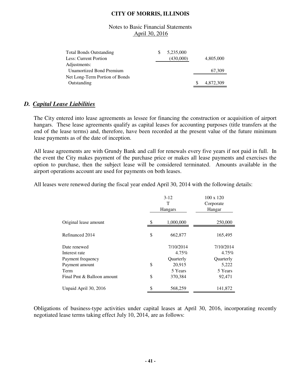## Notes to Basic Financial Statements April 30, 2016

| <b>Total Bonds Outstanding</b> | 5,235,000 |           |
|--------------------------------|-----------|-----------|
| Less: Current Portion          | (430,000) | 4,805,000 |
| Adjustments:                   |           |           |
| Unamortized Bond Premium       |           | 67,309    |
| Net Long-Term Portion of Bonds |           |           |
| Outstanding                    |           | 4,872,309 |

# *D. Capital Lease Liabilities*

The City entered into lease agreements as lessee for financing the construction or acquisition of airport hangars. These lease agreements qualify as capital leases for accounting purposes (title transfers at the end of the lease terms) and, therefore, have been recorded at the present value of the future minimum lease payments as of the date of inception.

All lease agreements are with Grundy Bank and call for renewals every five years if not paid in full. In the event the City makes payment of the purchase price or makes all lease payments and exercises the option to purchase, then the subject lease will be considered terminated. Amounts available in the airport operations account are used for payments on both leases.

All leases were renewed during the fiscal year ended April 30, 2014 with the following details:

|                            | $3-12$<br>T<br>Hangars |           | 100 x 120<br>Corporate<br>Hangar |
|----------------------------|------------------------|-----------|----------------------------------|
| Original lease amount      | \$                     | 1,000,000 | 250,000                          |
| Refinanced 2014            | \$                     | 662,877   | 165,495                          |
| Date renewed               |                        | 7/10/2014 | 7/10/2014                        |
| Interest rate              |                        | 4.75%     | 4.75%                            |
| Payment frequency          |                        | Quarterly | Quarterly                        |
| Payment amount             | \$                     | 20,915    | 5,222                            |
| Term                       |                        | 5 Years   | 5 Years                          |
| Final Pmt & Balloon amount | \$                     | 370,384   | 92,471                           |
| Unpaid April 30, 2016      |                        | 568,259   | 141,872                          |

Obligations of business-type activities under capital leases at April 30, 2016, incorporating recently negotiated lease terms taking effect July 10, 2014, are as follows: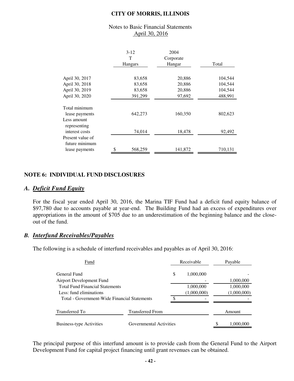#### Notes to Basic Financial Statements April 30, 2016

|                                                      | $3 - 12$<br>т<br>Hangars | 2004<br>Corporate<br>Hangar | Total   |
|------------------------------------------------------|--------------------------|-----------------------------|---------|
| April 30, 2017                                       | 83,658                   | 20,886                      | 104,544 |
| April 30, 2018                                       | 83,658                   | 20,886                      | 104,544 |
| April 30, 2019                                       | 83,658                   | 20,886                      | 104,544 |
| April 30, 2020                                       | 391,299                  | 97,692                      | 488,991 |
| Total minimum<br>lease payments<br>Less amount       | 642,273                  | 160,350                     | 802,623 |
| representing<br>interest costs                       | 74,014                   | 18,478                      | 92,492  |
| Present value of<br>future minimum<br>lease payments | \$<br>568,259            | 141,872                     | 710,131 |

## **NOTE 6: INDIVIDUAL FUND DISCLOSURES**

## *A. Deficit Fund Equity*

For the fiscal year ended April 30, 2016, the Marina TIF Fund had a deficit fund equity balance of \$97,780 due to accounts payable at year-end. The Building Fund had an excess of expenditures over appropriations in the amount of \$705 due to an underestimation of the beginning balance and the closeout of the fund.

## *B. Interfund Receivables/Payables*

The following is a schedule of interfund receivables and payables as of April 30, 2016:

| Fund                                                              |                         | Receivable               |   | Payable                  |
|-------------------------------------------------------------------|-------------------------|--------------------------|---|--------------------------|
| General Fund<br>Airport Development Fund                          |                         | \$<br>1,000,000          |   | 1,000,000                |
| <b>Total Fund Financial Statements</b><br>Less: fund eliminations |                         | 1,000,000<br>(1,000,000) |   | 1,000,000<br>(1,000,000) |
| Total - Government-Wide Financial Statements                      |                         |                          |   |                          |
| Transferred To                                                    | <b>Transferred From</b> |                          |   | Amount                   |
| <b>Business-type Activities</b>                                   | Governmental Activities |                          | S | 1,000,000                |

The principal purpose of this interfund amount is to provide cash from the General Fund to the Airport Development Fund for capital project financing until grant revenues can be obtained.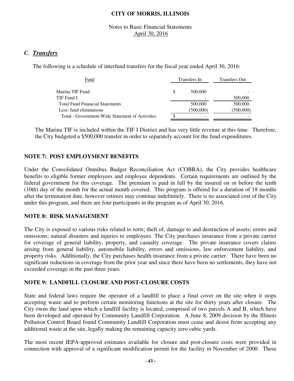## Notes to Basic Financial Statements April 30, 2016

# *C. Transfers*

The following is a schedule of interfund transfers for the fiscal year ended April 30, 2016:

| Fund                                            |   | Transfers In | <b>Transfers Out</b> |
|-------------------------------------------------|---|--------------|----------------------|
|                                                 |   |              |                      |
| Marina TIF Fund                                 | S | 500,000      |                      |
| TIF Fund I                                      |   |              | 500,000              |
| <b>Total Fund Financial Statements</b>          |   | 500,000      | 500,000              |
| Less: fund eliminations                         |   | (500,000)    | (500,000)            |
| Total - Government-Wide Statement of Activities |   |              |                      |

The Marina TIF is included within the TIF I District and has very little revenue at this time. Therefore, the City budgeted a \$500,000 transfer in order to separately account for the fund expenditures.

## **NOTE 7: POST EMPLOYMENT BENEFITS**

Under the Consolidated Omnibus Budget Reconciliation Act (COBRA), the City provides healthcare benefits to eligible former employees and employee dependents. Certain requirements are outlined by the federal government for this coverage. The premium is paid in full by the insured on or before the tenth (10th) day of the month for the actual month covered. This program is offered for a duration of 18 months after the termination date, however retirees may continue indefinitely. There is no associated cost of the City under this program, and there are four participants in the program as of April 30, 2016.

## **NOTE 8: RISK MANAGEMENT**

The City is exposed to various risks related to torts; theft of, damage to and destruction of assets; errors and omissions; natural disasters and injuries to employees. The City purchases insurance from a private carrier for coverage of general liability, property, and casualty coverage. The private insurance covers claims arising from general liability, automobile liability, errors and omissions, law enforcement liability, and property risks. Additionally, the City purchases health insurance from a private carrier. There have been no significant reductions in coverage from the prior year and since there have been no settlements, they have not exceeded coverage in the past three years.

## **NOTE 9: LANDFILL CLOSURE AND POST-CLOSURE COSTS**

State and federal laws require the operator of a landfill to place a final cover on the site when it stops accepting waste and to perform certain monitoring functions at the site for thirty years after closure. The City owns the land upon which a landfill facility is located, comprised of two parcels A and B, which have been developed and operated by Community Landfill Corporation. A June 8, 2009 decision by the Illinois Pollution Control Board found Community Landfill Corporation must cease and desist from accepting any additional waste at the site, legally making the remaining capacity zero cubic yards.

The most recent IEPA-approved estimates available for closure and post-closure costs were provided in connection with approval of a significant modification permit for the facility in November of 2000. These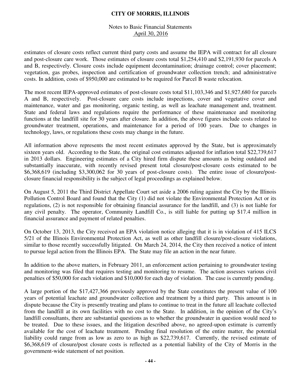## Notes to Basic Financial Statements April 30, 2016

estimates of closure costs reflect current third party costs and assume the IEPA will contract for all closure and post-closure care work. Those estimates of closure costs total \$1,254,410 and \$2,191,930 for parcels A and B, respectively. Closure costs include equipment decontamination; drainage control; cover placement; vegetation, gas probes, inspection and certification of groundwater collection trench; and administrative costs. In addition, costs of \$950,000 are estimated to be required for Parcel B waste relocation.

The most recent IEPA-approved estimates of post-closure costs total \$11,103,346 and \$1,927,680 for parcels A and B, respectively. Post-closure care costs include inspections, cover and vegetative cover and maintenance, water and gas monitoring, organic testing, as well as leachate management and, treatment. State and federal laws and regulations require the performance of these maintenance and monitoring functions at the landfill site for 30 years after closure. In addition, the above figures include costs related to groundwater treatment, operations, and maintenance for a period of 100 years. Due to changes in technology, laws, or regulations these costs may change in the future.

All information above represents the most recent estimates approved by the State, but is approximately sixteen years old. According to the State, the original cost estimates adjusted for inflation total \$22,739,617 in 2013 dollars. Engineering estimates of a City hired firm dispute these amounts as being outdated and substantially inaccurate, with recently revised present total closure/post-closure costs estimated to be \$6,368,619 (including \$3,300,062 for 30 years of post-closure costs). The entire issue of closure/postclosure financial responsibility is the subject of legal proceedings as explained below.

On August 5, 2011 the Third District Appellate Court set aside a 2006 ruling against the City by the Illinois Pollution Control Board and found that the City (1) did not violate the Environmental Protection Act or its regulations, (2) is not responsible for obtaining financial assurance for the landfill, and (3) is not liable for any civil penalty. The operator, Community Landfill Co., is still liable for putting up \$17.4 million in financial assurance and payment of related penalties.

On October 13, 2013, the City received an EPA violation notice alleging that it is in violation of 415 ILCS 5/21 of the Illinois Environmental Protection Act, as well as other landfill closure/post-closure violations, similar to those recently successfully litigated. On March 24, 2014, the City then received a notice of intent to pursue legal action from the Illinois EPA. The State may file an action in the near future.

In addition to the above matters, in February 2011, an enforcement action pertaining to groundwater testing and monitoring was filed that requires testing and monitoring to resume. The action assesses various civil penalties of \$50,000 for each violation and \$10,000 for each day of violation. The case is currently pending.

A large portion of the \$17,427,366 previously approved by the State constitutes the present value of 100 years of potential leachate and groundwater collection and treatment by a third party. This amount is in dispute because the City is presently treating and plans to continue to treat in the future all leachate collected from the landfill at its own facilities with no cost to the State. In addition, in the opinion of the City's landfill consultants, there are substantial questions as to whether the groundwater in question would need to be treated. Due to these issues, and the litigation described above, no agreed-upon estimate is currently available for the cost of leachate treatment. Pending final resolution of the entire matter, the potential liability could range from as low as zero to as high as \$22,739,617. Currently, the revised estimate of \$6,368,619 of closure/post closure costs is reflected as a potential liability of the City of Morris in the government-wide statement of net position.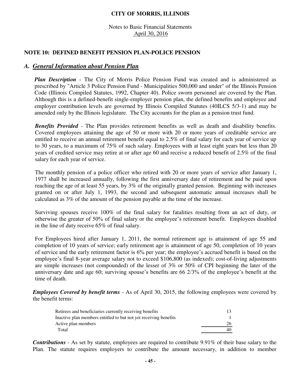Notes to Basic Financial Statements April 30, 2016

### **NOTE 10: DEFINED BENEFIT PENSION PLAN-POLICE PENSION**

## *A. General Information about Pension Plan*

*Plan Description* - The City of Morris Police Pension Fund was created and is administered as prescribed by "Article 3 Police Pension Fund - Municipalities 500,000 and under" of the Illinois Pension Code (Illinois Compiled Statutes, 1992, Chapter 40). Police sworn personnel are covered by the Plan. Although this is a defined-benefit single-employer pension plan, the defined benefits and employee and employer contribution levels are governed by Illinois Compiled Statutes (40ILCS 5/3-1) and may be amended only by the Illinois legislature. The City accounts for the plan as a pension trust fund.

*Benefits Provided* - The Plan provides retirement benefits as well as death and disability benefits. Covered employees attaining the age of 50 or more with 20 or more years of creditable service are entitled to receive an annual retirement benefit equal to 2.5% of final salary for each year of service up to 30 years, to a maximum of 75% of such salary. Employees with at least eight years but less than 20 years of credited service may retire at or after age 60 and receive a reduced benefit of 2.5% of the final salary for each year of service.

The monthly pension of a police officer who retired with 20 or more years of service after January 1, 1977 shall be increased annually, following the first anniversary date of retirement and be paid upon reaching the age of at least 55 years, by 3% of the originally granted pension. Beginning with increases granted on or after July 1, 1993, the second and subsequent automatic annual increases shall be calculated as 3% of the amount of the pension payable at the time of the increase.

Surviving spouses receive 100% of the final salary for fatalities resulting from an act of duty, or otherwise the greater of 50% of final salary or the employee's retirement benefit. Employees disabled in the line of duty receive 65% of final salary.

For Employees hired after January 1, 2011, the normal retirement age is attainment of age 55 and completion of 10 years of service; early retirement age is attainment of age 50, completion of 10 years of service and the early retirement factor is 6% per year; the employee's accrued benefit is based on the employee's final 8-year average salary not to exceed \$106,800 (as indexed); cost-of-living adjustments are simple increases (not compounded) of the lesser of 3% or 50% of CPI beginning the later of the anniversary date and age 60; surviving spouse's benefits are 66 2/3% of the employee's benefit at the time of death.

*Employees Covered by benefit terms* - As of April 30, 2015, the following employees were covered by the benefit terms:

| Retirees and beneficiaries currently receiving benefits          |    |
|------------------------------------------------------------------|----|
| Inactive plan members entitled to but not yet receiving benefits |    |
| Active plan members                                              | 26 |
| Total                                                            | 40 |

*Contributions* - As set by statute, employees are required to contribute 9.91% of their base salary to the Plan. The statute requires employers to contribute the amount necessary, in addition to member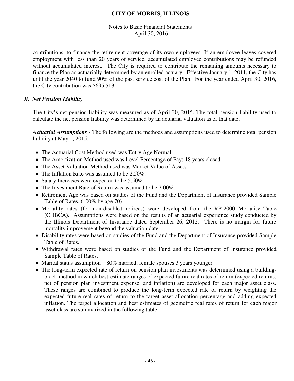## Notes to Basic Financial Statements April 30, 2016

contributions, to finance the retirement coverage of its own employees. If an employee leaves covered employment with less than 20 years of service, accumulated employee contributions may be refunded without accumulated interest. The City is required to contribute the remaining amounts necessary to finance the Plan as actuarially determined by an enrolled actuary. Effective January 1, 2011, the City has until the year 2040 to fund 90% of the past service cost of the Plan. For the year ended April 30, 2016, the City contribution was \$695,513.

## *B. Net Pension Liability*

The City's net pension liability was measured as of April 30, 2015. The total pension liability used to calculate the net pension liability was determined by an actuarial valuation as of that date.

*Actuarial Assumptions* - The following are the methods and assumptions used to determine total pension liability at May 1, 2015:

- The Actuarial Cost Method used was Entry Age Normal.
- The Amortization Method used was Level Percentage of Pay: 18 years closed
- The Asset Valuation Method used was Market Value of Assets.
- The Inflation Rate was assumed to be 2.50%.
- Salary Increases were expected to be 5.50%.
- The Investment Rate of Return was assumed to be 7.00%.
- Retirement Age was based on studies of the Fund and the Department of Insurance provided Sample Table of Rates. (100% by age 70)
- Mortality rates (for non-disabled retirees) were developed from the RP-2000 Mortality Table (CHBCA). Assumptions were based on the results of an actuarial experience study conducted by the Illinois Department of Insurance dated September 26, 2012. There is no margin for future mortality improvement beyond the valuation date.
- Disability rates were based on studies of the Fund and the Department of Insurance provided Sample Table of Rates.
- Withdrawal rates were based on studies of the Fund and the Department of Insurance provided Sample Table of Rates.
- Marital status assumption 80% married, female spouses 3 years younger.
- The long-term expected rate of return on pension plan investments was determined using a buildingblock method in which best-estimate ranges of expected future real rates of return (expected returns, net of pension plan investment expense, and inflation) are developed for each major asset class. These ranges are combined to produce the long-term expected rate of return by weighting the expected future real rates of return to the target asset allocation percentage and adding expected inflation. The target allocation and best estimates of geometric real rates of return for each major asset class are summarized in the following table: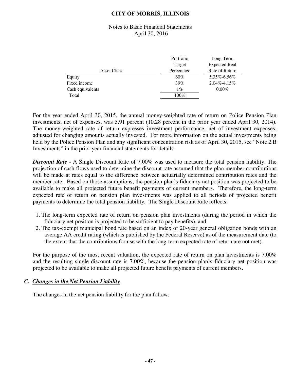### Notes to Basic Financial Statements April 30, 2016

|                    | Portfolio  | Long-Term            |
|--------------------|------------|----------------------|
|                    | Target     | <b>Expected Real</b> |
| <b>Asset Class</b> | Percentage | Rate of Return       |
| Equity             | 60%        | 5.35%-6.56%          |
| Fixed income       | 39%        | $2.04\% - 4.15\%$    |
| Cash equivalents   | $1\%$      | $0.00\%$             |
| Total              | $100\%$    |                      |

For the year ended April 30, 2015, the annual money-weighted rate of return on Police Pension Plan investments, net of expenses, was 5.91 percent (10.28 percent in the prior year ended April 30, 2014). The money-weighted rate of return expresses investment performance, net of investment expenses, adjusted for changing amounts actually invested. For more information on the actual investments being held by the Police Pension Plan and any significant concentration risk as of April 30, 2015, see "Note 2.B" Investments" in the prior year financial statements for details.

*Discount Rate* - A Single Discount Rate of 7.00% was used to measure the total pension liability. The projection of cash flows used to determine the discount rate assumed that the plan member contributions will be made at rates equal to the difference between actuarially determined contribution rates and the member rate. Based on those assumptions, the pension plan's fiduciary net position was projected to be available to make all projected future benefit payments of current members. Therefore, the long-term expected rate of return on pension plan investments was applied to all periods of projected benefit payments to determine the total pension liability. The Single Discount Rate reflects:

- 1. The long-term expected rate of return on pension plan investments (during the period in which the fiduciary net position is projected to be sufficient to pay benefits), and
- 2. The tax-exempt municipal bond rate based on an index of 20-year general obligation bonds with an average AA credit rating (which is published by the Federal Reserve) as of the measurement date (to the extent that the contributions for use with the long-term expected rate of return are not met).

For the purpose of the most recent valuation, the expected rate of return on plan investments is 7.00% and the resulting single discount rate is 7.00%, because the pension plan's fiduciary net position was projected to be available to make all projected future benefit payments of current members.

## *C. Changes in the Net Pension Liability*

The changes in the net pension liability for the plan follow: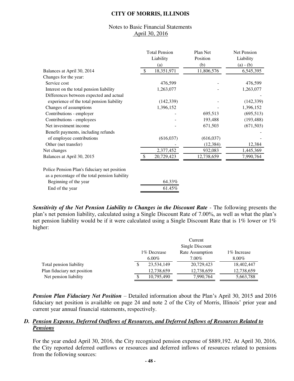### Notes to Basic Financial Statements April 30, 2016

|                                                                                                | <b>Total Pension</b><br>Liability<br>(a) | Plan Net<br>Position<br>(b) | Net Pension<br>Liability<br>$(a) - (b)$ |
|------------------------------------------------------------------------------------------------|------------------------------------------|-----------------------------|-----------------------------------------|
| Balances at April 30, 2014                                                                     | 18,351,971<br>$\mathbb{S}$               | 11,806,576                  | 6,545,395                               |
| Changes for the year:                                                                          |                                          |                             |                                         |
| Service cost                                                                                   | 476,599                                  |                             | 476,599                                 |
| Interest on the total pension liability                                                        | 1,263,077                                |                             | 1,263,077                               |
| Differences between expected and actual                                                        |                                          |                             |                                         |
| experience of the total pension liability                                                      | (142, 339)                               |                             | (142, 339)                              |
| Changes of assumptions                                                                         | 1,396,152                                |                             | 1,396,152                               |
| Contributions - employer                                                                       |                                          | 695,513                     | (695, 513)                              |
| Contributions - employees                                                                      |                                          | 193,488                     | (193, 488)                              |
| Net investment income                                                                          |                                          | 671,503                     | (671, 503)                              |
| Benefit payments, including refunds                                                            |                                          |                             |                                         |
| of employee contributions                                                                      | (616, 037)                               | (616, 037)                  |                                         |
| Other (net transfer)                                                                           |                                          | (12, 384)                   | 12,384                                  |
| Net changes                                                                                    | 2,377,452                                | 932,083                     | 1,445,369                               |
| Balances at April 30, 2015                                                                     | 20,729,423                               | 12,738,659                  | 7,990,764                               |
| Police Pension Plan's fiduciary net position<br>as a percentage of the total pension liability |                                          |                             |                                         |
| Beginning of the year                                                                          | 64.33%                                   |                             |                                         |
| End of the year                                                                                | 61.459                                   |                             |                                         |

*Sensitivity of the Net Pension Liability to Changes in the Discount Rate - The following presents the* plan's net pension liability, calculated using a Single Discount Rate of 7.00%, as well as what the plan's net pension liability would be if it were calculated using a Single Discount Rate that is 1% lower or 1% higher:

|                             | Current         |              |                 |              |  |  |
|-----------------------------|-----------------|--------------|-----------------|--------------|--|--|
|                             | Single Discount |              |                 |              |  |  |
|                             |                 | 1\% Decrease | Rate Assumption | 1\% Increase |  |  |
|                             | $6.00\%$        |              | $7.00\%$        | $8.00\%$     |  |  |
| Total pension liability     |                 | 23,534,149   | 20,729,423      | 18,402,447   |  |  |
| Plan fiduciary net position |                 | 12,738,659   | 12,738,659      | 12,738,659   |  |  |
| Net pension liability       |                 | 10,795,490   | 7,990,764       | 5,663,788    |  |  |

*Pension Plan Fiduciary Net Position* – Detailed information about the Plan's April 30, 2015 and 2016 fiduciary net position is available on page 24 and note 2 of the City of Morris, Illinois' prior year and current year annual financial statements, respectively.

## *D. Pension Expense, Deferred Outflows of Resources, and Deferred Inflows of Resources Related to Pensions*

For the year ended April 30, 2016, the City recognized pension expense of \$889,192. At April 30, 2016, the City reported deferred outflows or resources and deferred inflows of resources related to pensions from the following sources: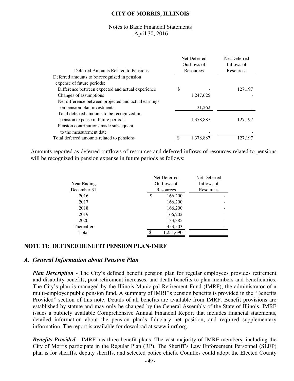### Notes to Basic Financial Statements April 30, 2016

| Deferred Amounts Related to Pensions                 | Net Deferred<br>Outflows of<br>Resources | Net Deferred<br>Inflows of<br>Resources |
|------------------------------------------------------|------------------------------------------|-----------------------------------------|
| Deferred amounts to be recognized in pension         |                                          |                                         |
| expense of future periods:                           |                                          |                                         |
| Difference between expected and actual experience    | \$                                       | 127,197                                 |
| Changes of assumptions                               | 1,247,625                                |                                         |
| Net difference between projected and actual earnings |                                          |                                         |
| on pension plan investments                          | 131,262                                  |                                         |
| Total deferred amounts to be recognized in           |                                          |                                         |
| pension expense in future periods                    | 1,378,887                                | 127,197                                 |
| Pension contributions made subsequent                |                                          |                                         |
| to the measurement date                              |                                          |                                         |
| Total deferred amounts related to pensions           | 1,378,887                                | 127,197                                 |

Amounts reported as deferred outflows of resources and deferred inflows of resources related to pensions will be recognized in pension expense in future periods as follows:

|             | Net Deferred    | Net Deferred |
|-------------|-----------------|--------------|
| Year Ending | Outflows of     | Inflows of   |
| December 31 | Resources       | Resources    |
| 2016        | \$<br>166,200   |              |
| 2017        | 166,200         |              |
| 2018        | 166,200         |              |
| 2019        | 166,202         |              |
| 2020        | 133,385         |              |
| Thereafter  | 453,503         |              |
| Total       | \$<br>1,251,690 |              |

#### **NOTE 11: DEFINED BENEFIT PENSION PLAN-IMRF**

#### *A. General Information about Pension Plan*

*Plan Description* - The City's defined benefit pension plan for regular employees provides retirement and disability benefits, post-retirement increases, and death benefits to plan members and beneficiaries. The City's plan is managed by the Illinois Municipal Retirement Fund (IMRF), the administrator of a multi-employer public pension fund. A summary of IMRF's pension benefits is provided in the "Benefits Provided" section of this note. Details of all benefits are available from IMRF. Benefit provisions are established by statute and may only be changed by the General Assembly of the State of Illinois. IMRF issues a publicly available Comprehensive Annual Financial Report that includes financial statements, detailed information about the pension plan's fiduciary net position, and required supplementary information. The report is available for download at www.imrf.org.

*Benefits Provided* - IMRF has three benefit plans. The vast majority of IMRF members, including the City of Morris participate in the Regular Plan (RP). The Sheriff's Law Enforcement Personnel (SLEP) plan is for sheriffs, deputy sheriffs, and selected police chiefs. Counties could adopt the Elected County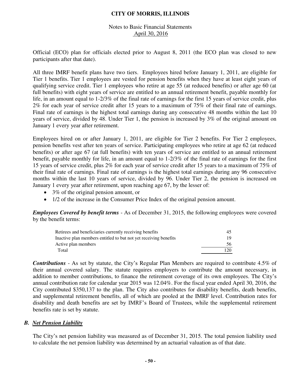### Notes to Basic Financial Statements April 30, 2016

Official (ECO) plan for officials elected prior to August 8, 2011 (the ECO plan was closed to new participants after that date).

All three IMRF benefit plans have two tiers. Employees hired before January 1, 2011, are eligible for Tier 1 benefits. Tier 1 employees are vested for pension benefits when they have at least eight years of qualifying service credit. Tier 1 employees who retire at age 55 (at reduced benefits) or after age 60 (at full benefits) with eight years of service are entitled to an annual retirement benefit, payable monthly for life, in an amount equal to 1-2/3% of the final rate of earnings for the first 15 years of service credit, plus 2% for each year of service credit after 15 years to a maximum of 75% of their final rate of earnings. Final rate of earnings is the highest total earnings during any consecutive 48 months within the last 10 years of service, divided by 48. Under Tier 1, the pension is increased by 3% of the original amount on January 1 every year after retirement.

Employees hired on or after January 1, 2011, are eligible for Tier 2 benefits. For Tier 2 employees, pension benefits vest after ten years of service. Participating employees who retire at age 62 (at reduced benefits) or after age 67 (at full benefits) with ten years of service are entitled to an annual retirement benefit, payable monthly for life, in an amount equal to 1-2/3% of the final rate of earnings for the first 15 years of service credit, plus 2% for each year of service credit after 15 years to a maximum of 75% of their final rate of earnings. Final rate of earnings is the highest total earnings during any 96 consecutive months within the last 10 years of service, divided by 96. Under Tier 2, the pension is increased on January 1 every year after retirement, upon reaching age 67, by the lesser of:

- 3% of the original pension amount, or
- 1/2 of the increase in the Consumer Price Index of the original pension amount.

*Employees Covered by benefit terms* - As of December 31, 2015, the following employees were covered by the benefit terms:

| Retirees and beneficiaries currently receiving benefits          | 45  |
|------------------------------------------------------------------|-----|
| Inactive plan members entitled to but not yet receiving benefits |     |
| Active plan members                                              | 56  |
| Total                                                            | 120 |

*Contributions* - As set by statute, the City's Regular Plan Members are required to contribute 4.5% of their annual covered salary. The statute requires employers to contribute the amount necessary, in addition to member contributions, to finance the retirement coverage of its own employees. The City's annual contribution rate for calendar year 2015 was 12.04%. For the fiscal year ended April 30, 2016, the City contributed \$350,137 to the plan. The City also contributes for disability benefits, death benefits, and supplemental retirement benefits, all of which are pooled at the IMRF level. Contribution rates for disability and death benefits are set by IMRF's Board of Trustees, while the supplemental retirement benefits rate is set by statute.

## *B. Net Pension Liability*

The City's net pension liability was measured as of December 31, 2015. The total pension liability used to calculate the net pension liability was determined by an actuarial valuation as of that date.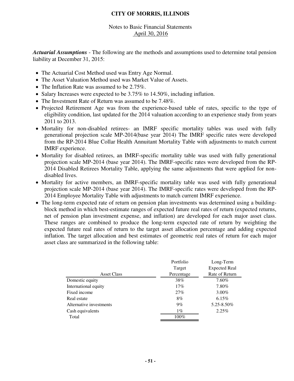## Notes to Basic Financial Statements April 30, 2016

*Actuarial Assumptions* - The following are the methods and assumptions used to determine total pension liability at December 31, 2015:

- The Actuarial Cost Method used was Entry Age Normal.
- The Asset Valuation Method used was Market Value of Assets.
- The Inflation Rate was assumed to be 2.75%.
- Salary Increases were expected to be 3.75% to 14.50%, including inflation.
- The Investment Rate of Return was assumed to be 7.48%.
- Projected Retirement Age was from the experience-based table of rates, specific to the type of eligibility condition, last updated for the 2014 valuation according to an experience study from years 2011 to 2013.
- Mortality for non-disabled retirees- an IMRF specific mortality tables was used with fully generational projection scale MP-2014(base year 2014) The IMRF specific rates were developed from the RP-2014 Blue Collar Health Annuitant Mortality Table with adjustments to match current IMRF experience.
- Mortality for disabled retirees, an IMRF-specific mortality table was used with fully generational projection scale MP-2014 (base year 2014). The IMRF-specific rates were developed from the RP-2014 Disabled Retirees Mortality Table, applying the same adjustments that were applied for nondisabled lives.
- Mortality for active members, an IMRF-specific mortality table was used with fully generational projection scale MP-2014 (base year 2014). The IMRF-specific rates were developed from the RP-2014 Employee Mortality Table with adjustments to match current IMRF experience.
- The long-term expected rate of return on pension plan investments was determined using a buildingblock method in which best-estimate ranges of expected future real rates of return (expected returns, net of pension plan investment expense, and inflation) are developed for each major asset class. These ranges are combined to produce the long-term expected rate of return by weighting the expected future real rates of return to the target asset allocation percentage and adding expected inflation. The target allocation and best estimates of geometric real rates of return for each major asset class are summarized in the following table:

| Long-Term            |
|----------------------|
| <b>Expected Real</b> |
| Rate of Return       |
| 7.60%                |
| 7.80%                |
| $3.00\%$             |
| 6.15%                |
| 5.25-8.50%           |
| 2.25%                |
|                      |
|                      |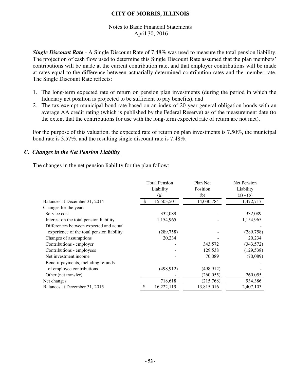## Notes to Basic Financial Statements April 30, 2016

*Single Discount Rate* - A Single Discount Rate of 7.48% was used to measure the total pension liability. The projection of cash flow used to determine this Single Discount Rate assumed that the plan members' contributions will be made at the current contribution rate, and that employer contributions will be made at rates equal to the difference between actuarially determined contribution rates and the member rate. The Single Discount Rate reflects:

- 1. The long-term expected rate of return on pension plan investments (during the period in which the fiduciary net position is projected to be sufficient to pay benefits), and
- 2. The tax-exempt municipal bond rate based on an index of 20-year general obligation bonds with an average AA credit rating (which is published by the Federal Reserve) as of the measurement date (to the extent that the contributions for use with the long-term expected rate of return are not met).

For the purpose of this valuation, the expected rate of return on plan investments is 7.50%, the municipal bond rate is 3.57%, and the resulting single discount rate is 7.48%.

## *C. Changes in the Net Pension Liability*

The changes in the net pension liability for the plan follow:

|                                           | <b>Total Pension</b> |            | Plan Net   | <b>Net Pension</b> |  |
|-------------------------------------------|----------------------|------------|------------|--------------------|--|
|                                           | Liability            |            | Position   | Liability          |  |
|                                           |                      | (a)        | (b)        | $(a) - (b)$        |  |
| Balances at December 31, 2014             | -\$                  | 15,503,501 | 14,030,784 | 1,472,717          |  |
| Changes for the year:                     |                      |            |            |                    |  |
| Service cost                              |                      | 332,089    |            | 332,089            |  |
| Interest on the total pension liability   |                      | 1,154,965  |            | 1,154,965          |  |
| Differences between expected and actual   |                      |            |            |                    |  |
| experience of the total pension liability |                      | (289, 758) |            | (289, 758)         |  |
| Changes of assumptions                    |                      | 20,234     |            | 20,234             |  |
| Contributions - employer                  |                      |            | 343,572    | (343,572)          |  |
| Contributions - employees                 |                      |            | 129,538    | (129, 538)         |  |
| Net investment income                     |                      |            | 70,089     | (70,089)           |  |
| Benefit payments, including refunds       |                      |            |            |                    |  |
| of employee contributions                 |                      | (498, 912) | (498, 912) |                    |  |
| Other (net transfer)                      |                      |            | (260, 055) | 260,055            |  |
| Net changes                               |                      | 718,618    | (215,768)  | 934,386            |  |
| Balances at December 31, 2015             |                      | 16,222,119 | 13,815,016 | 2,407,103          |  |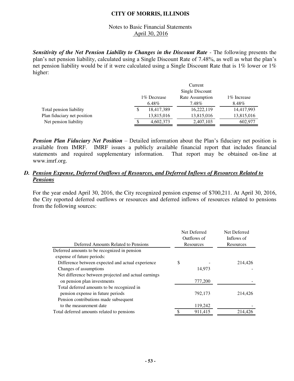## Notes to Basic Financial Statements April 30, 2016

**Sensitivity of the Net Pension Liability to Changes in the Discount Rate - The following presents the** plan's net pension liability, calculated using a Single Discount Rate of 7.48%, as well as what the plan's net pension liability would be if it were calculated using a Single Discount Rate that is 1% lower or 1% higher:

|                             |                 |              | Current         |              |  |  |
|-----------------------------|-----------------|--------------|-----------------|--------------|--|--|
|                             | Single Discount |              |                 |              |  |  |
|                             |                 | 1\% Decrease | Rate Assumption | 1\% Increase |  |  |
|                             | 6.48%           |              | 7.48%           | 8.48%        |  |  |
| Total pension liability     |                 | 18,417,389   | 16,222,119      | 14,417,993   |  |  |
| Plan fiduciary net position |                 | 13,815,016   | 13,815,016      | 13,815,016   |  |  |
| Net pension liability       |                 | 4,602,373    | 2,407,103       | 602,977      |  |  |

*Pension Plan Fiduciary Net Position* – Detailed information about the Plan's fiduciary net position is available from IMRF. IMRF issues a publicly available financial report that includes financial statements and required supplementary information. That report may be obtained on-line at www.imrf.org.

## *D. Pension Expense, Deferred Outflows of Resources, and Deferred Inflows of Resources Related to Pensions*

For the year ended April 30, 2016, the City recognized pension expense of \$700,211. At April 30, 2016, the City reported deferred outflows or resources and deferred inflows of resources related to pensions from the following sources:

|         | Net Deferred                             |
|---------|------------------------------------------|
|         | Inflows of                               |
|         | Resources                                |
|         |                                          |
|         |                                          |
| \$      | 214,426                                  |
| 14,973  |                                          |
|         |                                          |
| 777,200 |                                          |
|         |                                          |
| 792,173 | 214,426                                  |
|         |                                          |
| 119,242 |                                          |
| 911,415 | 214.426                                  |
|         | Net Deferred<br>Outflows of<br>Resources |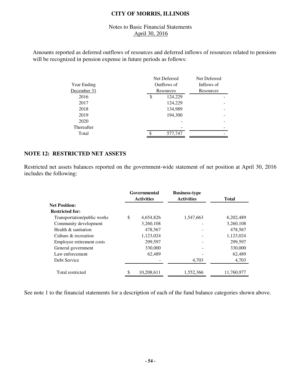## Notes to Basic Financial Statements April 30, 2016

Amounts reported as deferred outflows of resources and deferred inflows of resources related to pensions will be recognized in pension expense in future periods as follows:

|             | Net Deferred  | Net Deferred |
|-------------|---------------|--------------|
| Year Ending | Outflows of   | Inflows of   |
| December 31 | Resources     | Resources    |
| 2016        | \$<br>124,229 |              |
| 2017        | 124,229       |              |
| 2018        | 134,989       |              |
| 2019        | 194,300       |              |
| 2020        |               |              |
| Thereafter  |               |              |
| Total       | 577,747       |              |

## **NOTE 12: RESTRICTED NET ASSETS**

Restricted net assets balances reported on the government-wide statement of net position at April 30, 2016 includes the following:

|                             | Governmental<br><b>Activities</b> |            | <b>Business-type</b><br><b>Activities</b> | <b>Total</b> |  |
|-----------------------------|-----------------------------------|------------|-------------------------------------------|--------------|--|
| <b>Net Position:</b>        |                                   |            |                                           |              |  |
| <b>Restricted for:</b>      |                                   |            |                                           |              |  |
| Transportation/public works | \$                                | 4,654,826  | 1,547,663                                 | 6,202,489    |  |
| Community development       |                                   | 3,260,108  |                                           | 3,260,108    |  |
| Health & sanitation         |                                   | 478,567    |                                           | 478,567      |  |
| Culture & recreation        |                                   | 1,123,024  |                                           | 1,123,024    |  |
| Employee retirement costs   |                                   | 299,597    |                                           | 299,597      |  |
| General government          |                                   | 330,000    |                                           | 330,000      |  |
| Law enforcement             |                                   | 62,489     |                                           | 62,489       |  |
| Debt Service                |                                   |            | 4,703                                     | 4,703        |  |
| Total restricted            |                                   | 10,208,611 | 1,552,366                                 | 11,760,977   |  |

See note 1 to the financial statements for a description of each of the fund balance categories shown above.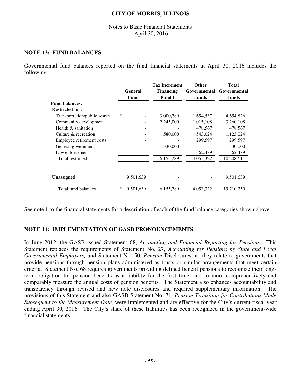### Notes to Basic Financial Statements April 30, 2016

## **NOTE 13: FUND BALANCES**

Governmental fund balances reported on the fund financial statements at April 30, 2016 includes the following:

|                             |         |           | <b>Tax Increment</b> | <b>Other</b> | <b>Total</b> |  |
|-----------------------------|---------|-----------|----------------------|--------------|--------------|--|
|                             | General |           | <b>Financing</b>     | Governmental | Governmental |  |
|                             |         | Fund      | <b>Fund I</b>        | <b>Funds</b> | <b>Funds</b> |  |
| <b>Fund balances:</b>       |         |           |                      |              |              |  |
| <b>Restricted for:</b>      |         |           |                      |              |              |  |
| Transportation/public works | \$      |           | 3,000,289            | 1,654,537    | 4,654,826    |  |
| Community development       |         |           | 2,245,000            | 1,015,108    | 3,260,108    |  |
| Health & sanitation         |         |           |                      | 478,567      | 478,567      |  |
| Culture & recreation        |         |           | 580,000              | 543,024      | 1,123,024    |  |
| Employee retirement costs   |         |           |                      | 299,597      | 299,597      |  |
| General government          |         |           | 330,000              |              | 330,000      |  |
| Law enforcement             |         |           |                      | 62,489       | 62,489       |  |
| Total restricted            |         |           | 6,155,289            | 4,053,322    | 10,208,611   |  |
|                             |         |           |                      |              |              |  |
| <b>Unassigned</b>           |         | 9,501,639 |                      |              | 9,501,639    |  |
| Total fund balances         | \$      | 9,501,639 | 6,155,289            | 4,053,322    | 19,710,250   |  |
|                             |         |           |                      |              |              |  |

See note 1 to the financial statements for a description of each of the fund balance categories shown above.

## **NOTE 14: IMPLEMENTATION OF GASB PRONOUNCEMENTS**

In June 2012, the GASB issued Statement 68, *Accounting and Financial Reporting for Pensions.* This Statement replaces the requirements of Statement No. 27, *Accounting for Pensions by State and Local Governmental Employers,* and Statement No. 50, *Pension* Disclosures, as they relate to governments that provide pensions through pension plans administered as trusts or similar arrangements that meet certain criteria. Statement No. 68 requires governments providing defined benefit pensions to recognize their longterm obligation for pension benefits as a liability for the first time, and to more comprehensively and comparably measure the annual costs of pension benefits. The Statement also enhances accountability and transparency through revised and new note disclosures and required supplementary information. The provisions of this Statement and also GASB Statement No. 71, *Pension Transition for Contributions Made Subsequent to the Measurement Date,* were implemented and are effective for the City's current fiscal year ending April 30, 2016. The City's share of these liabilities has been recognized in the government-wide financial statements.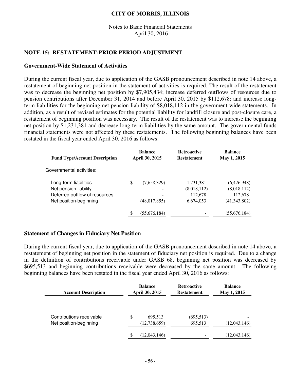### Notes to Basic Financial Statements April 30, 2016

## **NOTE 15: RESTATEMENT-PRIOR PERIOD ADJUSTMENT**

#### **Government-Wide Statement of Activities**

During the current fiscal year, due to application of the GASB pronouncement described in note 14 above, a restatement of beginning net position in the statement of activities is required. The result of the restatement was to decrease the beginning net position by \$7,905,434; increase deferred outflows of resources due to pension contributions after December 31, 2014 and before April 30, 2015 by \$112,678; and increase longterm liabilities for the beginning net pension liability of \$8,018,112 in the government-wide statements. In addition, as a result of revised estimates for the potential liability for landfill closure and post-closure care, a restatement of beginning position was necessary. The result of the restatement was to increase the beginning net position by \$1,231,381 and decrease long-term liabilities by the same amount. The governmental funds financial statements were not affected by these restatements. The following beginning balances have been restated in the fiscal year ended April 30, 2016 as follows:

| <b>Fund Type/Account Description</b> | <b>Balance</b><br>April 30, 2015 | <b>Retroactive</b><br><b>Restatement</b> | <b>Balance</b><br>May 1, 2015 |
|--------------------------------------|----------------------------------|------------------------------------------|-------------------------------|
| Governmental activities:             |                                  |                                          |                               |
| Long-term liabilities                | \$<br>(7,658,329)                | 1,231,381                                | (6,426,948)                   |
| Net pension liability                |                                  | (8,018,112)                              | (8,018,112)                   |
| Deferred outflow of resources        |                                  | 112,678                                  | 112,678                       |
| Net position-beginning               | (48, 017, 855)                   | 6,674,053                                | (41, 343, 802)                |
|                                      | (55,676,184)                     |                                          | (55,676,184)                  |

#### **Statement of Changes in Fiduciary Net Position**

During the current fiscal year, due to application of the GASB pronouncement described in note 14 above, a restatement of beginning net position in the statement of fiduciary net position is required. Due to a change in the definition of contributions receivable under GASB 68, beginning net position was decreased by \$695,513 and beginning contributions receivable were decreased by the same amount. The following beginning balances have been restated in the fiscal year ended April 30, 2016 as follows:

| <b>Account Description</b>                         | <b>Balance</b><br>April 30, 2015 | <b>Retroactive</b><br><b>Restatement</b> | <b>Balance</b><br>May 1, 2015 |  |
|----------------------------------------------------|----------------------------------|------------------------------------------|-------------------------------|--|
| Contributions receivable<br>Net position-beginning | S<br>695,513<br>(12, 738, 659)   | (695, 513)<br>695,513                    | (12,043,146)                  |  |
|                                                    | (12,043,146)                     |                                          | (12,043,146)                  |  |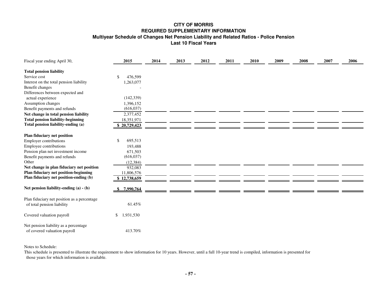#### **CITY OF MORRIS REQUIRED SUPPLEMENTARY INFORMATION Multiyear Schedule of Changes Net Pension Liability and Related Ratios - Police Pension Last 10 Fiscal Years**

| Fiscal year ending April 30,                | 2015            | 2014 | 2013 | 2012 | 2011 | 2010 | 2009 | 2008 | 2007 | 2006 |
|---------------------------------------------|-----------------|------|------|------|------|------|------|------|------|------|
| <b>Total pension liability</b>              |                 |      |      |      |      |      |      |      |      |      |
| Service cost                                | 476,599<br>S    |      |      |      |      |      |      |      |      |      |
| Interest on the total pension liability     | 1,263,077       |      |      |      |      |      |      |      |      |      |
| Benefit changes                             |                 |      |      |      |      |      |      |      |      |      |
| Differences between expected and            |                 |      |      |      |      |      |      |      |      |      |
| actual experience                           | (142, 339)      |      |      |      |      |      |      |      |      |      |
| Assumption changes                          | 1,396,152       |      |      |      |      |      |      |      |      |      |
| Benefit payments and refunds                | (616, 037)      |      |      |      |      |      |      |      |      |      |
| Net change in total pension liability       | 2,377,452       |      |      |      |      |      |      |      |      |      |
| <b>Total pension liability-beginning</b>    | 18,351,971      |      |      |      |      |      |      |      |      |      |
| Total pension liability-ending (a)          | 20,729,423      |      |      |      |      |      |      |      |      |      |
|                                             |                 |      |      |      |      |      |      |      |      |      |
| Plan fiduciary net position                 |                 |      |      |      |      |      |      |      |      |      |
| <b>Employer contributions</b>               | 695,513<br>S    |      |      |      |      |      |      |      |      |      |
| Employee contributions                      | 193,488         |      |      |      |      |      |      |      |      |      |
| Pension plan net investment income          | 671,503         |      |      |      |      |      |      |      |      |      |
| Benefit payments and refunds                | (616, 037)      |      |      |      |      |      |      |      |      |      |
| Other                                       | (12, 384)       |      |      |      |      |      |      |      |      |      |
| Net change in plan fiduciary net position   | 932,083         |      |      |      |      |      |      |      |      |      |
| Plan fiduciary net position-beginning       | 11,806,576      |      |      |      |      |      |      |      |      |      |
| Plan fiduciary net position-ending (b)      | \$12,738,659    |      |      |      |      |      |      |      |      |      |
|                                             |                 |      |      |      |      |      |      |      |      |      |
| Net pension liability-ending (a) - (b)      | 7,990,764       |      |      |      |      |      |      |      |      |      |
| Plan fiduciary net position as a percentage |                 |      |      |      |      |      |      |      |      |      |
| of total pension liability                  | 61.45%          |      |      |      |      |      |      |      |      |      |
|                                             |                 |      |      |      |      |      |      |      |      |      |
| Covered valuation payroll                   | 1,931,530<br>\$ |      |      |      |      |      |      |      |      |      |
|                                             |                 |      |      |      |      |      |      |      |      |      |
| Net pension liability as a percentage       |                 |      |      |      |      |      |      |      |      |      |
| of covered valuation payroll                | 413.70%         |      |      |      |      |      |      |      |      |      |

Notes to Schedule:

This schedule is presented to illustrate the requirement to show information for 10 years. However, until a full 10-year trend is compiled, information is presented for those years for which information is available.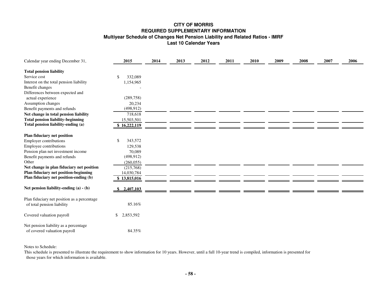#### **CITY OF MORRIS REQUIRED SUPPLEMENTARY INFORMATION Multiyear Schedule of Changes Net Pension Liability and Related Ratios - IMRF Last 10 Calendar Years**

| Calendar year ending December 31,                                     | 2015            | 2014 | 2013 | 2012 | 2011 | 2010 | 2009 | 2008 | 2007 | 2006 |
|-----------------------------------------------------------------------|-----------------|------|------|------|------|------|------|------|------|------|
| <b>Total pension liability</b>                                        |                 |      |      |      |      |      |      |      |      |      |
| Service cost                                                          | 332,089<br>\$   |      |      |      |      |      |      |      |      |      |
| Interest on the total pension liability                               | 1,154,965       |      |      |      |      |      |      |      |      |      |
| Benefit changes                                                       |                 |      |      |      |      |      |      |      |      |      |
| Differences between expected and                                      |                 |      |      |      |      |      |      |      |      |      |
| actual experience                                                     | (289, 758)      |      |      |      |      |      |      |      |      |      |
| Assumption changes                                                    | 20,234          |      |      |      |      |      |      |      |      |      |
| Benefit payments and refunds                                          | (498, 912)      |      |      |      |      |      |      |      |      |      |
| Net change in total pension liability                                 | 718,618         |      |      |      |      |      |      |      |      |      |
| <b>Total pension liability-beginning</b>                              | 15,503,501      |      |      |      |      |      |      |      |      |      |
| Total pension liability-ending (a)                                    | \$16,222,119    |      |      |      |      |      |      |      |      |      |
|                                                                       |                 |      |      |      |      |      |      |      |      |      |
| Plan fiduciary net position                                           |                 |      |      |      |      |      |      |      |      |      |
| <b>Employer contributions</b>                                         | 343,572<br>-S   |      |      |      |      |      |      |      |      |      |
| Employee contributions                                                | 129,538         |      |      |      |      |      |      |      |      |      |
| Pension plan net investment income                                    | 70,089          |      |      |      |      |      |      |      |      |      |
| Benefit payments and refunds                                          | (498, 912)      |      |      |      |      |      |      |      |      |      |
| Other                                                                 | (260, 055)      |      |      |      |      |      |      |      |      |      |
| Net change in plan fiduciary net position                             | (215,768)       |      |      |      |      |      |      |      |      |      |
| Plan fiduciary net position-beginning                                 | 14,030,784      |      |      |      |      |      |      |      |      |      |
| Plan fiduciary net position-ending (b)                                | \$13,815,016    |      |      |      |      |      |      |      |      |      |
|                                                                       |                 |      |      |      |      |      |      |      |      |      |
| Net pension liability-ending $(a) - (b)$                              | 2,407,103       |      |      |      |      |      |      |      |      |      |
| Plan fiduciary net position as a percentage                           |                 |      |      |      |      |      |      |      |      |      |
| of total pension liability                                            | 85.16%          |      |      |      |      |      |      |      |      |      |
| Covered valuation payroll                                             | 2,853,592<br>\$ |      |      |      |      |      |      |      |      |      |
| Net pension liability as a percentage<br>of covered valuation payroll | 84.35%          |      |      |      |      |      |      |      |      |      |

Notes to Schedule:

This schedule is presented to illustrate the requirement to show information for 10 years. However, until a full 10-year trend is compiled, information is presented for those years for which information is available.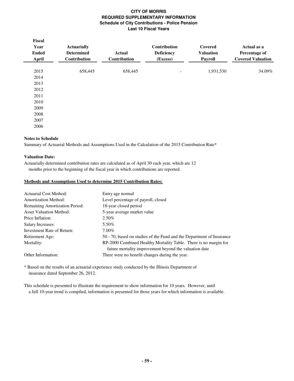#### **CITY OF MORRIS REQUIRED SUPPLEMENTARY INFORMATION Schedule of City Contributions - Police Pension Last 10 Fiscal Years**

| Fiscal<br>Year<br><b>Ended</b><br><b>April</b> | <b>Actuarially</b><br><b>Determined</b><br>Contribution | <b>Actual</b><br>Contribution | Contribution<br><b>Deficiency</b><br>(Excess) | Covered<br><b>Valuation</b><br><b>Payroll</b> | Actual as a<br>Percentage of<br><b>Covered Valuation</b> |
|------------------------------------------------|---------------------------------------------------------|-------------------------------|-----------------------------------------------|-----------------------------------------------|----------------------------------------------------------|
| 2015                                           | 658,445                                                 | 658,445                       | -                                             | 1,931,530                                     | 34.09%                                                   |
| 2014                                           |                                                         |                               |                                               |                                               |                                                          |
| 2013                                           |                                                         |                               |                                               |                                               |                                                          |
| 2012                                           |                                                         |                               |                                               |                                               |                                                          |
| 2011                                           |                                                         |                               |                                               |                                               |                                                          |
| 2010                                           |                                                         |                               |                                               |                                               |                                                          |
| 2009                                           |                                                         |                               |                                               |                                               |                                                          |
| 2008                                           |                                                         |                               |                                               |                                               |                                                          |
| 2007                                           |                                                         |                               |                                               |                                               |                                                          |
| 2006                                           |                                                         |                               |                                               |                                               |                                                          |

#### **Notes to Schedule**

Summary of Actuarial Methods and Assumptions Used in the Calculation of the 2015 Contribution Rate\*

#### **Valuation Date:**

Actuarially determined contribution rates are calculated as of April 30 each year, which are 12 months prior to the beginning of the fiscal year in which contributions are reported.

#### **Methods and Assumptions Used to determine 2015 Contribution Rates:**

| Actuarial Cost Method:                | Entry age normal                                                      |
|---------------------------------------|-----------------------------------------------------------------------|
| <b>Amortization Method:</b>           | Level percentage of payroll, closed                                   |
| <b>Remaining Amortization Period:</b> | 18-year closed period                                                 |
| <b>Asset Valuation Method:</b>        | 5-year average market value                                           |
| Price Inflation:                      | 2.50%                                                                 |
| Salary Increases:                     | 5.50%                                                                 |
| Investment Rate of Return:            | $7.00\%$                                                              |
| Retirement Age:                       | 50 - 70, based on studies of the Fund and the Department of Insurance |
| Mortality:                            | RP-2000 Combined Healthy Mortality Table. There is no margin for      |
|                                       | future mortality improvement beyond the valuation date                |
| Other Information:                    | There were no benefit changes during the year.                        |

\* Based on the results of an actuarial experience study conducted by the Illinois Department of insurance dated September 26, 2012.

This schedule is presented to illustrate the requirement to show information for 10 years. However, until a full 10-year trend is compiled, information is presented for those years for which information is available.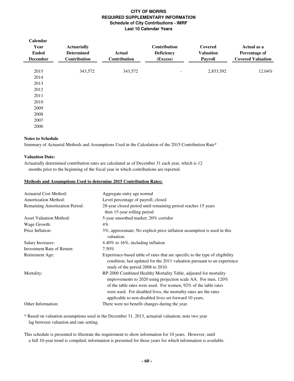#### **CITY OF MORRIS REQUIRED SUPPLEMENTARY INFORMATION Schedule of City Contributions - IMRF Last 10 Calendar Years**

| Calendar<br>Year<br><b>Ended</b><br><b>December</b> | <b>Actuarially</b><br><b>Determined</b><br><b>Contribution</b> | <b>Actual</b><br>Contribution | <b>Contribution</b><br><b>Deficiency</b><br>(Excess) | Covered<br><b>Valuation</b><br>Payroll | Actual as a<br>Percentage of<br><b>Covered Valuation</b> |
|-----------------------------------------------------|----------------------------------------------------------------|-------------------------------|------------------------------------------------------|----------------------------------------|----------------------------------------------------------|
| 2015                                                | 343,572                                                        | 343,572                       | $\overline{\phantom{a}}$                             | 2,853,592                              | 12.04%                                                   |
| 2014                                                |                                                                |                               |                                                      |                                        |                                                          |
| 2013                                                |                                                                |                               |                                                      |                                        |                                                          |
| 2012                                                |                                                                |                               |                                                      |                                        |                                                          |
| 2011                                                |                                                                |                               |                                                      |                                        |                                                          |
| 2010                                                |                                                                |                               |                                                      |                                        |                                                          |
| 2009                                                |                                                                |                               |                                                      |                                        |                                                          |
| 2008                                                |                                                                |                               |                                                      |                                        |                                                          |
| 2007                                                |                                                                |                               |                                                      |                                        |                                                          |
| 2006                                                |                                                                |                               |                                                      |                                        |                                                          |

#### **Notes to Schedule**

Summary of Actuarial Methods and Assumptions Used in the Calculation of the 2015 Contribution Rate\*

#### **Valuation Date:**

Actuarially determined contribution rates are calculated as of December 31 each year, which is 12 months prior to the beginning of the fiscal year in which contributions are reported.

#### **Methods and Assumptions Used to determine 2015 Contribution Rates:**

| Actuarial Cost Method:         | Aggregate entry age normal                                                                                                                                                                                                                                                                                                         |
|--------------------------------|------------------------------------------------------------------------------------------------------------------------------------------------------------------------------------------------------------------------------------------------------------------------------------------------------------------------------------|
| <b>Amortization Method:</b>    | Level percentage of payroll, closed                                                                                                                                                                                                                                                                                                |
| Remaining Amortization Period: | 28-year closed period until remaining period reaches 15 years<br>then 15-year rolling period                                                                                                                                                                                                                                       |
| <b>Asset Valuation Method:</b> | 5-year smoothed market; 20% corridor                                                                                                                                                                                                                                                                                               |
| Wage Growth:                   | 4%                                                                                                                                                                                                                                                                                                                                 |
| Price Inflation:               | 3%, approximate; No explicit price inflation assumption is used in this<br>valuation.                                                                                                                                                                                                                                              |
| <b>Salary Increases:</b>       | 4.40% to 16%, including inflation                                                                                                                                                                                                                                                                                                  |
| Investment Rate of Return:     | 7.50%                                                                                                                                                                                                                                                                                                                              |
| Retirement Age:                | Experience-based table of rates that are specific to the type of eligibility<br>condition; last updated for the 2011 valuation pursuant to an experience<br>study of the period 2008 to 2010.                                                                                                                                      |
| Mortality:                     | RP-2000 Combined Healthy Mortality Table, adjusted for mortality<br>improvements to 2020 using projection scale AA. For men, 120%<br>of the table rates were used. For women, 92% of the table rates<br>were used. For disabled lives, the mortality rates are the rates<br>applicable to non-disabled lives set forward 10 years. |
| Other Information:             | There were no benefit changes during the year.                                                                                                                                                                                                                                                                                     |
|                                |                                                                                                                                                                                                                                                                                                                                    |

\* Based on valuation assumptions used in the December 31, 2013, actuarial valuation; note two year lag between valuation and rate setting.

This schedule is presented to illustrate the requirement to show information for 10 years. However, until a full 10-year trend is compiled, information is presented for those years for which information is available.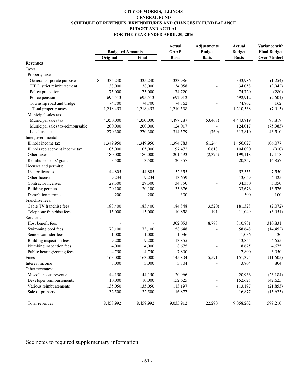#### **CITY OF MORRIS, ILLINOIS GENERAL FUND SCHEDULE OF REVENUES, EXPENDITURES AND CHANGES IN FUND BALANCE BUDGET AND ACTUAL FOR THE YEAR ENDED APRIL 30, 2016**

|                                  | <b>Budgeted Amounts</b> |           | <b>Actual</b><br><b>GAAP</b> | <b>Adjustments</b><br><b>Budget</b> | <b>Actual</b><br><b>Budget</b> | Variance with<br><b>Final Budget</b> |
|----------------------------------|-------------------------|-----------|------------------------------|-------------------------------------|--------------------------------|--------------------------------------|
|                                  | Original                | Final     | <b>Basis</b>                 | <b>Basis</b>                        | <b>Basis</b>                   | Over (Under)                         |
| <b>Revenues</b>                  |                         |           |                              |                                     |                                |                                      |
| Taxes:                           |                         |           |                              |                                     |                                |                                      |
| Property taxes:                  |                         |           |                              |                                     |                                |                                      |
| General corporate purposes       | \$<br>335,240           | 335,240   | 333,986                      |                                     | 333,986                        | (1,254)                              |
| TIF District reimbursement       | 38,000                  | 38,000    | 34,058                       |                                     | 34,058                         | (3,942)                              |
| Police protection                | 75,000                  | 75,000    | 74,720                       |                                     | 74,720                         | (280)                                |
| Police pension                   | 695,513                 | 695,513   | 692,912                      |                                     | 692,912                        | (2,601)                              |
| Township road and bridge         | 74,700                  | 74,700    | 74,862                       |                                     | 74,862                         | 162                                  |
| Total property taxes             | 1,218,453               | 1,218,453 | 1,210,538                    |                                     | 1,210,538                      | (7, 915)                             |
| Municipal sales tax:             |                         |           |                              |                                     |                                |                                      |
| Municipal sales tax              | 4,350,000               | 4,350,000 | 4,497,287                    | (53, 468)                           | 4,443,819                      | 93,819                               |
| Municipal sales tax-reimbursable | 200,000                 | 200,000   | 124,017                      |                                     | 124,017                        | (75, 983)                            |
| Local use tax                    | 270,300                 | 270,300   | 314,579                      | (769)                               | 313,810                        | 43,510                               |
| Intergovernmental:               |                         |           |                              |                                     |                                |                                      |
| Illinois income tax              | 1,349,950               | 1,349,950 | 1,394,783                    | 61,244                              | 1,456,027                      | 106,077                              |
| Illinois replacement income tax  | 105,000                 | 105,000   | 97,472                       | 6,618                               | 104,090                        | (910)                                |
| Other taxes                      | 180,000                 | 180,000   | 201,493                      | (2,375)                             | 199,118                        | 19,118                               |
| Reimbursements/ grants           | 3,500                   | 3,500     | 20,357                       |                                     | 20,357                         | 16,857                               |
| Licenses and permits:            |                         |           |                              |                                     |                                |                                      |
| Liquor licenses                  | 44,805                  | 44,805    | 52,355                       |                                     | 52,355                         | 7,550                                |
| Other licenses                   | 9,234                   | 9,234     | 13,659                       |                                     | 13,659                         | 4,425                                |
| Contractor licenses              | 29,300                  | 29,300    | 34,350                       |                                     | 34,350                         | 5,050                                |
| <b>Building permits</b>          | 20,100                  | 20,100    | 33,676                       |                                     | 33,676                         | 13,576                               |
| Demolition permits               | 200                     | 200       | 300                          |                                     | 300                            | 100                                  |
| Franchise fees:                  |                         |           |                              |                                     |                                |                                      |
| Cable TV franchise fees          | 183,400                 | 183,400   | 184,848                      | (3,520)                             | 181,328                        | (2,072)                              |
| Telephone franchise fees         | 15,000                  | 15,000    | 10,858                       | 191                                 | 11,049                         | (3,951)                              |
| Services:                        |                         |           |                              |                                     |                                |                                      |
| Host benefit fees                |                         |           | 302,053                      | 8,778                               | 310,831                        | 310,831                              |
| Swimming pool fees               | 73,100                  | 73,100    | 58,648                       |                                     | 58,648                         | (14, 452)                            |
| Senior van rider fees            | 1,000                   | 1,000     | 1,036                        |                                     | 1,036                          | 36                                   |
| Building inspection fees         | 9,200                   | 9,200     | 13,855                       |                                     | 13,855                         | 4,655                                |
| Plumbing inspection fees         | 4,000                   | 4,000     | 8,675                        |                                     | 8,675                          | 4,675                                |
| Public hearing/zoning fees       | 4,750                   | 4,750     | 7,800                        |                                     | 7,800                          | 3,050                                |
| Fines                            | 163,000                 | 163,000   | 145,804                      | 5,591                               | 151,395                        | (11,605)                             |
| Interest income                  | 3,000                   | 3,000     | 3,804                        |                                     | 3,804                          | 804                                  |
| Other revenues:                  |                         |           |                              |                                     |                                |                                      |
| Miscellaneous revenue            | 44,150                  | 44,150    | 20,966                       |                                     | 20,966                         | (23, 184)                            |
| Developer reimbursements         | 10,000                  | 10,000    | 152,625                      |                                     | 152,625                        | 142,625                              |
| Various reimbursements           | 135,050                 | 135,050   | 113,197                      |                                     | 113,197                        | (21, 853)                            |
| Sale of property                 | 32,500                  | 32,500    | 16,877                       |                                     | 16,877                         | (15, 623)                            |
| Total revenues                   | 8,458,992               | 8,458,992 | 9,035,912                    | 22,290                              | 9,058,202                      | 599,210                              |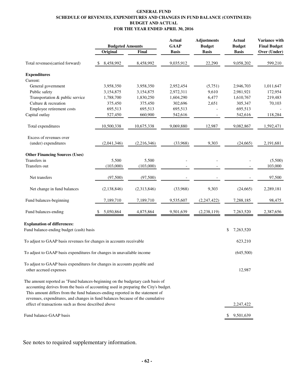#### **GENERAL FUND SCHEDULE OF REVENUES, EXPENDITURES AND CHANGES IN FUND BALANCE (CONTINUED) BUDGET AND ACTUAL FOR THE YEAR ENDED APRIL 30, 2016**

|                                                                                                                                                                                                                                                                                                                                            | <b>Budgeted Amounts</b> |             | <b>Actual</b><br><b>GAAP</b> | <b>Adjustments</b><br><b>Budget</b> | <b>Actual</b><br><b>Budget</b> | Variance with<br><b>Final Budget</b> |
|--------------------------------------------------------------------------------------------------------------------------------------------------------------------------------------------------------------------------------------------------------------------------------------------------------------------------------------------|-------------------------|-------------|------------------------------|-------------------------------------|--------------------------------|--------------------------------------|
|                                                                                                                                                                                                                                                                                                                                            | Original                | Final       | <b>Basis</b>                 | <b>Basis</b>                        | <b>Basis</b>                   | Over (Under)                         |
| Total revenues(carried forward)                                                                                                                                                                                                                                                                                                            | 8,458,992<br>\$         | 8,458,992   | 9,035,912                    | 22,290                              | 9,058,202                      | 599,210                              |
| <b>Expenditures</b>                                                                                                                                                                                                                                                                                                                        |                         |             |                              |                                     |                                |                                      |
| Current:<br>General government                                                                                                                                                                                                                                                                                                             | 3,958,350               | 3,958,350   | 2,952,454                    | (5,751)                             | 2,946,703                      | 1,011,647                            |
| Public safety                                                                                                                                                                                                                                                                                                                              | 3,154,875               | 3,154,875   | 2,972,311                    | 9,610                               | 2,981,921                      | 172,954                              |
| Transportation & public service                                                                                                                                                                                                                                                                                                            | 1,788,700               | 1,830,250   | 1,604,290                    | 6,477                               | 1,610,767                      | 219,483                              |
| Culture & recreation                                                                                                                                                                                                                                                                                                                       | 375,450                 | 375,450     | 302,696                      | 2,651                               | 305,347                        | 70,103                               |
| Employee retirement costs                                                                                                                                                                                                                                                                                                                  | 695,513                 | 695,513     | 695,513                      |                                     | 695,513                        |                                      |
| Capital outlay                                                                                                                                                                                                                                                                                                                             | 527,450                 | 660,900     | 542,616                      |                                     | 542,616                        | 118,284                              |
| Total expenditures                                                                                                                                                                                                                                                                                                                         | 10,500,338              | 10,675,338  | 9,069,880                    | 12,987                              | 9,082,867                      | 1,592,471                            |
| Excess of revenues over                                                                                                                                                                                                                                                                                                                    |                         |             |                              |                                     |                                |                                      |
| (under) expenditures                                                                                                                                                                                                                                                                                                                       | (2,041,346)             | (2,216,346) | (33,968)                     | 9,303                               | (24, 665)                      | 2,191,681                            |
| <b>Other Financing Sources (Uses)</b>                                                                                                                                                                                                                                                                                                      |                         |             |                              |                                     |                                |                                      |
| Transfers in                                                                                                                                                                                                                                                                                                                               | 5,500                   | 5,500       |                              |                                     |                                | (5,500)                              |
| Transfers out                                                                                                                                                                                                                                                                                                                              | (103,000)               | (103,000)   |                              |                                     |                                | 103,000                              |
| Net transfers                                                                                                                                                                                                                                                                                                                              | (97, 500)               | (97, 500)   |                              |                                     |                                | 97,500                               |
| Net change in fund balances                                                                                                                                                                                                                                                                                                                | (2, 138, 846)           | (2,313,846) | (33,968)                     | 9,303                               | (24, 665)                      | 2,289,181                            |
| Fund balances-beginning                                                                                                                                                                                                                                                                                                                    | 7,189,710               | 7,189,710   | 9,535,607                    | (2, 247, 422)                       | 7,288,185                      | 98,475                               |
| Fund balances-ending                                                                                                                                                                                                                                                                                                                       | 5,050,864               | 4,875,864   | 9,501,639                    | (2,238,119)                         | 7,263,520                      | 2,387,656                            |
| <b>Explanation of differences:</b>                                                                                                                                                                                                                                                                                                         |                         |             |                              |                                     |                                |                                      |
| Fund balance-ending budget (cash) basis                                                                                                                                                                                                                                                                                                    |                         |             |                              |                                     | \$<br>7,263,520                |                                      |
| To adjust to GAAP basis revenues for changes in accounts receivable                                                                                                                                                                                                                                                                        |                         |             |                              |                                     | 623,210                        |                                      |
| To adjust to GAAP basis expenditures for changes in unavailable income                                                                                                                                                                                                                                                                     |                         |             |                              |                                     | (645,500)                      |                                      |
| To adjust to GAAP basis expenditures for changes in accounts payable and<br>other accrued expenses                                                                                                                                                                                                                                         |                         |             |                              |                                     | 12,987                         |                                      |
| The amount reported as "Fund balances-beginning on the budgetary cash basis of<br>accounting derives from the basis of accounting used in preparing the City's budget.<br>This amount differs from the fund balances-ending reported in the statement of<br>revenues, expenditures, and changes in fund balances because of the cumulative |                         |             |                              |                                     |                                |                                      |
| effect of transactions such as those described above                                                                                                                                                                                                                                                                                       |                         |             |                              |                                     | 2,247,422                      |                                      |
| Fund balance-GAAP basis                                                                                                                                                                                                                                                                                                                    |                         |             |                              |                                     | 9,501,639                      |                                      |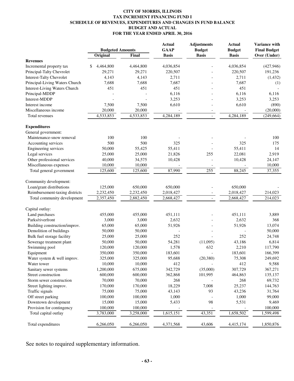#### **CITY OF MORRIS, ILLINOIS TAX INCREMENT FINANCING FUND I SCHEDULE OF REVENUES, EXPENDITURES AND CHANGES IN FUND BALANCE BUDGET AND ACTUAL FOR THE YEAR ENDED APRIL 30, 2016**

| <b>Budgeted Amounts</b><br>Original<br>Final<br><b>Basis</b><br><b>Basis</b><br><b>Basis</b><br>Over (Under)<br><b>Revenues</b><br>4,464,800<br>4,464,800<br>4,036,854<br>4,036,854<br>Incremental property tax<br>\$<br>(427, 946)<br>29,271<br>Principal-Talty Chevrolet<br>29,271<br>220,507<br>220,507<br>191,236<br><b>Interest-Talty Chevrolet</b><br>4,143<br>4,143<br>2,711<br>2,711<br>(1, 432)<br>7,687<br>7,687<br>Principal-Living Waters Church<br>7,688<br>7,688<br>(1)<br><b>Interest-Living Waters Church</b><br>451<br>451<br>451<br>451<br>Principal-MDDP<br>6,116<br>6,116<br>6,116<br>Interest-MDDP<br>3,253<br>3,253<br>3,253<br>6,610<br>Interest income<br>7,500<br>7,500<br>6,610<br>(890)<br>Miscellaneous income<br>20,000<br>(20,000)<br>20,000<br>4,284,189<br>4,533,853<br>4,284,189<br>4,533,853<br>(249, 664)<br>Total revenues<br>$\overline{\phantom{a}}$<br><b>Expenditures</b><br>General government:<br>100<br>100<br>100<br>Maintenance-snow removal<br>500<br>500<br>325<br>Accounting services<br>325<br>175<br>50,000<br>55,425<br>55,411<br>55,411<br>14<br>Engineering services<br>Legal services<br>25,000<br>21,826<br>22,081<br>2,919<br>25,000<br>255<br>Other professional services<br>34,575<br>40,000<br>10,428<br>10,428<br>24,147<br>10,000<br>10,000<br>Miscellaneous expenses<br>10,000<br>88,245<br>87,990<br>255<br>125,600<br>125,600<br>37,355<br>Total general government<br>Community development:<br>Loan/grant distributions<br>125,000<br>650,000<br>650,000<br>650,000<br>Reimbursement-taxing districts<br>2,232,450<br>2,232,450<br>2,018,427<br>214,023<br>2,018,427<br>Total community development<br>2,357,450<br>2,882,450<br>2,668,427<br>2,668,427<br>214,023<br>$\blacksquare$<br>Capital outlay:<br>Land purchases<br>455,000<br>455,000<br>451,111<br>451,111<br>3,889<br>2,632<br>Parks/riverfront<br>3,000<br>3,000<br>2,632<br>368<br>13,074<br>Building construction/improv.<br>65,000<br>65,000<br>51,926<br>51,926<br>Demolition of buildings<br>50,000<br>50,000<br>50,000<br>252<br>252<br>Bulk fuel storage facility<br>25,000<br>25,000<br>24,748<br>Sewerage treatment plant<br>50,000<br>50,000<br>54,281<br>(11,095)<br>43,186<br>6,814<br>Swimming pool<br>120,000<br>120,000<br>1,578<br>632<br>2,210<br>117,790<br>183,601<br>183,601<br>350,000<br>350,000<br>166,399<br>Equipment<br>325,000<br>325,000<br>95,688<br>(20, 380)<br>75,308<br>249,692<br>Water system & well improv.<br>10,000<br>412<br>412<br>10,000<br>9,588<br>Water tower<br>675,000<br>(35,000)<br>1,200,000<br>342,729<br>307,729<br>367,271<br>Sanitary sewer systems<br>600,000<br>600,000<br>362,868<br>101,995<br>464,863<br>135,137<br>Street construction<br>70,000<br>70,000<br>268<br>268<br>69,732<br>Storm sewer construction<br>18,229<br>7,008<br>25,237<br>170,000<br>170,000<br>144,763<br>Street lighting improv.<br>Traffic signals<br>75,000<br>75,000<br>43,143<br>93<br>43,236<br>31,764<br>Off street parking<br>100,000<br>100,000<br>1,000<br>1,000<br>99,000<br>Downtown development<br>15,000<br>15,000<br>5,433<br>98<br>5,531<br>9,469<br>100,000<br>Provision for contingency<br>100,000<br>100,000<br>1,615,151<br>43,351<br>1,658,502<br>Total capital outlay<br>3,783,000<br>3,258,000<br>1,599,498<br>Total expenditures<br>6,266,050<br>43,606<br>6,266,050<br>4,371,568<br>4,415,174<br>1,850,876 |  | <b>Actual</b> | <b>Adjustments</b> | <b>Actual</b> | Variance with       |
|-----------------------------------------------------------------------------------------------------------------------------------------------------------------------------------------------------------------------------------------------------------------------------------------------------------------------------------------------------------------------------------------------------------------------------------------------------------------------------------------------------------------------------------------------------------------------------------------------------------------------------------------------------------------------------------------------------------------------------------------------------------------------------------------------------------------------------------------------------------------------------------------------------------------------------------------------------------------------------------------------------------------------------------------------------------------------------------------------------------------------------------------------------------------------------------------------------------------------------------------------------------------------------------------------------------------------------------------------------------------------------------------------------------------------------------------------------------------------------------------------------------------------------------------------------------------------------------------------------------------------------------------------------------------------------------------------------------------------------------------------------------------------------------------------------------------------------------------------------------------------------------------------------------------------------------------------------------------------------------------------------------------------------------------------------------------------------------------------------------------------------------------------------------------------------------------------------------------------------------------------------------------------------------------------------------------------------------------------------------------------------------------------------------------------------------------------------------------------------------------------------------------------------------------------------------------------------------------------------------------------------------------------------------------------------------------------------------------------------------------------------------------------------------------------------------------------------------------------------------------------------------------------------------------------------------------------------------------------------------------------------------------------------------------------------------------------------------------------------------------------------------------------------------------------------------------------------------------------------------------------------------------------------------------------------------------------------------------------------------------------------------------------------|--|---------------|--------------------|---------------|---------------------|
|                                                                                                                                                                                                                                                                                                                                                                                                                                                                                                                                                                                                                                                                                                                                                                                                                                                                                                                                                                                                                                                                                                                                                                                                                                                                                                                                                                                                                                                                                                                                                                                                                                                                                                                                                                                                                                                                                                                                                                                                                                                                                                                                                                                                                                                                                                                                                                                                                                                                                                                                                                                                                                                                                                                                                                                                                                                                                                                                                                                                                                                                                                                                                                                                                                                                                                                                                                                                     |  | <b>GAAP</b>   | <b>Budget</b>      | <b>Budget</b> | <b>Final Budget</b> |
|                                                                                                                                                                                                                                                                                                                                                                                                                                                                                                                                                                                                                                                                                                                                                                                                                                                                                                                                                                                                                                                                                                                                                                                                                                                                                                                                                                                                                                                                                                                                                                                                                                                                                                                                                                                                                                                                                                                                                                                                                                                                                                                                                                                                                                                                                                                                                                                                                                                                                                                                                                                                                                                                                                                                                                                                                                                                                                                                                                                                                                                                                                                                                                                                                                                                                                                                                                                                     |  |               |                    |               |                     |
|                                                                                                                                                                                                                                                                                                                                                                                                                                                                                                                                                                                                                                                                                                                                                                                                                                                                                                                                                                                                                                                                                                                                                                                                                                                                                                                                                                                                                                                                                                                                                                                                                                                                                                                                                                                                                                                                                                                                                                                                                                                                                                                                                                                                                                                                                                                                                                                                                                                                                                                                                                                                                                                                                                                                                                                                                                                                                                                                                                                                                                                                                                                                                                                                                                                                                                                                                                                                     |  |               |                    |               |                     |
|                                                                                                                                                                                                                                                                                                                                                                                                                                                                                                                                                                                                                                                                                                                                                                                                                                                                                                                                                                                                                                                                                                                                                                                                                                                                                                                                                                                                                                                                                                                                                                                                                                                                                                                                                                                                                                                                                                                                                                                                                                                                                                                                                                                                                                                                                                                                                                                                                                                                                                                                                                                                                                                                                                                                                                                                                                                                                                                                                                                                                                                                                                                                                                                                                                                                                                                                                                                                     |  |               |                    |               |                     |
|                                                                                                                                                                                                                                                                                                                                                                                                                                                                                                                                                                                                                                                                                                                                                                                                                                                                                                                                                                                                                                                                                                                                                                                                                                                                                                                                                                                                                                                                                                                                                                                                                                                                                                                                                                                                                                                                                                                                                                                                                                                                                                                                                                                                                                                                                                                                                                                                                                                                                                                                                                                                                                                                                                                                                                                                                                                                                                                                                                                                                                                                                                                                                                                                                                                                                                                                                                                                     |  |               |                    |               |                     |
|                                                                                                                                                                                                                                                                                                                                                                                                                                                                                                                                                                                                                                                                                                                                                                                                                                                                                                                                                                                                                                                                                                                                                                                                                                                                                                                                                                                                                                                                                                                                                                                                                                                                                                                                                                                                                                                                                                                                                                                                                                                                                                                                                                                                                                                                                                                                                                                                                                                                                                                                                                                                                                                                                                                                                                                                                                                                                                                                                                                                                                                                                                                                                                                                                                                                                                                                                                                                     |  |               |                    |               |                     |
|                                                                                                                                                                                                                                                                                                                                                                                                                                                                                                                                                                                                                                                                                                                                                                                                                                                                                                                                                                                                                                                                                                                                                                                                                                                                                                                                                                                                                                                                                                                                                                                                                                                                                                                                                                                                                                                                                                                                                                                                                                                                                                                                                                                                                                                                                                                                                                                                                                                                                                                                                                                                                                                                                                                                                                                                                                                                                                                                                                                                                                                                                                                                                                                                                                                                                                                                                                                                     |  |               |                    |               |                     |
|                                                                                                                                                                                                                                                                                                                                                                                                                                                                                                                                                                                                                                                                                                                                                                                                                                                                                                                                                                                                                                                                                                                                                                                                                                                                                                                                                                                                                                                                                                                                                                                                                                                                                                                                                                                                                                                                                                                                                                                                                                                                                                                                                                                                                                                                                                                                                                                                                                                                                                                                                                                                                                                                                                                                                                                                                                                                                                                                                                                                                                                                                                                                                                                                                                                                                                                                                                                                     |  |               |                    |               |                     |
|                                                                                                                                                                                                                                                                                                                                                                                                                                                                                                                                                                                                                                                                                                                                                                                                                                                                                                                                                                                                                                                                                                                                                                                                                                                                                                                                                                                                                                                                                                                                                                                                                                                                                                                                                                                                                                                                                                                                                                                                                                                                                                                                                                                                                                                                                                                                                                                                                                                                                                                                                                                                                                                                                                                                                                                                                                                                                                                                                                                                                                                                                                                                                                                                                                                                                                                                                                                                     |  |               |                    |               |                     |
|                                                                                                                                                                                                                                                                                                                                                                                                                                                                                                                                                                                                                                                                                                                                                                                                                                                                                                                                                                                                                                                                                                                                                                                                                                                                                                                                                                                                                                                                                                                                                                                                                                                                                                                                                                                                                                                                                                                                                                                                                                                                                                                                                                                                                                                                                                                                                                                                                                                                                                                                                                                                                                                                                                                                                                                                                                                                                                                                                                                                                                                                                                                                                                                                                                                                                                                                                                                                     |  |               |                    |               |                     |
|                                                                                                                                                                                                                                                                                                                                                                                                                                                                                                                                                                                                                                                                                                                                                                                                                                                                                                                                                                                                                                                                                                                                                                                                                                                                                                                                                                                                                                                                                                                                                                                                                                                                                                                                                                                                                                                                                                                                                                                                                                                                                                                                                                                                                                                                                                                                                                                                                                                                                                                                                                                                                                                                                                                                                                                                                                                                                                                                                                                                                                                                                                                                                                                                                                                                                                                                                                                                     |  |               |                    |               |                     |
|                                                                                                                                                                                                                                                                                                                                                                                                                                                                                                                                                                                                                                                                                                                                                                                                                                                                                                                                                                                                                                                                                                                                                                                                                                                                                                                                                                                                                                                                                                                                                                                                                                                                                                                                                                                                                                                                                                                                                                                                                                                                                                                                                                                                                                                                                                                                                                                                                                                                                                                                                                                                                                                                                                                                                                                                                                                                                                                                                                                                                                                                                                                                                                                                                                                                                                                                                                                                     |  |               |                    |               |                     |
|                                                                                                                                                                                                                                                                                                                                                                                                                                                                                                                                                                                                                                                                                                                                                                                                                                                                                                                                                                                                                                                                                                                                                                                                                                                                                                                                                                                                                                                                                                                                                                                                                                                                                                                                                                                                                                                                                                                                                                                                                                                                                                                                                                                                                                                                                                                                                                                                                                                                                                                                                                                                                                                                                                                                                                                                                                                                                                                                                                                                                                                                                                                                                                                                                                                                                                                                                                                                     |  |               |                    |               |                     |
|                                                                                                                                                                                                                                                                                                                                                                                                                                                                                                                                                                                                                                                                                                                                                                                                                                                                                                                                                                                                                                                                                                                                                                                                                                                                                                                                                                                                                                                                                                                                                                                                                                                                                                                                                                                                                                                                                                                                                                                                                                                                                                                                                                                                                                                                                                                                                                                                                                                                                                                                                                                                                                                                                                                                                                                                                                                                                                                                                                                                                                                                                                                                                                                                                                                                                                                                                                                                     |  |               |                    |               |                     |
|                                                                                                                                                                                                                                                                                                                                                                                                                                                                                                                                                                                                                                                                                                                                                                                                                                                                                                                                                                                                                                                                                                                                                                                                                                                                                                                                                                                                                                                                                                                                                                                                                                                                                                                                                                                                                                                                                                                                                                                                                                                                                                                                                                                                                                                                                                                                                                                                                                                                                                                                                                                                                                                                                                                                                                                                                                                                                                                                                                                                                                                                                                                                                                                                                                                                                                                                                                                                     |  |               |                    |               |                     |
|                                                                                                                                                                                                                                                                                                                                                                                                                                                                                                                                                                                                                                                                                                                                                                                                                                                                                                                                                                                                                                                                                                                                                                                                                                                                                                                                                                                                                                                                                                                                                                                                                                                                                                                                                                                                                                                                                                                                                                                                                                                                                                                                                                                                                                                                                                                                                                                                                                                                                                                                                                                                                                                                                                                                                                                                                                                                                                                                                                                                                                                                                                                                                                                                                                                                                                                                                                                                     |  |               |                    |               |                     |
|                                                                                                                                                                                                                                                                                                                                                                                                                                                                                                                                                                                                                                                                                                                                                                                                                                                                                                                                                                                                                                                                                                                                                                                                                                                                                                                                                                                                                                                                                                                                                                                                                                                                                                                                                                                                                                                                                                                                                                                                                                                                                                                                                                                                                                                                                                                                                                                                                                                                                                                                                                                                                                                                                                                                                                                                                                                                                                                                                                                                                                                                                                                                                                                                                                                                                                                                                                                                     |  |               |                    |               |                     |
|                                                                                                                                                                                                                                                                                                                                                                                                                                                                                                                                                                                                                                                                                                                                                                                                                                                                                                                                                                                                                                                                                                                                                                                                                                                                                                                                                                                                                                                                                                                                                                                                                                                                                                                                                                                                                                                                                                                                                                                                                                                                                                                                                                                                                                                                                                                                                                                                                                                                                                                                                                                                                                                                                                                                                                                                                                                                                                                                                                                                                                                                                                                                                                                                                                                                                                                                                                                                     |  |               |                    |               |                     |
|                                                                                                                                                                                                                                                                                                                                                                                                                                                                                                                                                                                                                                                                                                                                                                                                                                                                                                                                                                                                                                                                                                                                                                                                                                                                                                                                                                                                                                                                                                                                                                                                                                                                                                                                                                                                                                                                                                                                                                                                                                                                                                                                                                                                                                                                                                                                                                                                                                                                                                                                                                                                                                                                                                                                                                                                                                                                                                                                                                                                                                                                                                                                                                                                                                                                                                                                                                                                     |  |               |                    |               |                     |
|                                                                                                                                                                                                                                                                                                                                                                                                                                                                                                                                                                                                                                                                                                                                                                                                                                                                                                                                                                                                                                                                                                                                                                                                                                                                                                                                                                                                                                                                                                                                                                                                                                                                                                                                                                                                                                                                                                                                                                                                                                                                                                                                                                                                                                                                                                                                                                                                                                                                                                                                                                                                                                                                                                                                                                                                                                                                                                                                                                                                                                                                                                                                                                                                                                                                                                                                                                                                     |  |               |                    |               |                     |
|                                                                                                                                                                                                                                                                                                                                                                                                                                                                                                                                                                                                                                                                                                                                                                                                                                                                                                                                                                                                                                                                                                                                                                                                                                                                                                                                                                                                                                                                                                                                                                                                                                                                                                                                                                                                                                                                                                                                                                                                                                                                                                                                                                                                                                                                                                                                                                                                                                                                                                                                                                                                                                                                                                                                                                                                                                                                                                                                                                                                                                                                                                                                                                                                                                                                                                                                                                                                     |  |               |                    |               |                     |
|                                                                                                                                                                                                                                                                                                                                                                                                                                                                                                                                                                                                                                                                                                                                                                                                                                                                                                                                                                                                                                                                                                                                                                                                                                                                                                                                                                                                                                                                                                                                                                                                                                                                                                                                                                                                                                                                                                                                                                                                                                                                                                                                                                                                                                                                                                                                                                                                                                                                                                                                                                                                                                                                                                                                                                                                                                                                                                                                                                                                                                                                                                                                                                                                                                                                                                                                                                                                     |  |               |                    |               |                     |
|                                                                                                                                                                                                                                                                                                                                                                                                                                                                                                                                                                                                                                                                                                                                                                                                                                                                                                                                                                                                                                                                                                                                                                                                                                                                                                                                                                                                                                                                                                                                                                                                                                                                                                                                                                                                                                                                                                                                                                                                                                                                                                                                                                                                                                                                                                                                                                                                                                                                                                                                                                                                                                                                                                                                                                                                                                                                                                                                                                                                                                                                                                                                                                                                                                                                                                                                                                                                     |  |               |                    |               |                     |
|                                                                                                                                                                                                                                                                                                                                                                                                                                                                                                                                                                                                                                                                                                                                                                                                                                                                                                                                                                                                                                                                                                                                                                                                                                                                                                                                                                                                                                                                                                                                                                                                                                                                                                                                                                                                                                                                                                                                                                                                                                                                                                                                                                                                                                                                                                                                                                                                                                                                                                                                                                                                                                                                                                                                                                                                                                                                                                                                                                                                                                                                                                                                                                                                                                                                                                                                                                                                     |  |               |                    |               |                     |
|                                                                                                                                                                                                                                                                                                                                                                                                                                                                                                                                                                                                                                                                                                                                                                                                                                                                                                                                                                                                                                                                                                                                                                                                                                                                                                                                                                                                                                                                                                                                                                                                                                                                                                                                                                                                                                                                                                                                                                                                                                                                                                                                                                                                                                                                                                                                                                                                                                                                                                                                                                                                                                                                                                                                                                                                                                                                                                                                                                                                                                                                                                                                                                                                                                                                                                                                                                                                     |  |               |                    |               |                     |
|                                                                                                                                                                                                                                                                                                                                                                                                                                                                                                                                                                                                                                                                                                                                                                                                                                                                                                                                                                                                                                                                                                                                                                                                                                                                                                                                                                                                                                                                                                                                                                                                                                                                                                                                                                                                                                                                                                                                                                                                                                                                                                                                                                                                                                                                                                                                                                                                                                                                                                                                                                                                                                                                                                                                                                                                                                                                                                                                                                                                                                                                                                                                                                                                                                                                                                                                                                                                     |  |               |                    |               |                     |
|                                                                                                                                                                                                                                                                                                                                                                                                                                                                                                                                                                                                                                                                                                                                                                                                                                                                                                                                                                                                                                                                                                                                                                                                                                                                                                                                                                                                                                                                                                                                                                                                                                                                                                                                                                                                                                                                                                                                                                                                                                                                                                                                                                                                                                                                                                                                                                                                                                                                                                                                                                                                                                                                                                                                                                                                                                                                                                                                                                                                                                                                                                                                                                                                                                                                                                                                                                                                     |  |               |                    |               |                     |
|                                                                                                                                                                                                                                                                                                                                                                                                                                                                                                                                                                                                                                                                                                                                                                                                                                                                                                                                                                                                                                                                                                                                                                                                                                                                                                                                                                                                                                                                                                                                                                                                                                                                                                                                                                                                                                                                                                                                                                                                                                                                                                                                                                                                                                                                                                                                                                                                                                                                                                                                                                                                                                                                                                                                                                                                                                                                                                                                                                                                                                                                                                                                                                                                                                                                                                                                                                                                     |  |               |                    |               |                     |
|                                                                                                                                                                                                                                                                                                                                                                                                                                                                                                                                                                                                                                                                                                                                                                                                                                                                                                                                                                                                                                                                                                                                                                                                                                                                                                                                                                                                                                                                                                                                                                                                                                                                                                                                                                                                                                                                                                                                                                                                                                                                                                                                                                                                                                                                                                                                                                                                                                                                                                                                                                                                                                                                                                                                                                                                                                                                                                                                                                                                                                                                                                                                                                                                                                                                                                                                                                                                     |  |               |                    |               |                     |
|                                                                                                                                                                                                                                                                                                                                                                                                                                                                                                                                                                                                                                                                                                                                                                                                                                                                                                                                                                                                                                                                                                                                                                                                                                                                                                                                                                                                                                                                                                                                                                                                                                                                                                                                                                                                                                                                                                                                                                                                                                                                                                                                                                                                                                                                                                                                                                                                                                                                                                                                                                                                                                                                                                                                                                                                                                                                                                                                                                                                                                                                                                                                                                                                                                                                                                                                                                                                     |  |               |                    |               |                     |
|                                                                                                                                                                                                                                                                                                                                                                                                                                                                                                                                                                                                                                                                                                                                                                                                                                                                                                                                                                                                                                                                                                                                                                                                                                                                                                                                                                                                                                                                                                                                                                                                                                                                                                                                                                                                                                                                                                                                                                                                                                                                                                                                                                                                                                                                                                                                                                                                                                                                                                                                                                                                                                                                                                                                                                                                                                                                                                                                                                                                                                                                                                                                                                                                                                                                                                                                                                                                     |  |               |                    |               |                     |
|                                                                                                                                                                                                                                                                                                                                                                                                                                                                                                                                                                                                                                                                                                                                                                                                                                                                                                                                                                                                                                                                                                                                                                                                                                                                                                                                                                                                                                                                                                                                                                                                                                                                                                                                                                                                                                                                                                                                                                                                                                                                                                                                                                                                                                                                                                                                                                                                                                                                                                                                                                                                                                                                                                                                                                                                                                                                                                                                                                                                                                                                                                                                                                                                                                                                                                                                                                                                     |  |               |                    |               |                     |
|                                                                                                                                                                                                                                                                                                                                                                                                                                                                                                                                                                                                                                                                                                                                                                                                                                                                                                                                                                                                                                                                                                                                                                                                                                                                                                                                                                                                                                                                                                                                                                                                                                                                                                                                                                                                                                                                                                                                                                                                                                                                                                                                                                                                                                                                                                                                                                                                                                                                                                                                                                                                                                                                                                                                                                                                                                                                                                                                                                                                                                                                                                                                                                                                                                                                                                                                                                                                     |  |               |                    |               |                     |
|                                                                                                                                                                                                                                                                                                                                                                                                                                                                                                                                                                                                                                                                                                                                                                                                                                                                                                                                                                                                                                                                                                                                                                                                                                                                                                                                                                                                                                                                                                                                                                                                                                                                                                                                                                                                                                                                                                                                                                                                                                                                                                                                                                                                                                                                                                                                                                                                                                                                                                                                                                                                                                                                                                                                                                                                                                                                                                                                                                                                                                                                                                                                                                                                                                                                                                                                                                                                     |  |               |                    |               |                     |
|                                                                                                                                                                                                                                                                                                                                                                                                                                                                                                                                                                                                                                                                                                                                                                                                                                                                                                                                                                                                                                                                                                                                                                                                                                                                                                                                                                                                                                                                                                                                                                                                                                                                                                                                                                                                                                                                                                                                                                                                                                                                                                                                                                                                                                                                                                                                                                                                                                                                                                                                                                                                                                                                                                                                                                                                                                                                                                                                                                                                                                                                                                                                                                                                                                                                                                                                                                                                     |  |               |                    |               |                     |
|                                                                                                                                                                                                                                                                                                                                                                                                                                                                                                                                                                                                                                                                                                                                                                                                                                                                                                                                                                                                                                                                                                                                                                                                                                                                                                                                                                                                                                                                                                                                                                                                                                                                                                                                                                                                                                                                                                                                                                                                                                                                                                                                                                                                                                                                                                                                                                                                                                                                                                                                                                                                                                                                                                                                                                                                                                                                                                                                                                                                                                                                                                                                                                                                                                                                                                                                                                                                     |  |               |                    |               |                     |
|                                                                                                                                                                                                                                                                                                                                                                                                                                                                                                                                                                                                                                                                                                                                                                                                                                                                                                                                                                                                                                                                                                                                                                                                                                                                                                                                                                                                                                                                                                                                                                                                                                                                                                                                                                                                                                                                                                                                                                                                                                                                                                                                                                                                                                                                                                                                                                                                                                                                                                                                                                                                                                                                                                                                                                                                                                                                                                                                                                                                                                                                                                                                                                                                                                                                                                                                                                                                     |  |               |                    |               |                     |
|                                                                                                                                                                                                                                                                                                                                                                                                                                                                                                                                                                                                                                                                                                                                                                                                                                                                                                                                                                                                                                                                                                                                                                                                                                                                                                                                                                                                                                                                                                                                                                                                                                                                                                                                                                                                                                                                                                                                                                                                                                                                                                                                                                                                                                                                                                                                                                                                                                                                                                                                                                                                                                                                                                                                                                                                                                                                                                                                                                                                                                                                                                                                                                                                                                                                                                                                                                                                     |  |               |                    |               |                     |
|                                                                                                                                                                                                                                                                                                                                                                                                                                                                                                                                                                                                                                                                                                                                                                                                                                                                                                                                                                                                                                                                                                                                                                                                                                                                                                                                                                                                                                                                                                                                                                                                                                                                                                                                                                                                                                                                                                                                                                                                                                                                                                                                                                                                                                                                                                                                                                                                                                                                                                                                                                                                                                                                                                                                                                                                                                                                                                                                                                                                                                                                                                                                                                                                                                                                                                                                                                                                     |  |               |                    |               |                     |
|                                                                                                                                                                                                                                                                                                                                                                                                                                                                                                                                                                                                                                                                                                                                                                                                                                                                                                                                                                                                                                                                                                                                                                                                                                                                                                                                                                                                                                                                                                                                                                                                                                                                                                                                                                                                                                                                                                                                                                                                                                                                                                                                                                                                                                                                                                                                                                                                                                                                                                                                                                                                                                                                                                                                                                                                                                                                                                                                                                                                                                                                                                                                                                                                                                                                                                                                                                                                     |  |               |                    |               |                     |
|                                                                                                                                                                                                                                                                                                                                                                                                                                                                                                                                                                                                                                                                                                                                                                                                                                                                                                                                                                                                                                                                                                                                                                                                                                                                                                                                                                                                                                                                                                                                                                                                                                                                                                                                                                                                                                                                                                                                                                                                                                                                                                                                                                                                                                                                                                                                                                                                                                                                                                                                                                                                                                                                                                                                                                                                                                                                                                                                                                                                                                                                                                                                                                                                                                                                                                                                                                                                     |  |               |                    |               |                     |
|                                                                                                                                                                                                                                                                                                                                                                                                                                                                                                                                                                                                                                                                                                                                                                                                                                                                                                                                                                                                                                                                                                                                                                                                                                                                                                                                                                                                                                                                                                                                                                                                                                                                                                                                                                                                                                                                                                                                                                                                                                                                                                                                                                                                                                                                                                                                                                                                                                                                                                                                                                                                                                                                                                                                                                                                                                                                                                                                                                                                                                                                                                                                                                                                                                                                                                                                                                                                     |  |               |                    |               |                     |
|                                                                                                                                                                                                                                                                                                                                                                                                                                                                                                                                                                                                                                                                                                                                                                                                                                                                                                                                                                                                                                                                                                                                                                                                                                                                                                                                                                                                                                                                                                                                                                                                                                                                                                                                                                                                                                                                                                                                                                                                                                                                                                                                                                                                                                                                                                                                                                                                                                                                                                                                                                                                                                                                                                                                                                                                                                                                                                                                                                                                                                                                                                                                                                                                                                                                                                                                                                                                     |  |               |                    |               |                     |
|                                                                                                                                                                                                                                                                                                                                                                                                                                                                                                                                                                                                                                                                                                                                                                                                                                                                                                                                                                                                                                                                                                                                                                                                                                                                                                                                                                                                                                                                                                                                                                                                                                                                                                                                                                                                                                                                                                                                                                                                                                                                                                                                                                                                                                                                                                                                                                                                                                                                                                                                                                                                                                                                                                                                                                                                                                                                                                                                                                                                                                                                                                                                                                                                                                                                                                                                                                                                     |  |               |                    |               |                     |
|                                                                                                                                                                                                                                                                                                                                                                                                                                                                                                                                                                                                                                                                                                                                                                                                                                                                                                                                                                                                                                                                                                                                                                                                                                                                                                                                                                                                                                                                                                                                                                                                                                                                                                                                                                                                                                                                                                                                                                                                                                                                                                                                                                                                                                                                                                                                                                                                                                                                                                                                                                                                                                                                                                                                                                                                                                                                                                                                                                                                                                                                                                                                                                                                                                                                                                                                                                                                     |  |               |                    |               |                     |
|                                                                                                                                                                                                                                                                                                                                                                                                                                                                                                                                                                                                                                                                                                                                                                                                                                                                                                                                                                                                                                                                                                                                                                                                                                                                                                                                                                                                                                                                                                                                                                                                                                                                                                                                                                                                                                                                                                                                                                                                                                                                                                                                                                                                                                                                                                                                                                                                                                                                                                                                                                                                                                                                                                                                                                                                                                                                                                                                                                                                                                                                                                                                                                                                                                                                                                                                                                                                     |  |               |                    |               |                     |
|                                                                                                                                                                                                                                                                                                                                                                                                                                                                                                                                                                                                                                                                                                                                                                                                                                                                                                                                                                                                                                                                                                                                                                                                                                                                                                                                                                                                                                                                                                                                                                                                                                                                                                                                                                                                                                                                                                                                                                                                                                                                                                                                                                                                                                                                                                                                                                                                                                                                                                                                                                                                                                                                                                                                                                                                                                                                                                                                                                                                                                                                                                                                                                                                                                                                                                                                                                                                     |  |               |                    |               |                     |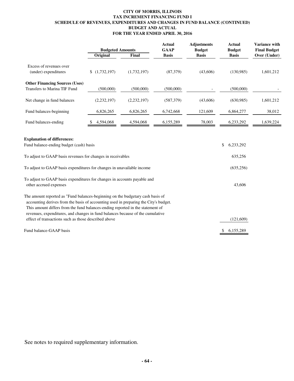#### **CITY OF MORRIS, ILLINOIS TAX INCREMENT FINANCING FUND I SCHEDULE OF REVENUES, EXPENDITURES AND CHANGES IN FUND BALANCE (CONTINUED) BUDGET AND ACTUAL FOR THE YEAR ENDED APRIL 30, 2016**

|                                                                                                                                                                                                                                                                                                                                            | <b>Budgeted Amounts</b> |               | <b>Actual</b><br><b>GAAP</b> | <b>Adjustments</b><br><b>Budget</b> | <b>Actual</b><br><b>Budget</b> | Variance with<br><b>Final Budget</b> |
|--------------------------------------------------------------------------------------------------------------------------------------------------------------------------------------------------------------------------------------------------------------------------------------------------------------------------------------------|-------------------------|---------------|------------------------------|-------------------------------------|--------------------------------|--------------------------------------|
|                                                                                                                                                                                                                                                                                                                                            | Original                | Final         | <b>Basis</b>                 | <b>Basis</b>                        | <b>Basis</b>                   | Over (Under)                         |
| Excess of revenues over<br>(under) expenditures                                                                                                                                                                                                                                                                                            | (1,732,197)<br>\$       | (1,732,197)   | (87,379)                     | (43,606)                            | (130,985)                      | 1,601,212                            |
| <b>Other Financing Sources (Uses)</b><br>Transfers to Marina TIF Fund                                                                                                                                                                                                                                                                      | (500,000)               | (500,000)     | (500,000)                    |                                     | (500,000)                      |                                      |
| Net change in fund balances                                                                                                                                                                                                                                                                                                                | (2, 232, 197)           | (2, 232, 197) | (587,379)                    | (43,606)                            | (630,985)                      | 1,601,212                            |
| Fund balances-beginning                                                                                                                                                                                                                                                                                                                    | 6,826,265               | 6,826,265     | 6,742,668                    | 121,609                             | 6,864,277                      | 38,012                               |
| Fund balances-ending                                                                                                                                                                                                                                                                                                                       | 4,594,068               | 4,594,068     | 6,155,289                    | 78,003                              | 6,233,292                      | 1,639,224                            |
| <b>Explanation of differences:</b><br>Fund balance-ending budget (cash) basis<br>To adjust to GAAP basis revenues for changes in receivables                                                                                                                                                                                               |                         |               |                              |                                     | \$<br>6,233,292<br>635,256     |                                      |
| To adjust to GAAP basis expenditures for changes in unavailable income                                                                                                                                                                                                                                                                     |                         |               |                              |                                     | (635, 256)                     |                                      |
| To adjust to GAAP basis expenditures for changes in accounts payable and<br>other accrued expenses                                                                                                                                                                                                                                         |                         |               |                              |                                     | 43,606                         |                                      |
| The amount reported as "Fund balances-beginning on the budgetary cash basis of<br>accounting derives from the basis of accounting used in preparing the City's budget.<br>This amount differs from the fund balances-ending reported in the statement of<br>revenues, expenditures, and changes in fund balances because of the cumulative |                         |               |                              |                                     |                                |                                      |
| effect of transactions such as those described above                                                                                                                                                                                                                                                                                       |                         |               |                              |                                     | (121,609)                      |                                      |
| Fund balance-GAAP basis                                                                                                                                                                                                                                                                                                                    |                         |               |                              |                                     | \$<br>6,155,289                |                                      |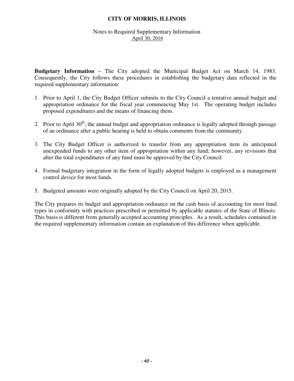#### Notes to Required Supplementary Information April 30, 2016

**Budgetary Information –** The City adopted the Municipal Budget Act on March 14, 1983. Consequently, the City follows these procedures in establishing the budgetary data reflected in the required supplementary information:

- 1. Prior to April 1, the City Budget Officer submits to the City Council a tentative annual budget and appropriation ordinance for the fiscal year commencing May 1st. The operating budget includes proposed expenditures and the means of financing them.
- 2. Prior to April  $30<sup>th</sup>$ , the annual budget and appropriation ordinance is legally adopted through passage of an ordinance after a public hearing is held to obtain comments from the community.
- 3. The City Budget Officer is authorized to transfer from any appropriation item its anticipated unexpended funds to any other item of appropriation within any fund; however, any revisions that alter the total expenditures of any fund must be approved by the City Council.
- 4. Formal budgetary integration in the form of legally adopted budgets is employed as a management control device for most funds.
- 5. Budgeted amounts were originally adopted by the City Council on April 20, 2015.

The City prepares its budget and appropriation ordinance on the cash basis of accounting for most fund types in conformity with practices prescribed or permitted by applicable statutes of the State of Illinois. This basis is different from generally accepted accounting principles. As a result, schedules contained in the required supplementary information contain an explanation of this difference when applicable.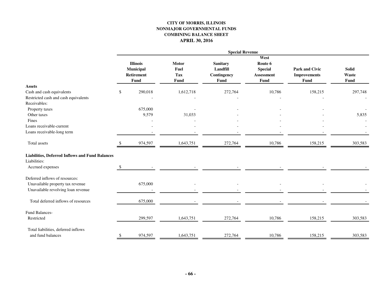#### **CITY OF MORRIS, ILLINOIS NONMAJOR GOVERNMENTAL FUNDS COMBINING BALANCE SHEET APRIL 30, 2016**

| <b>Solid</b><br>Waste<br><b>Fund</b><br>297,748 |
|-------------------------------------------------|
|                                                 |
|                                                 |
|                                                 |
|                                                 |
|                                                 |
|                                                 |
|                                                 |
|                                                 |
| 5,835                                           |
|                                                 |
|                                                 |
|                                                 |
| 303,583                                         |
|                                                 |
|                                                 |
|                                                 |
|                                                 |
|                                                 |
|                                                 |
|                                                 |
|                                                 |
| 303,583                                         |
|                                                 |
| 303,583                                         |
|                                                 |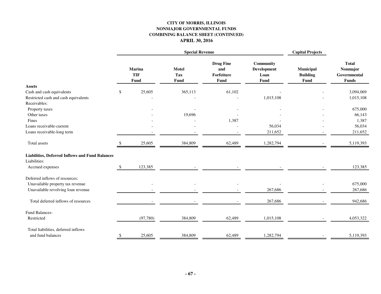#### **CITY OF MORRIS, ILLINOIS NONMAJOR GOVERNMENTAL FUNDS COMBINING BALANCE SHEET (CONTINUED) APRIL 30, 2016**

|                                                        | <b>Special Revenue</b> |                              |                                    |                                               |                                                 | <b>Capital Projects</b>              |                                                          |
|--------------------------------------------------------|------------------------|------------------------------|------------------------------------|-----------------------------------------------|-------------------------------------------------|--------------------------------------|----------------------------------------------------------|
|                                                        |                        | Marina<br><b>TIF</b><br>Fund | <b>Motel</b><br><b>Tax</b><br>Fund | <b>Drug Fine</b><br>and<br>Forfeiture<br>Fund | Community<br><b>Development</b><br>Loan<br>Fund | Municipal<br><b>Building</b><br>Fund | <b>Total</b><br>Nonmajor<br>Governmental<br><b>Funds</b> |
| <b>Assets</b>                                          |                        |                              |                                    |                                               |                                                 |                                      |                                                          |
| Cash and cash equivalents                              | \$                     | 25,605                       | 365,113                            | 61,102                                        |                                                 |                                      | 3,094,069                                                |
| Restricted cash and cash equivalents                   |                        |                              |                                    |                                               | 1,015,108                                       |                                      | 1,015,108                                                |
| Receivables:                                           |                        |                              |                                    |                                               |                                                 |                                      | 675,000                                                  |
| Property taxes<br>Other taxes                          |                        |                              | 19,696                             |                                               |                                                 |                                      | 66,143                                                   |
| Fines                                                  |                        |                              |                                    | 1,387                                         |                                                 |                                      | 1,387                                                    |
| Loans receivable-current                               |                        |                              |                                    |                                               | 56,034                                          |                                      | 56,034                                                   |
| Loans receivable-long term                             |                        |                              |                                    |                                               | 211,652                                         |                                      | 211,652                                                  |
| Total assets                                           |                        | 25,605                       | 384,809                            | 62,489                                        | 1,282,794                                       |                                      | 5,119,393                                                |
| <b>Liabilities, Deferred Inflows and Fund Balances</b> |                        |                              |                                    |                                               |                                                 |                                      |                                                          |
| Liabilities:                                           |                        |                              |                                    |                                               |                                                 |                                      |                                                          |
| Accrued expenses                                       | \$                     | 123,385                      |                                    |                                               |                                                 |                                      | 123,385                                                  |
| Deferred inflows of resources:                         |                        |                              |                                    |                                               |                                                 |                                      |                                                          |
| Unavailable property tax revenue                       |                        |                              |                                    |                                               |                                                 |                                      | 675,000                                                  |
| Unavailable revolving loan revenue                     |                        |                              |                                    |                                               | 267,686                                         |                                      | 267,686                                                  |
| Total deferred inflows of resources                    |                        |                              |                                    |                                               | 267,686                                         |                                      | 942,686                                                  |
| Fund Balances-                                         |                        |                              |                                    |                                               |                                                 |                                      |                                                          |
| Restricted                                             |                        | (97, 780)                    | 384,809                            | 62,489                                        | 1,015,108                                       |                                      | 4,053,322                                                |
| Total liabilities, deferred inflows                    |                        |                              |                                    |                                               |                                                 |                                      |                                                          |
| and fund balances                                      | \$                     | 25,605                       | 384,809                            | 62,489                                        | 1,282,794                                       |                                      | 5,119,393                                                |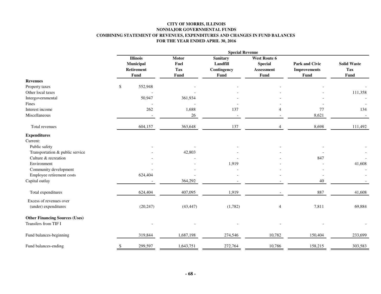#### **CITY OF MORRIS, ILLINOIS NONMAJOR GOVERNMENTAL FUNDS COMBINING STATEMENT OF REVENUES, EXPENDITURES AND CHANGES IN FUND BALANCES FOR THE YEAR ENDED APRIL 30, 2016**

|                                                               | <b>Special Revenue</b> |                                                    |                                            |                                                           |                                                             |                                               |                                   |  |  |
|---------------------------------------------------------------|------------------------|----------------------------------------------------|--------------------------------------------|-----------------------------------------------------------|-------------------------------------------------------------|-----------------------------------------------|-----------------------------------|--|--|
|                                                               |                        | <b>Illinois</b><br>Municipal<br>Retirement<br>Fund | Motor<br>Fuel<br><b>Tax</b><br><b>Fund</b> | <b>Sanitary</b><br>Landfill<br>Contingency<br><b>Fund</b> | <b>West Route 6</b><br><b>Special</b><br>Assessment<br>Fund | Park and Civic<br><b>Improvements</b><br>Fund | <b>Solid Waste</b><br>Tax<br>Fund |  |  |
| <b>Revenues</b>                                               |                        |                                                    |                                            |                                                           |                                                             |                                               |                                   |  |  |
| Property taxes                                                | \$                     | 552,948                                            |                                            |                                                           |                                                             |                                               |                                   |  |  |
| Other local taxes                                             |                        |                                                    |                                            |                                                           |                                                             |                                               | 111,358                           |  |  |
| Intergovernmental                                             |                        | 50,947                                             | 361,934                                    |                                                           |                                                             |                                               |                                   |  |  |
| Fines                                                         |                        |                                                    |                                            |                                                           |                                                             |                                               |                                   |  |  |
| Interest income                                               |                        | 262                                                | 1,688                                      | 137                                                       | $\overline{\mathcal{A}}$                                    | 77                                            | 134                               |  |  |
| Miscellaneous                                                 |                        |                                                    | $26\,$                                     | $\overline{\phantom{a}}$                                  |                                                             | 8,621                                         |                                   |  |  |
| Total revenues                                                |                        | 604,157                                            | 363,648                                    | 137                                                       | $\overline{4}$                                              | 8,698                                         | 111,492                           |  |  |
| <b>Expenditures</b>                                           |                        |                                                    |                                            |                                                           |                                                             |                                               |                                   |  |  |
| Current:                                                      |                        |                                                    |                                            |                                                           |                                                             |                                               |                                   |  |  |
| Public safety                                                 |                        |                                                    |                                            |                                                           |                                                             |                                               |                                   |  |  |
| Transportation & public service                               |                        |                                                    | 42,803                                     |                                                           |                                                             |                                               |                                   |  |  |
| Culture & recreation                                          |                        |                                                    |                                            |                                                           |                                                             | 847                                           |                                   |  |  |
| Environment                                                   |                        |                                                    |                                            | 1,919                                                     |                                                             |                                               | 41,608                            |  |  |
| Community development                                         |                        |                                                    |                                            |                                                           |                                                             |                                               |                                   |  |  |
| Employee retirement costs                                     |                        | 624,404                                            |                                            |                                                           |                                                             |                                               |                                   |  |  |
| Capital outlay                                                |                        |                                                    | 364,292                                    |                                                           |                                                             | 40                                            |                                   |  |  |
| Total expenditures                                            |                        | 624,404                                            | 407,095                                    | 1,919                                                     |                                                             | 887                                           | 41,608                            |  |  |
| Excess of revenues over<br>(under) expenditures               |                        | (20, 247)                                          | (43, 447)                                  | (1,782)                                                   | $\overline{4}$                                              | 7,811                                         | 69,884                            |  |  |
| <b>Other Financing Sources (Uses)</b><br>Transfers from TIF I |                        |                                                    |                                            |                                                           |                                                             |                                               |                                   |  |  |
| Fund balances-beginning                                       |                        | 319,844                                            | 1,687,198                                  | 274,546                                                   | 10,782                                                      | 150,404                                       | 233,699                           |  |  |
| Fund balances-ending                                          | \$                     | 299,597                                            | 1,643,751                                  | 272,764                                                   | 10,786                                                      | 158,215                                       | 303,583                           |  |  |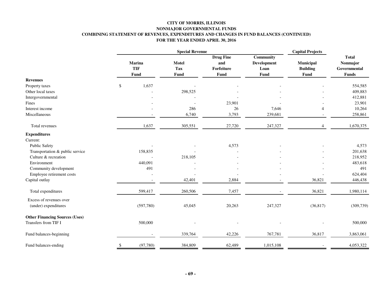### **CITY OF MORRIS, ILLINOIS NONMAJOR GOVERNMENTAL FUNDS COMBINING STATEMENT OF REVENUES, EXPENDITURES AND CHANGES IN FUND BALANCES (CONTINUED) FOR THE YEAR ENDED APRIL 30, 2016**

|                                                               |                       |                                    | <b>Capital Projects</b>                       |                                                 |                                      |                                                          |
|---------------------------------------------------------------|-----------------------|------------------------------------|-----------------------------------------------|-------------------------------------------------|--------------------------------------|----------------------------------------------------------|
|                                                               | Marina<br>TIF<br>Fund | <b>Motel</b><br><b>Tax</b><br>Fund | <b>Drug Fine</b><br>and<br>Forfeiture<br>Fund | <b>Community</b><br>Development<br>Loan<br>Fund | Municipal<br><b>Building</b><br>Fund | <b>Total</b><br>Nonmajor<br>Governmental<br><b>Funds</b> |
| <b>Revenues</b>                                               |                       |                                    |                                               |                                                 |                                      |                                                          |
| Property taxes                                                | \$<br>1,637           |                                    |                                               |                                                 |                                      | 554,585                                                  |
| Other local taxes                                             |                       | 298,525                            |                                               |                                                 |                                      | 409,883                                                  |
| Intergovernmental                                             |                       |                                    |                                               |                                                 |                                      | 412,881                                                  |
| Fines                                                         |                       |                                    | 23,901                                        |                                                 |                                      | 23,901                                                   |
| Interest income                                               |                       | 286                                | 26                                            | 7,646                                           | Δ                                    | 10,264                                                   |
| Miscellaneous                                                 |                       | 6,740                              | 3,793                                         | 239,681                                         |                                      | 258,861                                                  |
| Total revenues                                                | 1,637                 | 305,551                            | 27,720                                        | 247,327                                         | $\overline{4}$                       | 1,670,375                                                |
| <b>Expenditures</b>                                           |                       |                                    |                                               |                                                 |                                      |                                                          |
| Current:                                                      |                       |                                    |                                               |                                                 |                                      |                                                          |
| <b>Public Safety</b>                                          |                       |                                    | 4,573                                         |                                                 |                                      | 4,573                                                    |
| Transportation & public service                               | 158,835               |                                    |                                               |                                                 |                                      | 201,638                                                  |
| Culture & recreation                                          |                       | 218,105                            |                                               |                                                 |                                      | 218,952                                                  |
| Environment                                                   | 440,091               |                                    |                                               |                                                 |                                      | 483,618                                                  |
| Community development                                         | 491                   |                                    |                                               |                                                 |                                      | 491                                                      |
| Employee retirement costs                                     |                       |                                    |                                               |                                                 |                                      | 624,404                                                  |
| Capital outlay                                                |                       | 42,401                             | 2,884                                         |                                                 | 36,821                               | 446,438                                                  |
| Total expenditures                                            | 599,417               | 260,506                            | 7,457                                         |                                                 | 36,821                               | 1,980,114                                                |
| Excess of revenues over<br>(under) expenditures               | (597,780)             | 45,045                             | 20,263                                        | 247,327                                         | (36, 817)                            | (309, 739)                                               |
| <b>Other Financing Sources (Uses)</b><br>Transfers from TIF I | 500,000               |                                    |                                               |                                                 |                                      | 500,000                                                  |
| Fund balances-beginning                                       |                       | 339,764                            | 42,226                                        | 767,781                                         | 36,817                               | 3,863,061                                                |
| Fund balances-ending                                          | (97, 780)             | 384,809                            | 62,489                                        | 1,015,108                                       |                                      | 4,053,322                                                |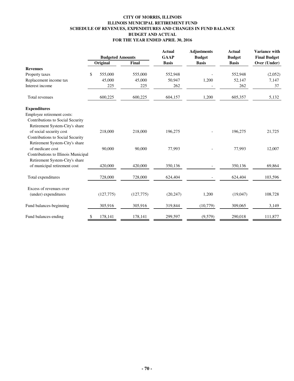### **CITY OF MORRIS, ILLINOIS ILLINOIS MUNICIPAL RETIREMENT FUND SCHEDULE OF REVENUES, EXPENDITURES AND CHANGES IN FUND BALANCE BUDGET AND ACTUAL FOR THE YEAR ENDED APRIL 30, 2016**

|                                     | <b>Budgeted Amounts</b> |           | <b>Actual</b><br><b>GAAP</b> | <b>Adjustments</b><br><b>Budget</b> | <b>Actual</b><br><b>Budget</b> | <b>Variance with</b><br><b>Final Budget</b> |              |  |
|-------------------------------------|-------------------------|-----------|------------------------------|-------------------------------------|--------------------------------|---------------------------------------------|--------------|--|
|                                     |                         | Original  | Final                        | <b>Basis</b>                        | <b>Basis</b>                   | <b>Basis</b>                                | Over (Under) |  |
| <b>Revenues</b>                     |                         |           |                              |                                     |                                |                                             |              |  |
| Property taxes                      | \$                      | 555,000   | 555,000                      | 552,948                             |                                | 552,948                                     | (2,052)      |  |
| Replacement income tax              |                         | 45,000    | 45,000                       | 50,947                              | 1,200                          | 52,147                                      | 7,147        |  |
| Interest income                     |                         | 225       | 225                          | 262                                 |                                | 262                                         | 37           |  |
| Total revenues                      |                         | 600,225   | 600,225                      | 604,157                             | 1,200                          | 605,357                                     | 5,132        |  |
| <b>Expenditures</b>                 |                         |           |                              |                                     |                                |                                             |              |  |
| Employee retirement costs:          |                         |           |                              |                                     |                                |                                             |              |  |
| Contributions to Social Security    |                         |           |                              |                                     |                                |                                             |              |  |
| Retirement System-City's share      |                         |           |                              |                                     |                                |                                             |              |  |
| of social security cost             |                         | 218,000   | 218,000                      | 196,275                             |                                | 196,275                                     | 21,725       |  |
| Contributions to Social Security    |                         |           |                              |                                     |                                |                                             |              |  |
| Retirement System-City's share      |                         |           |                              |                                     |                                |                                             |              |  |
| of medicare cost                    |                         | 90,000    | 90,000                       | 77,993                              |                                | 77,993                                      | 12,007       |  |
| Contributions to Illinois Municipal |                         |           |                              |                                     |                                |                                             |              |  |
| Retirement System-City's share      |                         |           |                              |                                     |                                |                                             |              |  |
| of municipal retirement cost        |                         | 420,000   | 420,000                      | 350,136                             |                                | 350,136                                     | 69,864       |  |
| Total expenditures                  |                         | 728,000   | 728,000                      | 624,404                             |                                | 624,404                                     | 103,596      |  |
| Excess of revenues over             |                         |           |                              |                                     |                                |                                             |              |  |
| (under) expenditures                |                         | (127,775) | (127,775)                    | (20, 247)                           | 1,200                          | (19,047)                                    | 108,728      |  |
| Fund balances-beginning             |                         | 305,916   | 305,916                      | 319,844                             | (10,779)                       | 309,065                                     | 3,149        |  |
| Fund balances-ending                | S                       | 178,141   | 178,141                      | 299,597                             | (9,579)                        | 290,018                                     | 111,877      |  |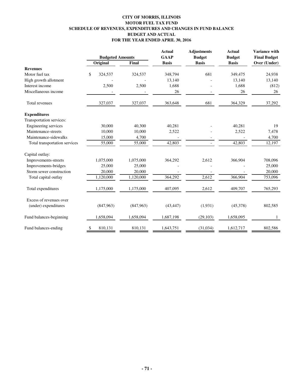# **CITY OF MORRIS, ILLINOIS MOTOR FUEL TAX FUND SCHEDULE OF REVENUES, EXPENDITURES AND CHANGES IN FUND BALANCE BUDGET AND ACTUAL FOR THE YEAR ENDED APRIL 30, 2016**

|                                                 | <b>Budgeted Amounts</b> |           | <b>Actual</b><br><b>GAAP</b> | <b>Adjustments</b><br><b>Budget</b> | <b>Actual</b><br><b>Budget</b> | Variance with<br><b>Final Budget</b> |
|-------------------------------------------------|-------------------------|-----------|------------------------------|-------------------------------------|--------------------------------|--------------------------------------|
|                                                 | Original                | Final     | <b>Basis</b>                 | <b>Basis</b>                        | <b>Basis</b>                   | Over (Under)                         |
| <b>Revenues</b>                                 |                         |           |                              |                                     |                                |                                      |
| Motor fuel tax                                  | \$<br>324,537           | 324,537   | 348,794                      | 681                                 | 349,475                        | 24,938                               |
| High growth allotment                           |                         |           | 13,140                       |                                     | 13,140                         | 13,140                               |
| Interest income                                 | 2,500                   | 2,500     | 1,688                        |                                     | 1,688                          | (812)                                |
| Miscellaneous income                            |                         |           | 26                           |                                     | 26                             | 26                                   |
| Total revenues                                  | 327,037                 | 327,037   | 363,648                      | 681                                 | 364,329                        | 37,292                               |
| <b>Expenditures</b>                             |                         |           |                              |                                     |                                |                                      |
| Transportation services:                        |                         |           |                              |                                     |                                |                                      |
| Engineering services                            | 30,000                  | 40,300    | 40,281                       |                                     | 40,281                         | 19                                   |
| Maintenance-streets                             | 10.000                  | 10,000    | 2,522                        |                                     | 2,522                          | 7,478                                |
| Maintenance-sidewalks                           | 15,000                  | 4,700     |                              |                                     |                                | 4,700                                |
| Total transportation services                   | 55,000                  | 55,000    | 42,803                       |                                     | 42,803                         | 12,197                               |
| Capital outlay:                                 |                         |           |                              |                                     |                                |                                      |
| Improvements-streets                            | 1,075,000               | 1,075,000 | 364,292                      | 2,612                               | 366,904                        | 708,096                              |
| Improvements-bridges                            | 25,000                  | 25,000    |                              |                                     |                                | 25,000                               |
| Storm sewer construction                        | 20,000                  | 20,000    |                              |                                     |                                | 20,000                               |
| Total capital outlay                            | 1,120,000               | 1,120,000 | 364,292                      | 2,612                               | 366,904                        | 753,096                              |
| Total expenditures                              | 1,175,000               | 1,175,000 | 407,095                      | 2,612                               | 409,707                        | 765,293                              |
| Excess of revenues over<br>(under) expenditures | (847,963)               | (847,963) | (43, 447)                    | (1,931)                             | (45,378)                       | 802,585                              |
| Fund balances-beginning                         | 1,658,094               | 1,658,094 | 1,687,198                    | (29,103)                            | 1,658,095                      | 1                                    |
| Fund balances-ending                            | 810,131<br>\$           | 810,131   | 1,643,751                    | (31,034)                            | 1,612,717                      | 802,586                              |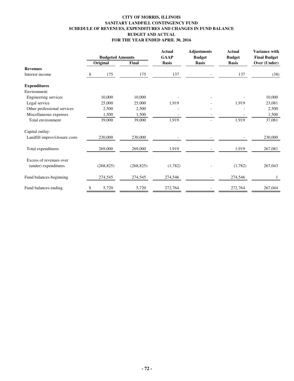# **CITY OF MORRIS, ILLINOIS SANITARY LANDFILL CONTINGENCY FUND SCHEDULE OF REVENUES, EXPENDITURES AND CHANGES IN FUND BALANCE BUDGET AND ACTUAL FOR THE YEAR ENDED APRIL 30, 2016**

|                               | <b>Budgeted Amounts</b> |            |            | <b>Actual</b><br><b>GAAP</b> | <b>Adjustments</b><br><b>Budget</b> | <b>Actual</b><br><b>Budget</b> | Variance with<br><b>Final Budget</b> |
|-------------------------------|-------------------------|------------|------------|------------------------------|-------------------------------------|--------------------------------|--------------------------------------|
|                               | Original                |            | Final      | <b>Basis</b>                 | <b>Basis</b>                        | <b>Basis</b>                   | Over (Under)                         |
| <b>Revenues</b>               |                         |            |            |                              |                                     |                                |                                      |
| Interest income               | <sup>\$</sup>           | 175        | 175        | 137                          |                                     | 137                            | (38)                                 |
| <b>Expenditures</b>           |                         |            |            |                              |                                     |                                |                                      |
| Environment:                  |                         |            |            |                              |                                     |                                |                                      |
| Engineering services          |                         | 10,000     | 10,000     |                              |                                     |                                | 10,000                               |
| Legal service                 |                         | 25,000     | 25,000     | 1,919                        |                                     | 1,919                          | 23,081                               |
| Other professional services   |                         | 2,500      | 2,500      |                              |                                     |                                | 2,500                                |
| Miscellaneous expenses        |                         | 1,500      | 1,500      |                              |                                     |                                | 1,500                                |
| Total environment             |                         | 39,000     | 39,000     | 1,919                        |                                     | 1,919                          | 37,081                               |
| Capital outlay-               |                         |            |            |                              |                                     |                                |                                      |
| Landfill improv/closure costs |                         | 230,000    | 230,000    |                              |                                     |                                | 230,000                              |
| Total expenditures            |                         | 269,000    | 269,000    | 1,919                        |                                     | 1,919                          | 267,081                              |
| Excess of revenues over       |                         |            |            |                              |                                     |                                |                                      |
| (under) expenditures          |                         | (268, 825) | (268, 825) | (1,782)                      |                                     | (1,782)                        | 267,043                              |
| Fund balances-beginning       |                         | 274,545    | 274,545    | 274,546                      |                                     | 274,546                        |                                      |
| Fund balances-ending          | \$                      | 5,720      | 5,720      | 272,764                      |                                     | 272,764                        | 267,044                              |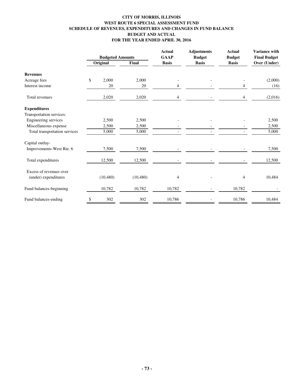# **CITY OF MORRIS, ILLINOIS WEST ROUTE 6 SPECIAL ASSESSMENT FUND SCHEDULE OF REVENUES, EXPENDITURES AND CHANGES IN FUND BALANCE BUDGET AND ACTUAL FOR THE YEAR ENDED APRIL 30, 2016**

|                                                 | <b>Budgeted Amounts</b> |           |           | <b>Actual</b><br><b>GAAP</b> | <b>Adjustments</b><br><b>Budget</b> | <b>Actual</b><br><b>Budget</b> | Variance with<br><b>Final Budget</b> |
|-------------------------------------------------|-------------------------|-----------|-----------|------------------------------|-------------------------------------|--------------------------------|--------------------------------------|
|                                                 | Original                |           | Final     | <b>Basis</b>                 | <b>Basis</b>                        | <b>Basis</b>                   | Over (Under)                         |
| <b>Revenues</b>                                 |                         |           |           |                              |                                     |                                |                                      |
| Acreage fees                                    | \$                      | 2,000     | 2,000     |                              |                                     |                                | (2,000)                              |
| Interest income                                 |                         | 20        | 20        | 4                            |                                     | 4                              | (16)                                 |
| Total revenues                                  |                         | 2,020     | 2,020     | 4                            |                                     | 4                              | (2,016)                              |
| <b>Expenditures</b>                             |                         |           |           |                              |                                     |                                |                                      |
| Transportation services:                        |                         |           |           |                              |                                     |                                |                                      |
| Engineering services                            |                         | 2,500     | 2,500     |                              |                                     |                                | 2,500                                |
| Miscellaneous expense                           |                         | 2,500     | 2,500     |                              |                                     |                                | 2,500                                |
| Total transportation services                   |                         | 5,000     | 5,000     |                              |                                     |                                | 5,000                                |
| Capital outlay-                                 |                         |           |           |                              |                                     |                                |                                      |
| Improvements-West Rte. 6                        |                         | 7,500     | 7,500     |                              |                                     |                                | 7,500                                |
| Total expenditures                              |                         | 12,500    | 12,500    |                              |                                     |                                | 12,500                               |
| Excess of revenues over<br>(under) expenditures |                         | (10, 480) | (10, 480) | 4                            |                                     | 4                              | 10,484                               |
| Fund balances-beginning                         |                         | 10,782    | 10,782    | 10,782                       |                                     | 10,782                         |                                      |
| Fund balances-ending                            | \$                      | 302       | 302       | 10,786                       |                                     | 10,786                         | 10,484                               |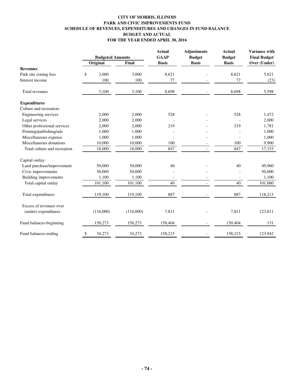### **CITY OF MORRIS, ILLINOIS PARK AND CIVIC IMPROVEMENTS FUND SCHEDULE OF REVENUES, EXPENDITURES AND CHANGES IN FUND BALANCE BUDGET AND ACTUAL FOR THE YEAR ENDED APRIL 30, 2016**

|                                                 | <b>Budgeted Amounts</b> |           |           | <b>Actual</b><br><b>GAAP</b> | <b>Adjustments</b><br><b>Budget</b> | <b>Actual</b><br><b>Budget</b> | Variance with<br><b>Final Budget</b> |
|-------------------------------------------------|-------------------------|-----------|-----------|------------------------------|-------------------------------------|--------------------------------|--------------------------------------|
|                                                 |                         | Original  | Final     | <b>Basis</b>                 | <b>Basis</b>                        | <b>Basis</b>                   | Over (Under)                         |
| <b>Revenues</b>                                 |                         |           |           |                              |                                     |                                |                                      |
| Park site zoning fees                           | \$                      | 3,000     | 3,000     | 8,621                        |                                     | 8,621                          | 5,621                                |
| Interest income                                 |                         | 100       | 100       | 77                           |                                     | 77                             | (23)                                 |
| Total revenues                                  |                         | 3,100     | 3,100     | 8,698                        |                                     | 8,698                          | 5,598                                |
| <b>Expenditures</b>                             |                         |           |           |                              |                                     |                                |                                      |
| Culture and recreation:                         |                         |           |           |                              |                                     |                                |                                      |
| Engineering services                            |                         | 2,000     | 2,000     | 528                          |                                     | 528                            | 1,472                                |
| Legal services                                  |                         | 2,000     | 2,000     |                              |                                     |                                | 2,000                                |
| Other professional services                     |                         | 2,000     | 2,000     | 219                          |                                     | 219                            | 1,781                                |
| Printing/publishing/ads                         |                         | 1,000     | 1,000     |                              |                                     |                                | 1,000                                |
| Miscellaneous expense                           |                         | 1,000     | 1,000     |                              |                                     |                                | 1,000                                |
| Miscellaneous donations                         |                         | 10,000    | 10,000    | 100                          |                                     | 100                            | 9,900                                |
| Total culture and recreation                    |                         | 18,000    | 18,000    | 847                          |                                     | 847                            | 17,153                               |
| Capital outlay:                                 |                         |           |           |                              |                                     |                                |                                      |
| Land purchase/improvement                       |                         | 50,000    | 50,000    | 40                           |                                     | 40                             | 49,960                               |
| Civic improvements                              |                         | 50,000    | 50,000    |                              |                                     |                                | 50,000                               |
| <b>Building improvements</b>                    |                         | 1,100     | 1,100     |                              |                                     |                                | 1,100                                |
| Total capital outlay                            |                         | 101,100   | 101,100   | 40                           |                                     | 40                             | 101,060                              |
| Total expenditures                              |                         | 119,100   | 119,100   | 887                          |                                     | 887                            | 118,213                              |
| Excess of revenues over<br>(under) expenditures |                         | (116,000) | (116,000) | 7,811                        |                                     | 7,811                          | 123,811                              |
| Fund balances-beginning                         |                         | 150,273   | 150,273   | 150,404                      |                                     | 150,404                        | 131                                  |
| Fund balances-ending                            | \$                      | 34,273    | 34,273    | 158,215                      |                                     | 158,215                        | 123,942                              |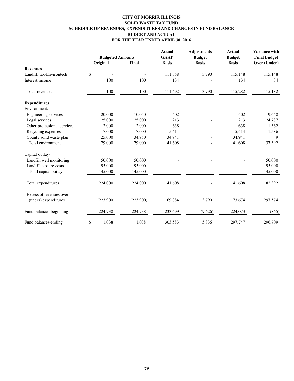# **CITY OF MORRIS, ILLINOIS SOLID WASTE TAX FUND SCHEDULE OF REVENUES, EXPENDITURES AND CHANGES IN FUND BALANCE BUDGET AND ACTUAL FOR THE YEAR ENDED APRIL 30, 2016**

|                             | <b>Budgeted Amounts</b> |           | <b>Actual</b><br><b>GAAP</b> | <b>Adjustments</b><br><b>Budget</b> | <b>Actual</b><br><b>Budget</b> | <b>Variance with</b><br><b>Final Budget</b> |
|-----------------------------|-------------------------|-----------|------------------------------|-------------------------------------|--------------------------------|---------------------------------------------|
|                             | Original                | Final     | <b>Basis</b>                 | <b>Basis</b>                        | <b>Basis</b>                   | Over (Under)                                |
| <b>Revenues</b>             |                         |           |                              |                                     |                                |                                             |
| Landfill tax-Environtech    | \$                      |           | 111,358                      | 3,790                               | 115,148                        | 115,148                                     |
| Interest income             | 100                     | 100       | 134                          |                                     | 134                            | 34                                          |
| Total revenues              | 100                     | 100       | 111,492                      | 3,790                               | 115,282                        | 115,182                                     |
| <b>Expenditures</b>         |                         |           |                              |                                     |                                |                                             |
| Environment:                |                         |           |                              |                                     |                                |                                             |
| Engineering services        | 20,000                  | 10,050    | 402                          |                                     | 402                            | 9,648                                       |
| Legal services              | 25,000                  | 25,000    | 213                          |                                     | 213                            | 24,787                                      |
| Other professional services | 2,000                   | 2,000     | 638                          |                                     | 638                            | 1,362                                       |
| Recycling expenses          | 7,000                   | 7,000     | 5,414                        |                                     | 5,414                          | 1,586                                       |
| County solid waste plan     | 25,000                  | 34,950    | 34,941                       |                                     | 34,941                         | 9                                           |
| Total environment           | 79,000                  | 79,000    | 41,608                       |                                     | 41,608                         | 37,392                                      |
| Capital outlay-             |                         |           |                              |                                     |                                |                                             |
| Landfill well monitoring    | 50,000                  | 50,000    |                              |                                     |                                | 50,000                                      |
| Landfill closure costs      | 95,000                  | 95,000    |                              |                                     |                                | 95,000                                      |
| Total capital outlay        | 145,000                 | 145,000   |                              |                                     |                                | 145,000                                     |
| Total expenditures          | 224,000                 | 224,000   | 41,608                       |                                     | 41,608                         | 182,392                                     |
| Excess of revenues over     |                         |           |                              |                                     |                                |                                             |
| (under) expenditures        | (223,900)               | (223,900) | 69,884                       | 3,790                               | 73,674                         | 297,574                                     |
| Fund balances-beginning     | 224,938                 | 224,938   | 233,699                      | (9,626)                             | 224,073                        | (865)                                       |
| Fund balances-ending        | 1,038<br>\$             | 1,038     | 303,583                      | (5,836)                             | 297,747                        | 296,709                                     |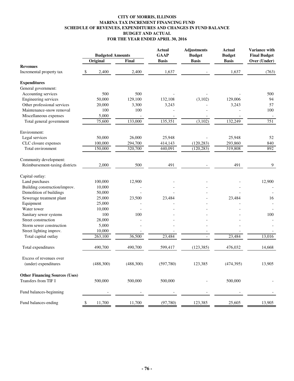#### **CITY OF MORRIS, ILLINOIS MARINA TAX INCREMENT FINANCING FUND SCHEDULE OF REVENUES, EXPENDITURES AND CHANGES IN FUND BALANCE BUDGET AND ACTUAL FOR THE YEAR ENDED APRIL 30, 2016**

|                                       | <b>Budgeted Amounts</b> |           | <b>Actual</b><br><b>GAAP</b> | <b>Adjustments</b><br><b>Budget</b> | <b>Actual</b><br><b>Budget</b> | Variance with<br><b>Final Budget</b> |
|---------------------------------------|-------------------------|-----------|------------------------------|-------------------------------------|--------------------------------|--------------------------------------|
|                                       | Original                | Final     | <b>Basis</b>                 | <b>Basis</b>                        | <b>Basis</b>                   | Over (Under)                         |
| <b>Revenues</b>                       |                         |           |                              |                                     |                                |                                      |
| Incremental property tax              | 2,400<br>\$             | 2,400     | 1,637                        |                                     | 1,637                          | (763)                                |
| <b>Expenditures</b>                   |                         |           |                              |                                     |                                |                                      |
| General government:                   |                         |           |                              |                                     |                                |                                      |
| Accounting services                   | 500                     | 500       |                              |                                     |                                | 500                                  |
| Engineering services                  | 50,000                  | 129,100   | 132,108                      | (3,102)                             | 129,006                        | 94                                   |
| Other professional services           | 20,000                  | 3,300     | 3,243                        |                                     | 3,243                          | 57                                   |
| Maintenance-snow removal              | 100                     | 100       |                              |                                     |                                | 100                                  |
| Miscellaneous expenses                | 5,000                   |           |                              |                                     |                                |                                      |
| Total general government              | 75,600                  | 133,000   | 135,351                      | (3,102)                             | 132,249                        | 751                                  |
| Environment:                          |                         |           |                              |                                     |                                |                                      |
| Legal services                        | 50,000                  | 26,000    | 25,948                       |                                     | 25,948                         | 52                                   |
| CLC closure expenses                  | 100,000                 | 294,700   | 414,143                      | (120, 283)                          | 293,860                        | 840                                  |
| Total environment                     | 150,000                 | 320,700   | 440,091                      | (120, 283)                          | 319,808                        | 892                                  |
| Community development:                |                         |           |                              |                                     |                                |                                      |
| Reimbursement-taxing districts        | 2,000                   | 500       | 491                          |                                     | 491                            | 9                                    |
| Capital outlay:                       |                         |           |                              |                                     |                                |                                      |
| Land purchases                        | 100,000                 | 12,900    |                              |                                     |                                | 12,900                               |
| Building construction/improv.         | 10,000                  |           |                              |                                     |                                |                                      |
| Demolition of buildings               | 50,000                  |           |                              |                                     |                                |                                      |
| Sewerage treatment plant              | 25,000                  | 23,500    | 23,484                       |                                     | 23,484                         | 16                                   |
| Equipment                             | 25,000                  |           |                              |                                     |                                |                                      |
| Water tower                           | 10,000                  |           |                              |                                     |                                |                                      |
| Sanitary sewer systems                | 100                     | 100       |                              |                                     |                                | 100                                  |
| Street construction                   | 28,000                  |           |                              |                                     |                                |                                      |
| Storm sewer construction              | 5,000                   |           |                              |                                     |                                |                                      |
| Street lighting improv.               | 10,000                  |           |                              |                                     |                                |                                      |
| Total capital outlay                  | 263,100                 | 36,500    | 23,484                       |                                     | 23,484                         | 13,016                               |
| Total expenditures                    | 490,700                 | 490,700   | 599,417                      | (123, 385)                          | 476,032                        | 14,668                               |
| Excess of revenues over               |                         |           |                              |                                     |                                |                                      |
| (under) expenditures                  | (488,300)               | (488,300) | (597,780)                    | 123,385                             | (474,395)                      | 13,905                               |
| <b>Other Financing Sources (Uses)</b> |                         |           |                              |                                     |                                |                                      |
| Transfers from TIF I                  | 500,000                 | 500,000   | 500,000                      |                                     | 500,000                        |                                      |
| Fund balances-beginning               |                         |           |                              |                                     |                                |                                      |
| Fund balances-ending                  | 11,700<br>\$            | 11,700    | (97, 780)                    | 123,385                             | 25,605                         | 13,905                               |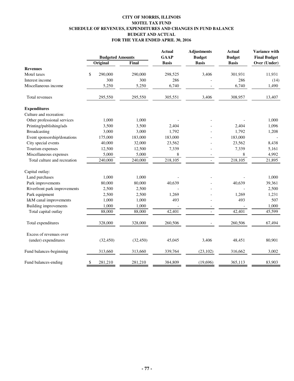# **CITY OF MORRIS, ILLINOIS MOTEL TAX FUND SCHEDULE OF REVENUES, EXPENDITURES AND CHANGES IN FUND BALANCE BUDGET AND ACTUAL FOR THE YEAR ENDED APRIL 30, 2016**

|                              | <b>Budgeted Amounts</b> |           | <b>Actual</b><br><b>GAAP</b> | <b>Adjustments</b><br><b>Budget</b> | <b>Actual</b><br><b>Budget</b> | Variance with<br><b>Final Budget</b> |
|------------------------------|-------------------------|-----------|------------------------------|-------------------------------------|--------------------------------|--------------------------------------|
|                              | Original                | Final     | <b>Basis</b>                 | <b>Basis</b>                        | <b>Basis</b>                   | Over (Under)                         |
| <b>Revenues</b>              |                         |           |                              |                                     |                                |                                      |
| Motel taxes                  | \$<br>290,000           | 290,000   | 298,525                      | 3,406                               | 301,931                        | 11,931                               |
| Interest income              | 300                     | 300       | 286                          |                                     | 286                            | (14)                                 |
| Miscellaneous income         | 5,250                   | 5,250     | 6,740                        |                                     | 6,740                          | 1,490                                |
| Total revenues               | 295,550                 | 295,550   | 305,551                      | 3,406                               | 308,957                        | 13,407                               |
| <b>Expenditures</b>          |                         |           |                              |                                     |                                |                                      |
| Culture and recreation:      |                         |           |                              |                                     |                                |                                      |
| Other professional services  | 1,000                   | 1,000     |                              |                                     |                                | 1,000                                |
| Printing/publishing/ads      | 3,500                   | 3,500     | 2,404                        |                                     | 2,404                          | 1,096                                |
| Broadcasting                 | 3,000                   | 3,000     | 1,792                        |                                     | 1,792                          | 1,208                                |
| Event sponsorship/donations  | 175,000                 | 183,000   | 183,000                      |                                     | 183,000                        |                                      |
| City special events          | 40,000                  | 32,000    | 23,562                       |                                     | 23,562                         | 8,438                                |
| Tourism expenses             | 12,500                  | 12,500    | 7,339                        |                                     | 7,339                          | 5,161                                |
| Miscellaneous expenses       | 5,000                   | 5,000     | 8                            | $\overline{a}$                      | 8                              | 4,992                                |
| Total culture and recreation | 240,000                 | 240,000   | 218,105                      | $\blacksquare$                      | 218,105                        | 21,895                               |
| Capital outlay:              |                         |           |                              |                                     |                                |                                      |
| Land purchases               | 1,000                   | 1,000     |                              |                                     |                                | 1,000                                |
| Park improvements            | 80,000                  | 80,000    | 40,639                       |                                     | 40,639                         | 39,361                               |
| Riverfront park improvements | 2,500                   | 2,500     |                              |                                     |                                | 2,500                                |
| Park equipment               | 2,500                   | 2,500     | 1,269                        |                                     | 1,269                          | 1,231                                |
| I&M canal improvements       | 1,000                   | 1,000     | 493                          |                                     | 493                            | 507                                  |
| <b>Building improvements</b> | 1,000                   | 1,000     |                              |                                     |                                | 1,000                                |
| Total capital outlay         | 88,000                  | 88,000    | 42,401                       | $\overline{a}$                      | 42,401                         | 45,599                               |
| Total expenditures           | 328,000                 | 328,000   | 260,506                      |                                     | 260,506                        | 67,494                               |
| Excess of revenues over      |                         |           |                              |                                     |                                |                                      |
| (under) expenditures         | (32, 450)               | (32, 450) | 45,045                       | 3,406                               | 48,451                         | 80,901                               |
| Fund balances-beginning      | 313,660                 | 313,660   | 339,764                      | (23, 102)                           | 316,662                        | 3,002                                |
| Fund balances-ending         | \$<br>281,210           | 281,210   | 384,809                      | (19,696)                            | 365,113                        | 83,903                               |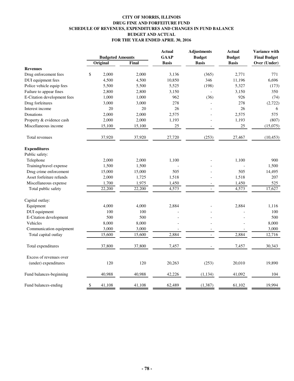# **CITY OF MORRIS, ILLINOIS DRUG FINE AND FORFEITURE FUND SCHEDULE OF REVENUES, EXPENDITURES AND CHANGES IN FUND BALANCE BUDGET AND ACTUAL FOR THE YEAR ENDED APRIL 30, 2016**

|                             |              | <b>Budgeted Amounts</b> | <b>Actual</b><br><b>GAAP</b> | Adjustments<br><b>Budget</b> | <b>Actual</b><br><b>Budget</b> | <b>Variance with</b><br><b>Final Budget</b><br>Over (Under) |
|-----------------------------|--------------|-------------------------|------------------------------|------------------------------|--------------------------------|-------------------------------------------------------------|
|                             | Original     | Final                   | <b>Basis</b>                 | <b>Basis</b>                 | <b>Basis</b>                   |                                                             |
| <b>Revenues</b>             |              |                         |                              |                              |                                |                                                             |
| Drug enforcement fees       | \$<br>2.000  | 2.000                   | 3,136                        | (365)                        | 2,771                          | 771                                                         |
| DUI equipment fees          | 4,500        | 4,500                   | 10,850                       | 346                          | 11,196                         | 6,696                                                       |
| Police vehicle equip fees   | 5,500        | 5,500                   | 5,525                        | (198)                        | 5,327                          | (173)                                                       |
| Failure to appear fines     | 2,800        | 2,800                   | 3,150                        |                              | 3,150                          | 350                                                         |
| E-Citation development fees | 1,000        | 1,000                   | 962                          | (36)                         | 926                            | (74)                                                        |
| Drug forfeitures            | 3,000        | 3,000                   | 278                          |                              | 278                            | (2,722)                                                     |
| Interest income             |              | 20<br>20                | 26                           |                              | 26                             | 6                                                           |
| Donations                   | 2,000        | 2,000                   | 2,575                        |                              | 2,575                          | 575                                                         |
| Property & evidence cash    | 2,000        | 2,000                   | 1,193                        |                              | 1,193                          | (807)                                                       |
| Miscellaneous income        | 15,100       | 15,100                  | 25                           |                              | 25                             | (15,075)                                                    |
| Total revenues              | 37,920       | 37,920                  | 27,720                       | (253)                        | 27,467                         | (10, 453)                                                   |
| <b>Expenditures</b>         |              |                         |                              |                              |                                |                                                             |
| Public safety:              |              |                         |                              |                              |                                |                                                             |
| Telephone                   | 2,000        | 2,000                   | 1,100                        |                              | 1,100                          | 900                                                         |
| Training/travel expense     | 1,500        | 1,500                   |                              |                              |                                | 1,500                                                       |
| Drug crime enforcement      | 15,000       | 15,000                  | 505                          |                              | 505                            | 14,495                                                      |
| Asset forfeiture refunds    | 2,000        | 1,725                   | 1,518                        |                              | 1,518                          | 207                                                         |
| Miscellaneous expense       | 1,700        | 1,975                   | 1,450                        |                              | 1,450                          | 525                                                         |
| Total public safety         | 22,200       | 22,200                  | 4,573                        |                              | 4,573                          | 17,627                                                      |
| Capital outlay:             |              |                         |                              |                              |                                |                                                             |
| Equipment                   | 4,000        | 4,000                   | 2,884                        |                              | 2,884                          | 1,116                                                       |
| DUI equipment               | 100          | 100                     |                              |                              |                                | 100                                                         |
| E-Citation development      | 500          | 500                     |                              |                              |                                | 500                                                         |
| Vehicles                    | 8,000        | 8,000                   |                              |                              |                                | 8,000                                                       |
| Communication equipment     | 3,000        | 3,000                   |                              |                              |                                | 3,000                                                       |
| Total capital outlay        | 15,600       | 15,600                  | 2,884                        | $\overline{a}$               | 2,884                          | 12,716                                                      |
| Total expenditures          | 37,800       | 37,800                  | 7,457                        |                              | 7,457                          | 30,343                                                      |
| Excess of revenues over     |              |                         |                              |                              |                                |                                                             |
| (under) expenditures        | 120          | 120                     | 20,263                       | (253)                        | 20,010                         | 19,890                                                      |
| Fund balances-beginning     | 40,988       | 40,988                  | 42,226                       | (1, 134)                     | 41,092                         | 104                                                         |
| Fund balances-ending        | \$<br>41,108 | 41,108                  | 62,489                       | (1, 387)                     | 61,102                         | 19,994                                                      |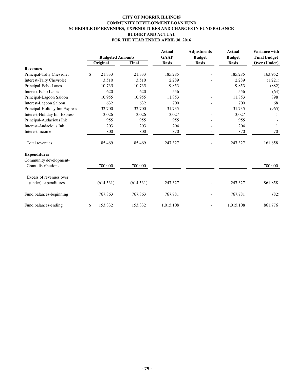# **CITY OF MORRIS, ILLINOIS COMMUNITY DEVELOPMENT LOAN FUND SCHEDULE OF REVENUES, EXPENDITURES AND CHANGES IN FUND BALANCE BUDGET AND ACTUAL FOR THE YEAR ENDED APRIL 30, 2016**

|                                 |                         |            | <b>Actual</b> | <b>Adjustments</b> | <b>Actual</b> | Variance with       |
|---------------------------------|-------------------------|------------|---------------|--------------------|---------------|---------------------|
|                                 | <b>Budgeted Amounts</b> |            | <b>GAAP</b>   | <b>Budget</b>      | <b>Budget</b> | <b>Final Budget</b> |
|                                 | Original                | Final      | <b>Basis</b>  | <b>Basis</b>       | <b>Basis</b>  | Over (Under)        |
| <b>Revenues</b>                 |                         |            |               |                    |               |                     |
| Principal-Talty Chevrolet       | \$<br>21,333            | 21,333     | 185,285       |                    | 185,285       | 163,952             |
| <b>Interest-Talty Chevrolet</b> | 3,510                   | 3,510      | 2,289         |                    | 2,289         | (1,221)             |
| Principal-Echo Lanes            | 10,735                  | 10,735     | 9,853         |                    | 9,853         | (882)               |
| <b>Interest-Echo Lanes</b>      | 620                     | 620        | 556           |                    | 556           | (64)                |
| Principal-Lagoon Saloon         | 10,955                  | 10,955     | 11,853        |                    | 11,853        | 898                 |
| Interest-Lagoon Saloon          | 632                     | 632        | 700           |                    | 700           | 68                  |
| Principal-Holiday Inn Express   | 32,700                  | 32,700     | 31,735        |                    | 31,735        | (965)               |
| Interest-Holiday Inn Express    | 3,026                   | 3,026      | 3,027         |                    | 3,027         | 1                   |
| Principal-Audacious Ink         | 955                     | 955        | 955           |                    | 955           |                     |
| Interest-Audacious Ink          | 203                     | 203        | 204           |                    | 204           | 1                   |
| Interest income                 | 800                     | 800        | 870           |                    | 870           | 70                  |
| Total revenues                  | 85,469                  | 85,469     | 247,327       |                    | 247,327       | 161,858             |
| <b>Expenditures</b>             |                         |            |               |                    |               |                     |
| Community development-          |                         |            |               |                    |               |                     |
| <b>Grant distributions</b>      | 700,000                 | 700,000    |               |                    |               | 700,000             |
| Excess of revenues over         |                         |            |               |                    |               |                     |
| (under) expenditures            | (614, 531)              | (614, 531) | 247,327       |                    | 247,327       | 861,858             |
| Fund balances-beginning         | 767,863                 | 767,863    | 767,781       |                    | 767,781       | (82)                |
| Fund balances-ending            | \$<br>153,332           | 153,332    | 1,015,108     |                    | 1,015,108     | 861,776             |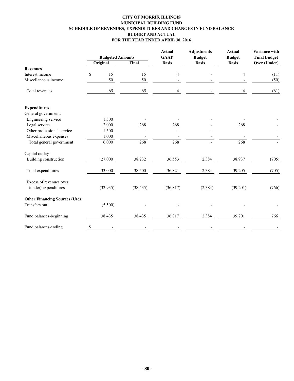# **CITY OF MORRIS, ILLINOIS MUNICIPAL BUILDING FUND SCHEDULE OF REVENUES, EXPENDITURES AND CHANGES IN FUND BALANCE BUDGET AND ACTUAL FOR THE YEAR ENDED APRIL 30, 2016**

|                                                 | <b>Budgeted Amounts</b> |           | <b>Actual</b><br><b>GAAP</b> | <b>Adjustments</b><br><b>Budget</b> | <b>Actual</b><br><b>Budget</b> | Variance with<br><b>Final Budget</b> |
|-------------------------------------------------|-------------------------|-----------|------------------------------|-------------------------------------|--------------------------------|--------------------------------------|
|                                                 | Original                | Final     | <b>Basis</b>                 | <b>Basis</b>                        | <b>Basis</b>                   | Over (Under)                         |
| <b>Revenues</b>                                 |                         |           |                              |                                     |                                |                                      |
| Interest income                                 | \$<br>15                | 15        | 4                            |                                     | 4                              | (11)                                 |
| Miscellaneous income                            | 50                      | 50        |                              |                                     |                                | (50)                                 |
| Total revenues                                  | 65                      | 65        | 4                            |                                     | 4                              | (61)                                 |
| <b>Expenditures</b>                             |                         |           |                              |                                     |                                |                                      |
| General government:                             |                         |           |                              |                                     |                                |                                      |
| Engineering service                             | 1,500                   |           |                              |                                     |                                |                                      |
| Legal service                                   | 2,000                   | 268       | 268                          |                                     | 268                            |                                      |
| Other professional service                      | 1,500                   |           |                              |                                     |                                |                                      |
| Miscellaneous expenses                          | 1,000                   |           |                              |                                     |                                |                                      |
| Total general government                        | 6,000                   | 268       | 268                          |                                     | 268                            |                                      |
| Capital outlay-                                 |                         |           |                              |                                     |                                |                                      |
| Building construction                           | 27,000                  | 38,232    | 36,553                       | 2,384                               | 38,937                         | (705)                                |
| Total expenditures                              | 33,000                  | 38,500    | 36,821                       | 2,384                               | 39,205                         | (705)                                |
| Excess of revenues over<br>(under) expenditures | (32, 935)               | (38, 435) | (36,817)                     | (2, 384)                            | (39,201)                       | (766)                                |
| <b>Other Financing Sources (Uses)</b>           |                         |           |                              |                                     |                                |                                      |
| Transfers out                                   | (5,500)                 |           |                              |                                     |                                |                                      |
| Fund balances-beginning                         | 38,435                  | 38,435    | 36,817                       | 2,384                               | 39,201                         | 766                                  |
| Fund balances-ending                            | \$                      |           |                              |                                     |                                |                                      |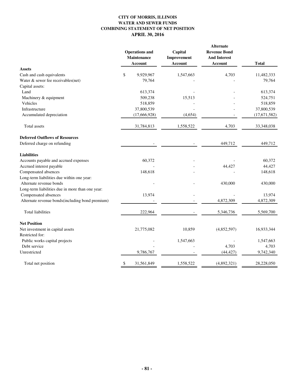# **CITY OF MORRIS, ILLINOIS WATER AND SEWER FUNDS COMBINING STATEMENT OF NET POSITION APRIL 30, 2016**

|                                                  | <b>Operations</b> and<br>Maintenance<br><b>Account</b> | Capital<br>Improvement<br>Account | Alternate<br><b>Revenue Bond</b><br><b>And Interest</b><br>Account | <b>Total</b>       |
|--------------------------------------------------|--------------------------------------------------------|-----------------------------------|--------------------------------------------------------------------|--------------------|
| <b>Assets</b>                                    |                                                        |                                   |                                                                    |                    |
| Cash and cash equivalents                        | \$<br>9,929,967                                        | 1,547,663                         | 4,703                                                              | 11,482,333         |
| Water & sewer fee receivables(net)               | 79,764                                                 |                                   |                                                                    | 79,764             |
| Capital assets:                                  |                                                        |                                   |                                                                    |                    |
| Land                                             | 613,374                                                |                                   |                                                                    | 613,374            |
| Machinery & equipment<br>Vehicles                | 509,238<br>518,859                                     | 15,513                            |                                                                    | 524,751<br>518,859 |
| Infrastructure                                   | 37,800,539                                             |                                   |                                                                    | 37,800,539         |
|                                                  |                                                        |                                   |                                                                    |                    |
| Accumulated depreciation                         | (17,666,928)                                           | (4, 654)                          |                                                                    | (17, 671, 582)     |
| Total assets                                     | 31,784,813                                             | 1,558,522                         | 4,703                                                              | 33,348,038         |
| <b>Deferred Outflows of Resources</b>            |                                                        |                                   |                                                                    |                    |
| Deferred charge on refunding                     |                                                        |                                   | 449,712                                                            | 449,712            |
| <b>Liabilities</b>                               |                                                        |                                   |                                                                    |                    |
| Accounts payable and accrued expenses            | 60,372                                                 |                                   |                                                                    | 60,372             |
| Accrued interest payable                         |                                                        |                                   | 44,427                                                             | 44,427             |
| Compensated absences                             | 148,618                                                |                                   |                                                                    | 148,618            |
| Long-term liabilities due within one year:       |                                                        |                                   |                                                                    |                    |
| Alternate revenue bonds                          |                                                        |                                   | 430,000                                                            | 430,000            |
| Long-term liabilities due in more than one year: |                                                        |                                   |                                                                    |                    |
| Compensated absences                             | 13,974                                                 |                                   |                                                                    | 13,974             |
| Alternate revenue bonds(including bond premium)  |                                                        |                                   | 4,872,309                                                          | 4,872,309          |
| <b>Total liabilities</b>                         | 222,964                                                |                                   | 5,346,736                                                          | 5,569,700          |
| <b>Net Position</b>                              |                                                        |                                   |                                                                    |                    |
| Net investment in capital assets                 | 21,775,082                                             | 10,859                            | (4,852,597)                                                        | 16,933,344         |
| Restricted for:                                  |                                                        |                                   |                                                                    |                    |
| Public works capital projects                    |                                                        | 1,547,663                         |                                                                    | 1,547,663          |
| Debt service                                     |                                                        |                                   | 4,703                                                              | 4,703              |
| Unrestricted                                     | 9,786,767                                              |                                   | (44, 427)                                                          | 9,742,340          |
| Total net position                               | \$<br>31,561,849                                       | 1,558,522                         | (4,892,321)                                                        | 28,228,050         |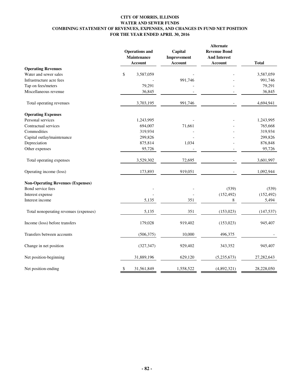### **CITY OF MORRIS, ILLINOIS WATER AND SEWER FUNDS COMBINING STATEMENT OF REVENUES, EXPENSES, AND CHANGES IN FUND NET POSITION FOR THE YEAR ENDED APRIL 30, 2016**

|                                          | <b>Operations</b> and<br>Maintenance<br><b>Account</b> | Capital<br>Improvement<br><b>Account</b> | <b>Alternate</b><br><b>Revenue Bond</b><br><b>And Interest</b><br>Account | <b>Total</b> |
|------------------------------------------|--------------------------------------------------------|------------------------------------------|---------------------------------------------------------------------------|--------------|
| <b>Operating Revenues</b>                |                                                        |                                          |                                                                           |              |
| Water and sewer sales                    | \$<br>3,587,059                                        |                                          |                                                                           | 3,587,059    |
| Infrastructure acre fees                 |                                                        | 991,746                                  |                                                                           | 991,746      |
| Tap on fees/meters                       | 79,291                                                 |                                          |                                                                           | 79,291       |
| Miscellaneous revenue                    | 36,845                                                 |                                          |                                                                           | 36,845       |
| Total operating revenues                 | 3,703,195                                              | 991,746                                  |                                                                           | 4,694,941    |
| <b>Operating Expenses</b>                |                                                        |                                          |                                                                           |              |
| Personal services                        | 1,243,995                                              |                                          |                                                                           | 1,243,995    |
| Contractual services                     | 694,007                                                | 71,661                                   |                                                                           | 765,668      |
| Commodities                              | 319,934                                                |                                          |                                                                           | 319,934      |
| Capital outlay/maintenance               | 299,826                                                |                                          |                                                                           | 299,826      |
| Depreciation                             | 875,814                                                | 1,034                                    |                                                                           | 876,848      |
| Other expenses                           | 95,726                                                 |                                          |                                                                           | 95,726       |
| Total operating expenses                 | 3,529,302                                              | 72,695                                   |                                                                           | 3,601,997    |
| Operating income (loss)                  | 173,893                                                | 919,051                                  |                                                                           | 1,092,944    |
| <b>Non-Operating Revenues (Expenses)</b> |                                                        |                                          |                                                                           |              |
| Bond service fees                        |                                                        |                                          | (539)                                                                     | (539)        |
| Interest expense                         |                                                        |                                          | (152, 492)                                                                | (152, 492)   |
| Interest income                          | 5,135                                                  | 351                                      | 8                                                                         | 5,494        |
| Total nonoperating revenues (expenses)   | 5,135                                                  | 351                                      | (153, 023)                                                                | (147, 537)   |
| Income (loss) before transfers           | 179,028                                                | 919,402                                  | (153, 023)                                                                | 945,407      |
| Transfers between accounts               | (506, 375)                                             | 10,000                                   | 496,375                                                                   |              |
| Change in net position                   | (327, 347)                                             | 929,402                                  | 343,352                                                                   | 945,407      |
| Net position-beginning                   | 31,889,196                                             | 629,120                                  | (5,235,673)                                                               | 27,282,643   |
| Net position-ending                      | 31,561,849<br>\$                                       | 1,558,522                                | (4,892,321)                                                               | 28,228,050   |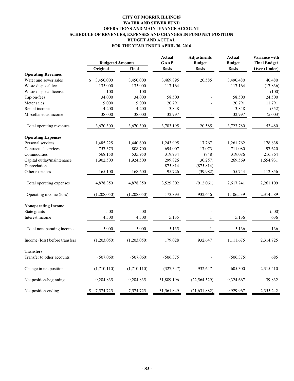# **CITY OF MORRIS, ILLINOIS WATER AND SEWER FUND OPERATIONS AND MAINTENANCE ACCOUNT SCHEDULE OF REVENUES, EXPENSES AND CHANGES IN FUND NET POSITION BUDGET AND ACTUAL FOR THE YEAR ENDED APRIL 30, 2016**

|                                | <b>Budgeted Amounts</b> |             | <b>Actual</b><br><b>GAAP</b> | <b>Adjustments</b><br><b>Budget</b> | <b>Actual</b><br><b>Budget</b> | Variance with<br><b>Final Budget</b> |
|--------------------------------|-------------------------|-------------|------------------------------|-------------------------------------|--------------------------------|--------------------------------------|
|                                | Original                | Final       | <b>Basis</b>                 | <b>Basis</b>                        | <b>Basis</b>                   | Over (Under)                         |
| <b>Operating Revenues</b>      |                         |             |                              |                                     |                                |                                      |
| Water and sewer sales          | 3,450,000<br>\$         | 3,450,000   | 3,469,895                    | 20,585                              | 3,490,480                      | 40,480                               |
| Waste disposal fees            | 135,000                 | 135,000     | 117,164                      |                                     | 117,164                        | (17, 836)                            |
| Waste disposal license         | 100                     | 100         |                              |                                     |                                | (100)                                |
| Tap-on-fees                    | 34,000                  | 34,000      | 58,500                       |                                     | 58,500                         | 24,500                               |
| Meter sales                    | 9,000                   | 9,000       | 20,791                       |                                     | 20,791                         | 11,791                               |
| Rental income                  | 4,200                   | 4,200       | 3,848                        |                                     | 3,848                          | (352)                                |
| Miscellaneous income           | 38,000                  | 38,000      | 32,997                       |                                     | 32,997                         | (5,003)                              |
| Total operating revenues       | 3,670,300               | 3,670,300   | 3,703,195                    | 20,585                              | 3,723,780                      | 53,480                               |
| <b>Operating Expenses</b>      |                         |             |                              |                                     |                                |                                      |
| Personal services              | 1,485,225               | 1,440,600   | 1,243,995                    | 17,767                              | 1,261,762                      | 178,838                              |
| Contractual services           | 757,375                 | 808,700     | 694,007                      | 17,073                              | 711,080                        | 97,620                               |
| Commodities                    | 568,150                 | 535,950     | 319,934                      | (848)                               | 319,086                        | 216,864                              |
| Capital outlay/maintenance     | 1,902,500               | 1,924,500   | 299,826                      | (30, 257)                           | 269,569                        | 1,654,931                            |
| Depreciation                   |                         |             | 875,814                      | (875, 814)                          |                                |                                      |
| Other expenses                 | 165,100                 | 168,600     | 95,726                       | (39, 982)                           | 55,744                         | 112,856                              |
| Total operating expenses       | 4,878,350               | 4,878,350   | 3,529,302                    | (912,061)                           | 2,617,241                      | 2,261,109                            |
| Operating income (loss)        | (1,208,050)             | (1,208,050) | 173,893                      | 932,646                             | 1,106,539                      | 2,314,589                            |
| <b>Nonoperating Income</b>     |                         |             |                              |                                     |                                |                                      |
| State grants                   | 500                     | 500         |                              |                                     |                                | (500)                                |
| Interest income                | 4,500                   | 4,500       | 5,135                        | $\mathbf{1}$                        | 5,136                          | 636                                  |
| Total nonoperating income      | 5,000                   | 5,000       | 5,135                        | $\mathbf{1}$                        | 5,136                          | 136                                  |
| Income (loss) before transfers | (1,203,050)             | (1,203,050) | 179,028                      | 932,647                             | 1,111,675                      | 2,314,725                            |
| <b>Transfers</b>               |                         |             |                              |                                     |                                |                                      |
| Transfer to other accounts     | (507,060)               | (507,060)   | (506, 375)                   |                                     | (506, 375)                     | 685                                  |
| Change in net position         | (1,710,110)             | (1,710,110) | (327, 347)                   | 932,647                             | 605,300                        | 2,315,410                            |
| Net position-beginning         | 9,284,835               | 9,284,835   | 31,889,196                   | (22, 564, 529)                      | 9,324,667                      | 39,832                               |
| Net position-ending            | 7,574,725<br>\$         | 7,574,725   | 31,561,849                   | (21, 631, 882)                      | 9,929,967                      | 2,355,242                            |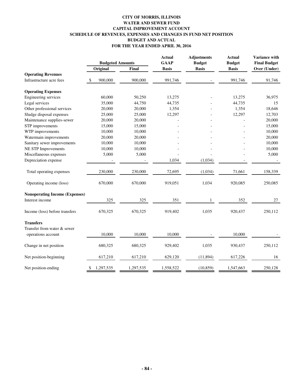# **CITY OF MORRIS, ILLINOIS WATER AND SEWER FUND CAPITAL IMPROVEMENT ACCOUNT SCHEDULE OF REVENUES, EXPENSES AND CHANGES IN FUND NET POSITION BUDGET AND ACTUAL FOR THE YEAR ENDED APRIL 30, 2016**

|                                                 | <b>Budgeted Amounts</b> |           | <b>Actual</b><br><b>GAAP</b> | <b>Adjustments</b><br><b>Budget</b> | <b>Actual</b><br><b>Budget</b> | Variance with<br><b>Final Budget</b> |
|-------------------------------------------------|-------------------------|-----------|------------------------------|-------------------------------------|--------------------------------|--------------------------------------|
|                                                 | Original                | Final     | <b>Basis</b>                 | <b>Basis</b>                        | <b>Basis</b>                   | Over (Under)                         |
| <b>Operating Revenues</b>                       |                         |           |                              |                                     |                                |                                      |
| Infrastructure acre fees                        | 900,000<br>\$           | 900,000   | 991,746                      |                                     | 991,746                        | 91,746                               |
| <b>Operating Expenses</b>                       |                         |           |                              |                                     |                                |                                      |
| Engineering services                            | 60,000                  | 50,250    | 13,275                       |                                     | 13,275                         | 36,975                               |
| Legal services                                  | 35,000                  | 44,750    | 44,735                       |                                     | 44,735                         | 15                                   |
| Other professional services                     | 20,000                  | 20,000    | 1,354                        |                                     | 1,354                          | 18,646                               |
| Sludge disposal expenses                        | 25,000                  | 25,000    | 12,297                       |                                     | 12,297                         | 12,703                               |
| Maintenance supplies-sewer                      | 20,000                  | 20,000    |                              |                                     |                                | 20,000                               |
| STP improvements                                | 15,000                  | 15,000    |                              |                                     |                                | 15,000                               |
| WTP improvements                                | 10,000                  | 10,000    |                              |                                     |                                | 10,000                               |
| Watermain improvements                          | 20,000                  | 20,000    |                              |                                     |                                | 20,000                               |
| Sanitary sewer improvements                     | 10,000                  | 10,000    |                              |                                     |                                | 10,000                               |
| NE STP Improvements                             | 10,000                  | 10,000    |                              |                                     |                                | 10,000                               |
| Miscellaneous expenses                          | 5,000                   | 5,000     |                              |                                     |                                | 5,000                                |
| Depreciation expense                            |                         |           | 1,034                        | (1,034)                             |                                |                                      |
| Total operating expenses                        | 230,000                 | 230,000   | 72,695                       | (1,034)                             | 71,661                         | 158,339                              |
| Operating income (loss)                         | 670,000                 | 670,000   | 919,051                      | 1,034                               | 920,085                        | 250,085                              |
| <b>Nonoperating Income (Expenses)</b>           |                         |           |                              |                                     |                                |                                      |
| Interest income                                 | 325                     | 325       | 351                          | $\mathbf{1}$                        | 352                            | 27                                   |
| Income (loss) before transfers                  | 670,325                 | 670,325   | 919,402                      | 1,035                               | 920,437                        | 250,112                              |
| <b>Transfers</b><br>Transfer from water & sewer |                         |           |                              |                                     |                                |                                      |
| operations account                              | 10,000                  | 10,000    | 10,000                       |                                     | 10,000                         |                                      |
| Change in net position                          | 680,325                 | 680,325   | 929,402                      | 1,035                               | 930,437                        | 250,112                              |
| Net position-beginning                          | 617,210                 | 617,210   | 629,120                      | (11, 894)                           | 617,226                        | 16                                   |
| Net position-ending                             | 1,297,535<br>\$         | 1,297,535 | 1,558,522                    | (10, 859)                           | 1,547,663                      | 250,128                              |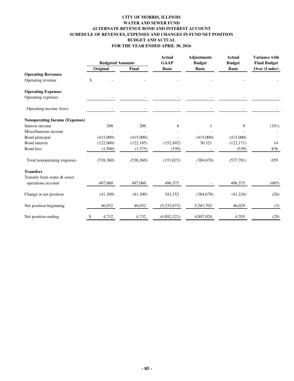### **CITY OF MORRIS, ILLINOIS WATER AND SEWER FUND ALTERNATE REVENUE BOND AND INTEREST ACCOUNT SCHEDULE OF REVENUES, EXPENSES AND CHANGES IN FUND NET POSITION BUDGET AND ACTUAL FOR THE YEAR ENDED APRIL 30, 2016**

|                                       |    | <b>Budgeted Amounts</b> |            | <b>Actual</b><br><b>GAAP</b> | <b>Adjustments</b><br><b>Budget</b> | <b>Actual</b><br><b>Budget</b> | <b>Variance with</b><br><b>Final Budget</b> |
|---------------------------------------|----|-------------------------|------------|------------------------------|-------------------------------------|--------------------------------|---------------------------------------------|
|                                       |    | Original                | Final      | <b>Basis</b>                 | <b>Basis</b>                        | <b>Basis</b>                   | Over (Under)                                |
| <b>Operating Revenues</b>             |    |                         |            |                              |                                     |                                |                                             |
| Operating revenue                     | \$ |                         |            |                              |                                     |                                |                                             |
| <b>Operating Expenses</b>             |    |                         |            |                              |                                     |                                |                                             |
| Operating expenses                    |    |                         |            |                              |                                     |                                |                                             |
| Operating income (loss)               |    |                         |            |                              |                                     |                                |                                             |
| <b>Nonoperating Income (Expenses)</b> |    |                         |            |                              |                                     |                                |                                             |
| Interest income                       |    | 200                     | 200        | 8                            |                                     | 9                              | (191)                                       |
| Miscellaneous income                  |    |                         |            |                              |                                     |                                |                                             |
| Bond principal                        |    | (415,000)               | (415,000)  |                              | (415,000)                           | (415,000)                      |                                             |
| Bond interest                         |    | (122,060)               | (122, 185) | (152, 492)                   | 30,321                              | (122, 171)                     | 14                                          |
| Bond fees                             |    | (1,500)                 | (1,375)    | (539)                        |                                     | (539)                          | 836                                         |
| Total nonoperating expenses           |    | (538, 360)              | (538, 360) | (153, 023)                   | (384, 678)                          | (537,701)                      | 659                                         |
| <b>Transfers</b>                      |    |                         |            |                              |                                     |                                |                                             |
| Transfer from water & sewer           |    |                         |            |                              |                                     |                                |                                             |
| operations account                    |    | 497,060                 | 497,060    | 496,375                      |                                     | 496,375                        | (685)                                       |
| Change in net position                |    | (41,300)                | (41,300)   | 343,352                      | (384, 678)                          | (41, 326)                      | (26)                                        |
| Net position-beginning                |    | 46,032                  | 46,032     | (5,235,673)                  | 5,281,702                           | 46,029                         | (3)                                         |
| Net position-ending                   | S  | 4,732                   | 4,732      | (4,892,321)                  | 4,897,024                           | 4,703                          | (29)                                        |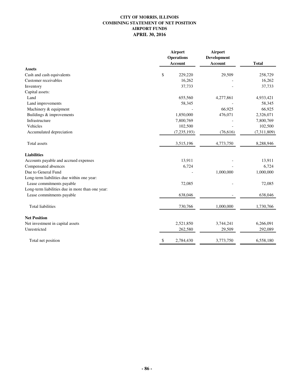# **CITY OF MORRIS, ILLINOIS COMBINING STATEMENT OF NET POSITION AIRPORT FUNDS APRIL 30, 2016**

|                                                  | Airport<br><b>Operations</b><br><b>Account</b> | Airport<br>Development<br><b>Account</b> | <b>Total</b> |
|--------------------------------------------------|------------------------------------------------|------------------------------------------|--------------|
| <b>Assets</b>                                    |                                                |                                          |              |
| Cash and cash equivalents                        | \$<br>229,220                                  | 29,509                                   | 258,729      |
| Customer receivables                             | 16,262                                         |                                          | 16,262       |
| Inventory                                        | 37,733                                         |                                          | 37,733       |
| Capital assets:                                  |                                                |                                          |              |
| Land                                             | 655,560                                        | 4,277,861                                | 4,933,421    |
| Land improvements                                | 58,345                                         |                                          | 58,345       |
| Machinery & equipment                            |                                                | 66,925                                   | 66,925       |
| Buildings & improvements                         | 1,850,000                                      | 476,071                                  | 2,326,071    |
| Infrastructure                                   | 7,800,769                                      |                                          | 7,800,769    |
| Vehicles                                         | 102,500                                        |                                          | 102,500      |
| Accumulated depreciation                         | (7, 235, 193)                                  | (76, 616)                                | (7,311,809)  |
| Total assets                                     | 3,515,196                                      | 4,773,750                                | 8,288,946    |
| <b>Liabilities</b>                               |                                                |                                          |              |
| Accounts payable and accrued expenses            | 13,911                                         |                                          | 13,911       |
| Compensated absences                             | 6,724                                          |                                          | 6,724        |
| Due to General Fund                              |                                                | 1,000,000                                | 1,000,000    |
| Long-term liabilities due within one year:       |                                                |                                          |              |
| Lease commitments payable                        | 72,085                                         |                                          | 72,085       |
| Long-term liabilities due in more than one year: |                                                |                                          |              |
| Lease commitments payable                        | 638,046                                        |                                          | 638,046      |
| <b>Total liabilities</b>                         | 730,766                                        | 1,000,000                                | 1,730,766    |
| <b>Net Position</b>                              |                                                |                                          |              |
| Net investment in capital assets                 | 2,521,850                                      | 3,744,241                                | 6,266,091    |
| Unrestricted                                     | 262,580                                        | 29,509                                   | 292,089      |
| Total net position                               | 2,784,430<br>\$                                | 3,773,750                                | 6,558,180    |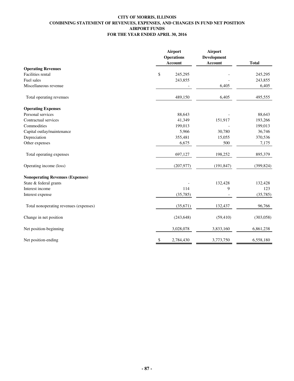### **CITY OF MORRIS, ILLINOIS COMBINING STATEMENT OF REVENUES, EXPENSES, AND CHANGES IN FUND NET POSITION AIRPORT FUNDS FOR THE YEAR ENDED APRIL 30, 2016**

|                                         | Airport<br><b>Operations</b><br><b>Account</b> | Airport<br><b>Development</b><br><b>Account</b> | <b>Total</b> |
|-----------------------------------------|------------------------------------------------|-------------------------------------------------|--------------|
| <b>Operating Revenues</b>               |                                                |                                                 |              |
| <b>Facilities rental</b>                | \$<br>245,295                                  |                                                 | 245,295      |
| Fuel sales                              | 243,855                                        |                                                 | 243,855      |
| Miscellaneous revenue                   |                                                | 6,405                                           | 6,405        |
| Total operating revenues                | 489,150                                        | 6,405                                           | 495,555      |
| <b>Operating Expenses</b>               |                                                |                                                 |              |
| Personal services                       | 88,643                                         |                                                 | 88,643       |
| Contractual services                    | 41,349                                         | 151,917                                         | 193,266      |
| Commodities                             | 199,013                                        |                                                 | 199,013      |
| Capital outlay/maintenance              | 5,966                                          | 30,780                                          | 36,746       |
| Depreciation                            | 355,481                                        | 15,055                                          | 370,536      |
| Other expenses                          | 6,675                                          | 500                                             | 7,175        |
| Total operating expenses                | 697,127                                        | 198,252                                         | 895,379      |
| Operating income (loss)                 | (207, 977)                                     | (191, 847)                                      | (399, 824)   |
| <b>Nonoperating Revenues (Expenses)</b> |                                                |                                                 |              |
| State & federal grants                  |                                                | 132,428                                         | 132,428      |
| Interest income                         | 114                                            | 9                                               | 123          |
| Interest expense                        | (35,785)                                       |                                                 | (35, 785)    |
| Total nonoperating revenues (expenses)  | (35, 671)                                      | 132,437                                         | 96,766       |
| Change in net position                  | (243, 648)                                     | (59, 410)                                       | (303, 058)   |
| Net position-beginning                  | 3,028,078                                      | 3,833,160                                       | 6,861,238    |
| Net position-ending                     | 2,784,430<br>\$                                | 3,773,750                                       | 6,558,180    |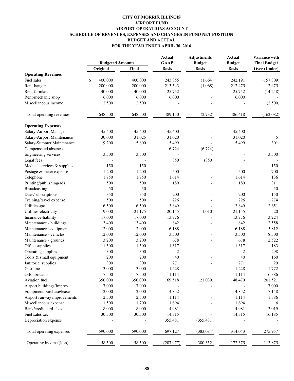# **CITY OF MORRIS, ILLINOIS AIRPORT FUND AIRPORT OPERATIONS ACCOUNT SCHEDULE OF REVENUES, EXPENSES AND CHANGES IN FUND NET POSITION BUDGET AND ACTUAL FOR THE YEAR ENDED APRIL 30, 2016**

|                             |                         |         | <b>Actual</b> | <b>Adjustments</b> | <b>Actual</b> | Variance with       |
|-----------------------------|-------------------------|---------|---------------|--------------------|---------------|---------------------|
|                             | <b>Budgeted Amounts</b> |         | <b>GAAP</b>   | <b>Budget</b>      | <b>Budget</b> | <b>Final Budget</b> |
|                             | Original                | Final   | <b>Basis</b>  | <b>Basis</b>       | <b>Basis</b>  | Over (Under)        |
| <b>Operating Revenues</b>   |                         |         |               |                    |               |                     |
| Fuel sales                  | \$<br>400,000           | 400,000 | 243,855       | (1,664)            | 242,191       | (157, 809)          |
| Rent-hangars                | 200,000                 | 200,000 | 213,543       | (1,068)            | 212,475       | 12,475              |
| Rent-farmland               | 40,000                  | 40,000  | 25,752        |                    | 25,752        | (14,248)            |
| Rent-mechanic shop          | 6,000                   | 6,000   | 6,000         |                    | 6,000         |                     |
| Miscellaneous income        | 2,500                   | 2,500   |               |                    |               | (2,500)             |
| Total operating revenues    | 648,500                 | 648,500 | 489,150       | (2,732)            | 486,418       | (162,082)           |
| <b>Operating Expenses</b>   |                         |         |               |                    |               |                     |
| Salary-Airport Manager      | 45,400                  | 45,400  | 45,400        |                    | 45,400        |                     |
| Salary-Airport Maintenance  | 30,000                  | 31,025  | 31,020        |                    | 31,020        | 5                   |
| Salary-Summer Maintenance   | 9,200                   | 5,800   | 5,499         |                    | 5,499         | 301                 |
| Compensated absences        |                         |         | 6,724         | (6, 724)           |               |                     |
| Engineering services        | 3,500                   | 3,500   |               |                    |               | 3,500               |
| Legal fees                  |                         |         | 850           | (850)              |               |                     |
| Medical services & supplies | 150                     | 150     |               | $\overline{a}$     |               | 150                 |
| Postage & meter expense     | 1,200                   | 1,200   | 500           |                    | 500           | 700                 |
| Telephone                   | 1,750                   | 1,750   | 1,614         |                    | 1,614         | 136                 |
| Printing/publishing/ads     | 500                     | 500     | 189           |                    | 189           | 311                 |
| Broadcasting                | 50                      | 50      |               |                    |               | 50                  |
| Dues/subscriptions          | 350                     | 350     | 200           |                    | 200           | 150                 |
| Training/travel expense     | 500                     | 500     | 226           |                    | 226           | 274                 |
| Utilities-gas               | 6,500                   | 6,500   | 3,849         |                    | 3,849         | 2,651               |
| Utilities-electricity       | 19,000                  | 21,175  | 20,145        | 1,010              | 21,155        | 20                  |
| Insurance-liability         | 17,000                  | 17,000  | 13,776        |                    | 13,776        | 3,224               |
| Maintenance - buildings     | 3,400                   | 3,400   | 842           |                    | 842           | 2,558               |
| Maintenance - equipment     | 12,000                  | 12,000  | 6,188         |                    | 6,188         | 5,812               |
| Maintenance - vehicles      | 12,000                  | 12,000  | 3,500         |                    | 3,500         | 8,500               |
| Maintenance - grounds       | 3,200                   | 3,200   | 678           |                    | 678           | 2,522               |
| Office supplies             | 1,500                   | 1,500   | 1,317         |                    | 1,317         | 183                 |
| Operating supplies          | 300                     | 300     | 2             |                    | 2             | 298                 |
| Tools & small equipment     | 200                     | 200     | 40            |                    | 40            | 160                 |
| Janitorial supplies         | 300                     | 300     | 271           |                    | 271           | 29                  |
| Gasoline                    | 3,000                   | 3,000   | 1,228         |                    | 1,228         | 1,772               |
| Oil/lubricants              | 7,500                   | 7,500   | 1,114         |                    | 1,114         | 6,386               |
| Aviation fuel               | 350,000                 | 350,000 | 169,518       | (21,039)           | 148,479       | 201,521             |
| Airport buildings/Improv.   | 7,000                   | 7,000   |               |                    |               | 7,000               |
| Equipment purchase/lease    | 12,000                  | 12,000  | 4,852         |                    | 4,852         | 7,148               |
| Airport runway improvements | 2,500                   | 2,500   | 1,114         |                    | 1,114         | 1,386               |
| Miscellaneous expense       | 1,500                   | 1,700   | 1,694         |                    | 1,694         | 6                   |
| Bank/credit card fees       | 8,000                   | 8,000   | 4,981         |                    | 4,981         | 3,019               |
| Fuel sales tax              | 30,500                  | 30,500  | 14,315        |                    | 14,315        | 16,185              |
| Depreciation expense        |                         |         | 355,481       | (355, 481)         |               |                     |
|                             |                         |         |               |                    |               |                     |
| Total operating expenses    | 590,000                 | 590,000 | 697,127       | (383, 084)         | 314,043       | 275,957             |
| Operating income (loss)     | 58,500                  | 58,500  | (207, 977)    | 380,352            | 172,375       | 113,875             |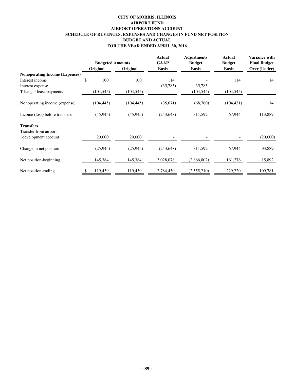### **CITY OF MORRIS, ILLINOIS AIRPORT FUND AIRPORT OPERATIONS ACCOUNT SCHEDULE OF REVENUES, EXPENSES AND CHANGES IN FUND NET POSITION BUDGET AND ACTUAL FOR THE YEAR ENDED APRIL 30, 2016**

|                                       |               | <b>Budgeted Amounts</b> | Actual<br><b>GAAP</b> | <b>Adjustments</b><br><b>Budget</b> | <b>Actual</b><br><b>Budget</b> | Variance with<br><b>Final Budget</b> |
|---------------------------------------|---------------|-------------------------|-----------------------|-------------------------------------|--------------------------------|--------------------------------------|
|                                       | Original      | Original                | <b>Basis</b>          | <b>Basis</b>                        | <b>Basis</b>                   | Over (Under)                         |
| <b>Nonoperating Income (Expenses)</b> |               |                         |                       |                                     |                                |                                      |
| Interest income                       | \$            | 100<br>100              | 114                   |                                     | 114                            | 14                                   |
| Interest expense                      |               |                         | (35,785)              | 35,785                              |                                |                                      |
| T-hangar lease payments               | (104, 545)    | (104, 545)              |                       | (104, 545)                          | (104, 545)                     |                                      |
| Nonoperating income (expense)         | (104, 445)    | (104, 445)              | (35, 671)             | (68,760)                            | (104, 431)                     | 14                                   |
| Income (loss) before transfers        | (45, 945)     | (45, 945)               | (243, 648)            | 311,592                             | 67,944                         | 113,889                              |
| <b>Transfers</b>                      |               |                         |                       |                                     |                                |                                      |
| Transfer from airport                 |               |                         |                       |                                     |                                |                                      |
| development account                   | 20,000        | 20,000                  |                       |                                     |                                | (20,000)                             |
| Change in net position                | (25, 945)     | (25, 945)               | (243, 648)            | 311,592                             | 67,944                         | 93,889                               |
| Net position-beginning                | 145,384       | 145,384                 | 3,028,078             | (2,866,802)                         | 161,276                        | 15,892                               |
| Net position-ending                   | \$<br>119,439 | 119,439                 | 2,784,430             | (2,555,210)                         | 229,220                        | 109,781                              |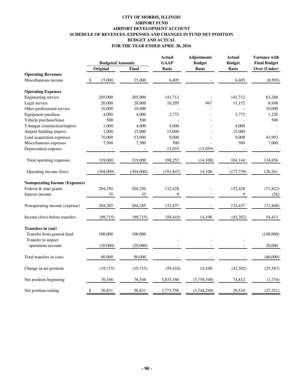# **CITY OF MORRIS, ILLINOIS AIRPORT FUND AIRPORT DEVELOPMENT ACCOUNT SCHEDULE OF REVENUES, EXPENSES AND CHANGES IN FUND NET POSITION BUDGET AND ACTUAL FOR THE YEAR ENDED APRIL 30, 2016**

|                                                                                | <b>Budgeted Amounts</b> |              | <b>Actual</b><br><b>GAAP</b> | <b>Adjustments</b><br><b>Budget</b> | <b>Actual</b><br><b>Budget</b> | Variance with<br><b>Final Budget</b> |
|--------------------------------------------------------------------------------|-------------------------|--------------|------------------------------|-------------------------------------|--------------------------------|--------------------------------------|
|                                                                                | Original                | <b>Final</b> | <b>Basis</b>                 | <b>Basis</b>                        | <b>Basis</b>                   | Over (Under)                         |
| <b>Operating Revenues</b>                                                      |                         |              |                              |                                     |                                |                                      |
| Miscellaneous income                                                           | 15,000                  | 15,000       | 6,405                        |                                     | 6,405                          | (8,595)                              |
| <b>Operating Expenses</b>                                                      |                         |              |                              |                                     |                                |                                      |
| Engineering service                                                            | 205,000                 | 205,000      | 141,712                      |                                     | 141,712                        | 63,288                               |
| Legal service                                                                  | 20,000                  | 20,000       | 10,205                       | 947                                 | 11,152                         | 8,848                                |
| Other professional service                                                     | 10,000                  | 10,000       |                              |                                     |                                | 10,000                               |
| Equipment purchase                                                             | 4,000                   | 4,000        | 2,772                        |                                     | 2,772                          | 1,228                                |
| Vehicle purchase/lease                                                         | 500                     | 500          |                              |                                     |                                | 500                                  |
| T-hangar construction/improv.                                                  | 1,000                   | 4,000        | 4,000                        |                                     | 4,000                          |                                      |
| Airport building improv.                                                       | 1,000                   | 15,000       | 15,000                       |                                     | 15,000                         |                                      |
| Land acquisition expenses                                                      | 70,000                  | 53,000       | 9,008                        |                                     | 9,008                          | 43,992                               |
| Miscellaneous expenses                                                         | 7,500                   | 7,500        | 500                          |                                     | 500                            | 7,000                                |
| Depreciation expense                                                           |                         |              | 15,055                       | (15,055)                            |                                |                                      |
| Total operating expenses                                                       | 319,000                 | 319,000      | 198,252                      | (14, 108)                           | 184,144                        | 134,856                              |
| Operating income (loss)                                                        | (304,000)               | (304,000)    | (191, 847)                   | 14,108                              | (177, 739)                     | 126,261                              |
| <b>Nonoperating Income (Expenses)</b>                                          |                         |              |                              |                                     |                                |                                      |
| Federal & state grants                                                         | 204,250                 | 204,250      | 132,428                      |                                     | 132,428                        | (71, 822)                            |
| Interest income                                                                | 35                      | 35           | 9                            |                                     | 9                              | (26)                                 |
| Nonoperating income (expense)                                                  | 204,285                 | 204,285      | 132,437                      |                                     | 132,437                        | (71, 848)                            |
| Income (loss) before transfers                                                 | (99, 715)               | (99, 715)    | (59, 410)                    | 14,108                              | (45, 302)                      | 54,413                               |
| <b>Transfers in (out)</b><br>Transfer from general fund<br>Transfer to airport | 100,000                 | 100,000      |                              |                                     |                                | (100,000)                            |
| operations account                                                             | (20,000)                | (20,000)     |                              |                                     |                                | 20,000                               |
| Total transfers in (out)                                                       | 80,000                  | 80,000       |                              |                                     |                                | (80,000)                             |
| Change in net position                                                         | (19,715)                | (19, 715)    | (59, 410)                    | 14,108                              | (45,302)                       | (25, 587)                            |
| Net position-beginning                                                         | 76,546                  | 76,546       | 3,833,160                    | (3,758,348)                         | 74,812                         | (1,734)                              |
| Net position-ending                                                            | 56,831<br>\$            | 56,831       | 3,773,750                    | (3,744,240)                         | 29,510                         | (27, 321)                            |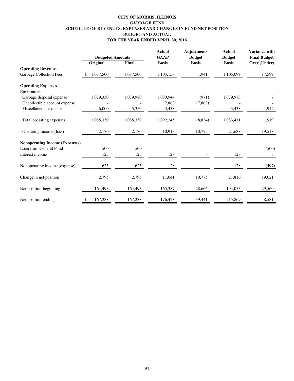# **CITY OF MORRIS, ILLINOIS GARBAGE FUND SCHEDULE OF REVENUES, EXPENSES AND CHANGES IN FUND NET POSITION BUDGET AND ACTUAL FOR THE YEAR ENDED APRIL 30, 2016**

|                                       | <b>Budgeted Amounts</b> |              | <b>Actual</b><br><b>GAAP</b> | <b>Adjustments</b><br><b>Budget</b> | <b>Actual</b><br><b>Budget</b> | Variance with<br><b>Final Budget</b> |
|---------------------------------------|-------------------------|--------------|------------------------------|-------------------------------------|--------------------------------|--------------------------------------|
|                                       | Original                | <b>Final</b> | <b>Basis</b>                 | <b>Basis</b>                        | <b>Basis</b>                   | Over (Under)                         |
| <b>Operating Revenues</b>             |                         |              |                              |                                     |                                |                                      |
| <b>Garbage Collection Fees</b>        | 1,087,500<br>-S         | 1,087,500    | 1,103,158                    | 1,941                               | 1,105,099                      | 17,599                               |
| <b>Operating Expenses</b>             |                         |              |                              |                                     |                                |                                      |
| Environment-                          |                         |              |                              |                                     |                                |                                      |
| Garbage disposal expense              | 1,079,330               | 1,079,980    | 1,080,944                    | (971)                               | 1,079,973                      | 7                                    |
| Uncollectible account expense         |                         |              | 7,863                        | (7, 863)                            |                                |                                      |
| Miscellaneous expense                 | 6,000                   | 5,350        | 3,438                        |                                     | 3,438                          | 1,912                                |
| Total operating expenses              | 1,085,330               | 1,085,330    | 1,092,245                    | (8, 834)                            | 1,083,411                      | 1,919                                |
| Operating income (loss)               | 2,170                   | 2,170        | 10,913                       | 10,775                              | 21,688                         | 19,518                               |
| <b>Nonoperating Income (Expenses)</b> |                         |              |                              |                                     |                                |                                      |
| Loan from General Fund                | 500                     | 500          |                              |                                     |                                | (500)                                |
| Interest income                       | 125                     | 125          | 128                          |                                     | 128                            | 3                                    |
| Nonoperating income (expense)         | 625                     | 625          | 128                          |                                     | 128                            | (497)                                |
| Change in net position                | 2,795                   | 2,795        | 11,041                       | 10,775                              | 21,816                         | 19,021                               |
| Net position-beginning                | 164,493                 | 164,493      | 165,387                      | 28,666                              | 194,053                        | 29,560                               |
| Net position-ending                   | 167,288<br>\$           | 167,288      | 176,428                      | 39,441                              | 215,869                        | 48,581                               |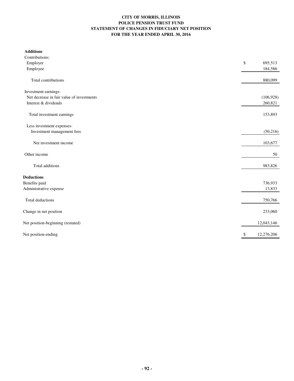### **CITY OF MORRIS, ILLINOIS POLICE PENSION TRUST FUND STATEMENT OF CHANGES IN FIDUCIARY NET POSITION FOR THE YEAR ENDED APRIL 30, 2016**

| <b>Additions</b>                          |                  |
|-------------------------------------------|------------------|
| Contributions:                            |                  |
| Employer                                  | \$<br>695,513    |
| Employee                                  | 184,586          |
| Total contributions                       | 880,099          |
| Investment earnings:                      |                  |
| Net decrease in fair value of investments | (106, 928)       |
| Interest & dividends                      | 260,821          |
| Total investment earnings                 | 153,893          |
| Less investment expenses-                 |                  |
| Investment management fees                | (50,216)         |
| Net investment income                     | 103,677          |
| Other income                              | 50               |
| Total additions                           | 983,826          |
| <b>Deductions</b>                         |                  |
| Benefits paid                             | 736,933          |
| Administrative expense                    | 13,833           |
| Total deductions                          | 750,766          |
| Change in net position                    | 233,060          |
| Net position-beginning (restated)         | 12,043,146       |
| Net position-ending                       | \$<br>12,276,206 |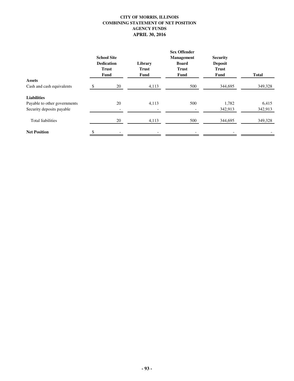# **CITY OF MORRIS, ILLINOIS COMBINING STATEMENT OF NET POSITION AGENCY FUNDS APRIL 30, 2016**

|                              | <b>Sex Offender</b>      |              |                   |                 |              |  |  |  |
|------------------------------|--------------------------|--------------|-------------------|-----------------|--------------|--|--|--|
|                              | <b>School Site</b>       |              | <b>Management</b> | <b>Security</b> |              |  |  |  |
|                              | <b>Dedication</b>        | Library      | <b>Board</b>      | <b>Deposit</b>  |              |  |  |  |
|                              | <b>Trust</b>             | <b>Trust</b> | <b>Trust</b>      | <b>Trust</b>    |              |  |  |  |
|                              | Fund                     | Fund         | <b>Fund</b>       | <b>Fund</b>     | <b>Total</b> |  |  |  |
| <b>Assets</b>                |                          |              |                   |                 |              |  |  |  |
| Cash and cash equivalents    | 20                       | 4,113        | 500               | 344,695         | 349,328      |  |  |  |
| <b>Liabilities</b>           |                          |              |                   |                 |              |  |  |  |
| Payable to other governments | 20                       | 4,113        | 500               | 1,782           | 6,415        |  |  |  |
| Security deposits payable    | $\overline{\phantom{a}}$ |              |                   | 342,913         | 342,913      |  |  |  |
| Total liabilities            | 20                       | 4,113        | 500               | 344,695         | 349,328      |  |  |  |
| <b>Net Position</b>          |                          |              |                   |                 |              |  |  |  |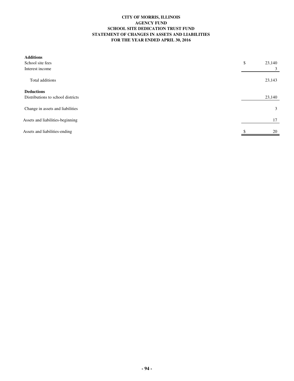#### **CITY OF MORRIS, ILLINOIS AGENCY FUND SCHOOL SITE DEDICATION TRUST FUND STATEMENT OF CHANGES IN ASSETS AND LIABILITIES FOR THE YEAR ENDED APRIL 30, 2016**

| <b>Additions</b>                  |              |
|-----------------------------------|--------------|
| School site fees                  | \$<br>23,140 |
| Interest income                   | 3            |
| Total additions                   | 23,143       |
| <b>Deductions</b>                 |              |
| Distributions to school districts | 23,140       |
| Change in assets and liabilities  | 3            |
| Assets and liabilities-beginning  | 17           |
| Assets and liabilities-ending     | 20           |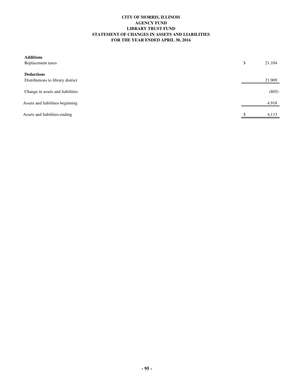#### **CITY OF MORRIS, ILLINOIS AGENCY FUND LIBRARY TRUST FUND STATEMENT OF CHANGES IN ASSETS AND LIABILITIES FOR THE YEAR ENDED APRIL 30, 2016**

| <b>Additions</b><br>Replacement taxes                  | \$<br>21,104 |
|--------------------------------------------------------|--------------|
| <b>Deductions</b><br>Distributions to library district | 21,909       |
| Change in assets and liabilities                       | (805)        |
| Assets and liabilities-beginning                       | 4,918        |
| Assets and liabilities-ending                          | \$<br>4,113  |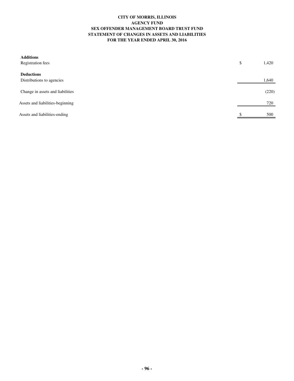#### **CITY OF MORRIS, ILLINOIS AGENCY FUND SEX OFFENDER MANAGEMENT BOARD TRUST FUND STATEMENT OF CHANGES IN ASSETS AND LIABILITIES FOR THE YEAR ENDED APRIL 30, 2016**

| <b>Additions</b><br><b>Registration fees</b>   | \$<br>1,420 |
|------------------------------------------------|-------------|
| <b>Deductions</b><br>Distributions to agencies | 1,640       |
| Change in assets and liabilities               | (220)       |
| Assets and liabilities-beginning               | 720         |
| Assets and liabilities-ending                  | \$<br>500   |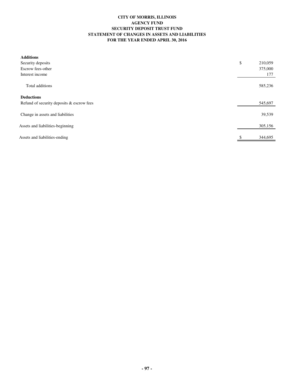### **CITY OF MORRIS, ILLINOIS AGENCY FUND SECURITY DEPOSIT TRUST FUND STATEMENT OF CHANGES IN ASSETS AND LIABILITIES FOR THE YEAR ENDED APRIL 30, 2016**

| <b>Additions</b>                          |               |
|-------------------------------------------|---------------|
| Security deposits                         | \$<br>210,059 |
| Escrow fees-other                         | 375,000       |
| Interest income                           | 177           |
| Total additions                           | 585,236       |
| <b>Deductions</b>                         |               |
| Refund of security deposits & escrow fees | 545,697       |
| Change in assets and liabilities          | 39,539        |
| Assets and liabilities-beginning          | 305,156       |
| Assets and liabilities-ending             | \$<br>344,695 |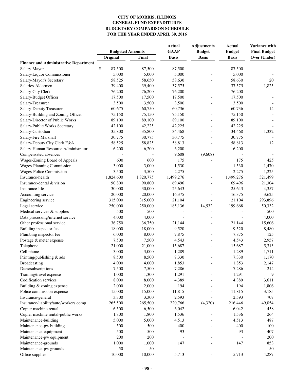|                                              | <b>Budgeted Amounts</b> |           | <b>Actual</b> | <b>Adjustments</b> | <b>Actual</b>   | Variance with       |
|----------------------------------------------|-------------------------|-----------|---------------|--------------------|-----------------|---------------------|
|                                              |                         |           | <b>GAAP</b>   | <b>Budget</b>      | <b>Budget</b>   | <b>Final Budget</b> |
|                                              | Original                | Final     | <b>Basis</b>  | <b>Basis</b>       | <b>Basis</b>    | Over (Under)        |
| <b>Finance and Administrative Department</b> |                         |           |               |                    |                 |                     |
| Salary-Mayor                                 | \$<br>87,500<br>5,000   | 87,500    | 87,500        |                    | 87,500<br>5,000 |                     |
| Salary-Liquor Commissioner                   |                         | 5,000     | 5,000         |                    |                 | 20                  |
| Salary-Mayor's Secretary                     | 58,525                  | 58,650    | 58,630        |                    | 58,630          |                     |
| Salaries-Aldermen                            | 39,400                  | 39,400    | 37,575        |                    | 37,575          | 1,825               |
| Salary-City Clerk                            | 76,200                  | 76,200    | 76,200        |                    | 76,200          |                     |
| Salary-Budget Officer                        | 17,500                  | 17,500    | 17,500        |                    | 17,500          |                     |
| Salary-Treasurer                             | 3,500                   | 3,500     | 3,500         |                    | 3,500           |                     |
| Salary-Deputy Treasurer                      | 60,675                  | 60,750    | 60,736        |                    | 60,736          | 14                  |
| Salary-Building and Zoning Officer           | 75,150                  | 75,150    | 75,150        |                    | 75,150          |                     |
| Salary-Director of Public Works              | 89,100                  | 89,100    | 89,100        |                    | 89,100          |                     |
| Salary-Public Works Secretary                | 42,100                  | 42,225    | 42,225        |                    | 42,225          |                     |
| Salary-Custodian                             | 35,800                  | 35,800    | 34,468        |                    | 34,468          | 1,332               |
| Salary-Fire Marshall                         | 30,775                  | 30,775    | 30,775        |                    | 30,775          |                     |
| Salary-Deputy City Clerk F&A                 | 58,525                  | 58,825    | 58,813        |                    | 58,813          | 12                  |
| Salary-Human Resource Administrator          | 6,200                   | 6,200     | 6,200         |                    | 6,200           |                     |
| Compensated absences                         |                         |           | 9,608         | (9,608)            |                 |                     |
| Wages-Zoning Board of Appeals                | 600                     | 600       | 175           |                    | 175             | 425                 |
| Wages-Planning Commission                    | 3,000                   | 3,000     | 1,530         |                    | 1,530           | 1,470               |
| Wages-Police Commission                      | 3,500                   | 3,500     | 2,275         |                    | 2,275           | 1,225               |
| Insurance-health                             | 1,824,600               | 1,820,775 | 1,499,276     |                    | 1,499,276       | 321,499             |
| Insurance-dental & vision                    | 90,800                  | 90,800    | 69,496        |                    | 69,496          | 21,304              |
| Insurance-life                               | 30,000                  | 30,000    | 25,643        |                    | 25,643          | 4,357               |
| Accounting service                           | 20,000                  | 20,000    | 16,375        |                    | 16,375          | 3,625               |
| Engineering service                          | 315,000                 | 315,000   | 21,104        |                    | 21,104          | 293,896             |
| Legal service                                | 250,000                 | 250,000   | 185,136       | 14,532             | 199,668         | 50,332              |
| Medical services & supplies                  | 500                     | 500       |               |                    |                 | 500                 |
| Data processing/internet service             | 4,000                   | 4,000     |               |                    |                 | 4,000               |
| Other professional service                   | 36,750                  | 36,750    | 21,144        |                    | 21,144          | 15,606              |
| Building inspector fee                       | 18,000                  | 18,000    | 9,520         |                    | 9,520           | 8,480               |
| Plumbing inspector fee                       | 6,000                   | 8,000     | 7,875         |                    | 7,875           | 125                 |
| Postage & meter expense                      | 7,500                   | 7,500     | 4,543         |                    | 4,543           | 2,957               |
| Telephone                                    | 21,000                  | 21,000    | 15,687        |                    | 15,687          | 5,313               |
| Cell phone                                   | 3,000                   | 3,000     | 1,289         |                    | 1,289           | 1,711               |
| Printing/publishing & ads                    | 8,500                   | 8,500     | 7,330         |                    | 7,330           | 1,170               |
| Broadcasting                                 | 4,000                   | 4,000     | 1,853         |                    | 1,853           | 2,147               |
| Dues/subscriptions                           | 7,500                   | 7,500     | 7,286         |                    | 7,286           | 214                 |
| Training/travel expense                      | 1,000                   | 1,300     | 1,291         |                    | 1,291           | 9                   |
| Codification services                        | 8,000                   | 8,000     | 4,389         |                    | 4,389           | 3,611               |
| Building & zoning expense                    | 2,000                   | 2,000     | 194           |                    | 194             | 1,806               |
| Police commission expense                    | 15,000                  | 15,000    | 11,815        |                    | 11,815          | 3,185               |
| Insurance-general                            | 3,300                   | 3,300     | 2,593         |                    | 2,593           | 707                 |
| Insurance-liability/auto/workers comp        | 265,500                 | 265,500   | 220,766       | (4,320)            | 216,446         | 49,054              |
| Copier machine rental                        | 6,500                   | 6,500     | 6,042         |                    | 6,042           | 458                 |
| Copier machine rental-public works           | 1,800                   | 1,800     | 1,536         |                    | 1,536           | 264                 |
| Maintenance-building                         | 5,000                   | 5,000     | 4,513         |                    | 4,513           | 487                 |
| Maintenance-pw building                      | 500                     | 500       | 400           |                    | 400             | 100                 |
| Maintenance-equipment                        | 500                     | 500       | 93            |                    | 93              | 407                 |
| Maintenance-pw equipment                     | 200                     | 200       |               |                    |                 | 200                 |
| Maintenance-grounds                          | 1,000                   | 1,000     | 147           |                    | 147             | 853                 |
| Maintenance-pw grounds                       | $50\,$                  | 50        |               |                    |                 | 50                  |
| Office supplies                              | 10,000                  | 10,000    | 5,713         |                    | 5,713           | 4,287               |
|                                              |                         |           |               |                    |                 |                     |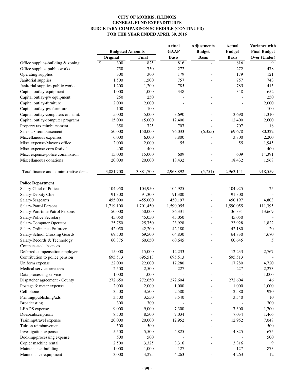|                                        | <b>Budgeted Amounts</b> |           | <b>Actual</b><br><b>GAAP</b> | <b>Adjustments</b><br><b>Budget</b> | <b>Actual</b><br><b>Budget</b> | Variance with<br><b>Final Budget</b> |
|----------------------------------------|-------------------------|-----------|------------------------------|-------------------------------------|--------------------------------|--------------------------------------|
|                                        | Original                | Final     | <b>Basis</b>                 | <b>Basis</b>                        | <b>Basis</b>                   | Over (Under)                         |
| Office supplies-building & zoning      | $\mathbb{S}$<br>300     | 825       | 816                          |                                     | 816                            | 9                                    |
| Office supplies-public works           | 750                     | 750       | 272                          |                                     | 272                            | 478                                  |
| Operating supplies                     | 300                     | 300       | 179                          |                                     | 179                            | 121                                  |
| Janitorial supplies                    | 1,500                   | 1,500     | 757                          |                                     | 757                            | 743                                  |
| Janitorial supplies-public works       | 1,200                   | 1,200     | 785                          |                                     | 785                            | 415                                  |
| Capital outlay-equipment               | 1,000                   | 1,000     | 348                          |                                     | 348                            | 652                                  |
| Capital outlay-pw equipment            | 250                     | 250       |                              |                                     |                                | 250                                  |
| Capital outlay-furniture               | 2,000                   | 2,000     |                              |                                     |                                | 2,000                                |
| Capital outlay-pw furniture            | 100                     | 100       |                              |                                     |                                | 100                                  |
| Capital outlay-computers & maint.      | 5,000                   | 5,000     | 3,690                        |                                     | 3,690                          | 1,310                                |
|                                        |                         |           |                              |                                     |                                |                                      |
| Capital outlay-computer programs       | 15,000                  | 15,000    | 12,400                       |                                     | 12,400                         | 2,600                                |
| Property tax reimbursement             | 350                     | 725       | 707                          |                                     | 707                            | 18                                   |
| Sales tax reimbursement                | 150,000                 | 150,000   | 76,033                       | (6,355)                             | 69,678                         | 80,322                               |
| Miscellaneous expenses                 | 6,000                   | 6,000     | 3,800                        |                                     | 3,800                          | 2,200                                |
| Misc. expense-Mayor's office           | 2,000                   | 2,000     | 55                           |                                     | 55                             | 1,945                                |
| Misc. expense-corn festival            | 400                     | 400       |                              |                                     |                                | 400                                  |
| Misc. expense-police commission        | 15,000                  | 15,000    | 609                          |                                     | 609                            | 14,391                               |
| Miscellaneous donations                | 20,000                  | 20,000    | 18,432                       |                                     | 18,432                         | 1,568                                |
| Total finance and administrative dept. | 3,881,700               | 3,881,700 | 2,968,892                    | (5,751)                             | 2,963,141                      | 918,559                              |
| <b>Police Department</b>               |                         |           |                              |                                     |                                |                                      |
| Salary-Chief of Police                 | 104,950                 | 104,950   | 104,925                      |                                     | 104,925                        | 25                                   |
| Salary-Deputy Chief                    | 91,300                  | 91,300    | 91,300                       |                                     | 91,300                         |                                      |
| Salary-Sergeants                       | 455,000                 | 455,000   | 450,197                      |                                     | 450,197                        | 4,803                                |
| Salary-Patrol Persons                  | 1,719,100               | 1,701,450 | 1,590,055                    |                                     | 1,590,055                      | 111,395                              |
| Salary-Part-time Patrol Persons        | 50,000                  | 50,000    | 36,331                       |                                     | 36,331                         | 13,669                               |
| Salary-Police Secretary                | 45,050                  | 45,050    | 45,050                       |                                     | 45,050                         |                                      |
| Salary-Computer Operator               | 25,750                  | 25,750    | 23,928                       |                                     | 23,928                         | 1,822                                |
| Salary-Ordinance Enforcer              | 42,050                  | 42,200    | 42,180                       |                                     | 42,180                         | 20                                   |
| Salary-School Crossing Guards          | 69,500                  | 69,500    | 64,830                       |                                     | 64,830                         | 4,670                                |
| Salary-Records & Technology            | 60,375                  | 60,650    | 60,645                       |                                     | 60,645                         | 5                                    |
| Compensated absences                   |                         |           |                              |                                     |                                |                                      |
| Deferred compensation employer         | 15,000                  | 15,000    | 12,233                       |                                     | 12,233                         | 2,767                                |
| Contribution to police pension         | 695,513                 | 695,513   | 695,513                      |                                     | 695,513                        |                                      |
| Uniform expense                        | 22,000                  | 22,000    | 17,280                       |                                     | 17,280                         | 4,720                                |
| Medical service-arrestees              | 2,500                   | 2,500     | 227                          |                                     | 227                            | 2,273                                |
| Data processing service                | 1,000                   | 1,000     |                              |                                     |                                | 1,000                                |
| Dispatcher agreement - County          | 272,650                 | 272,650   | 272,604                      |                                     | 272,604                        | 46                                   |
|                                        |                         |           | 1,000                        |                                     | 1,000                          |                                      |
| Postage & meter expense                | 2,000                   | 2,000     |                              |                                     |                                | 1,000                                |
| Cell phone                             | 3,500                   | 3,500     | 2,580                        |                                     | 2,580                          | 920                                  |
| Printing/publishing/ads                | 3,500                   | 3,550     | 3,540                        |                                     | 3,540                          | 10                                   |
| Broadcasting                           | 300                     | 300       |                              |                                     |                                | 300                                  |
| LEADS expense                          | 9,000                   | 9,000     | 7,300                        |                                     | 7,300                          | 1,700                                |
| Dues/subscriptions                     | 8,500                   | 8,500     | 7,034                        |                                     | 7,034                          | 1,466                                |
| Training/travel expense                | 20,000                  | 20,000    | 12,952                       |                                     | 12,952                         | 7,048                                |
| Tuition reimbursement                  | 500                     | 500       |                              |                                     |                                | 500                                  |
| Investigation expense                  | 5,500                   | 5,500     | 4,825                        |                                     | 4,825                          | 675                                  |
| Booking/processing expense             | 500                     | 500       |                              |                                     |                                | 500                                  |
| Copier machine rental                  | 2,500                   | 3,325     | 3,316                        |                                     | 3,316                          | $\boldsymbol{9}$                     |
| Maintenance-building                   | 1,000                   | 1,000     | 127                          |                                     | 127                            | 873                                  |
| Maintenance-equipment                  | 3,000                   | 4,275     | 4,263                        |                                     | 4,263                          | 12                                   |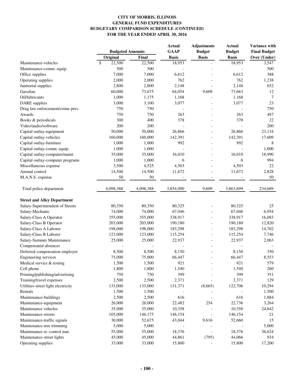|                                                   | <b>Budgeted Amounts</b> |           | <b>Actual</b><br><b>GAAP</b> | <b>Adjustments</b><br><b>Budget</b> | <b>Actual</b><br><b>Budget</b> | Variance with<br><b>Final Budget</b> |
|---------------------------------------------------|-------------------------|-----------|------------------------------|-------------------------------------|--------------------------------|--------------------------------------|
|                                                   | Original                | Final     | <b>Basis</b>                 | <b>Basis</b>                        | <b>Basis</b>                   | Over (Under)                         |
| Maintenance-vehicles                              | \$<br>22,500            | 22,500    | 18,953                       |                                     | 18,953                         | 3,547                                |
| Maintenance-comm. equip.                          | 500                     | 500       |                              |                                     |                                | 500                                  |
| Office supplies                                   | 7,000                   | 7,000     | 6,612                        |                                     | 6,612                          | 388                                  |
| Operating supplies                                | 2,000                   | 2,000     | 762                          |                                     | 762                            | 1,238                                |
| Janitorial supplies                               | 2,800                   | 2,800     | 2,148                        |                                     | 2,148                          | 652                                  |
| Gasoline                                          | 60,000                  | 73,675    | 64,054                       | 9,609                               | 73,663                         | 12                                   |
| Oil/lubricants                                    | 1,000                   | 1,175     | 1,168                        |                                     | 1,168                          | 7                                    |
| <b>DARE</b> supplies                              | 3,000                   | 3,100     | 3,077                        |                                     | 3,077                          | 23                                   |
| Drug law enforcement/crime prev.                  | 750                     | 750       |                              |                                     |                                | 750                                  |
| Awards                                            | 750                     | 750       | 263                          |                                     | 263                            | 487                                  |
| Books & periodicals                               | 300                     | 400       | 378                          |                                     | 378                            | 22                                   |
| Video/audio/software                              | 200                     | 200       |                              |                                     |                                | 200                                  |
| Capital outlay-equipment                          | 50,000                  | 50,000    | 26,866                       |                                     | 26,866                         | 23,134                               |
| Capital outlay-vehicles                           | 160,000                 | 160,000   | 142,391                      |                                     | 142,391                        | 17,609                               |
| Capital outlay-furniture                          | 1,000                   | 1,000     | 992                          |                                     | 992                            | 8                                    |
| Capital outlay-comm. equip.                       | 1,000                   | 1,000     |                              | $\overline{a}$                      |                                | 1,000                                |
| Capital outlay-computer/maint.                    | 35,000                  | 35,000    | 16,010                       |                                     | 16,010                         | 18,990                               |
| Capital outlay-computer programs                  | 1,000                   | 1,000     | 6                            |                                     | 6                              | 994                                  |
| Miscellaneous expense                             | 3,500                   | 4,525     | 4,503                        |                                     | 4,503                          | 22                                   |
| Animal control                                    | 14,500                  | 14,500    | 11,672                       |                                     | 11,672                         | 2,828                                |
| M.A.N.S. expense                                  | 50                      | 50        |                              |                                     |                                | 50                                   |
| Total police department                           | 4,098,388               | 4,098,388 | 3,854,090                    | 9,609                               | 3,863,699                      | 234,689                              |
| <b>Street and Alley Department</b>                |                         |           |                              |                                     |                                |                                      |
| Salary-Superintendent of Streets                  | 80,350                  | 80,350    | 80,325                       |                                     | 80,325                         | 25                                   |
| Salary-Mechanic                                   | 74,000                  | 74,000    | 67,046                       |                                     | 67,046                         | 6,954                                |
| Salary-Class A Operator                           | 355,000                 | 355,000   | 338,917                      |                                     | 338,917                        | 16,083                               |
| Salary-Class B Operator                           | 203,000                 | 203,000   | 190,180                      |                                     | 190,180                        | 12,820                               |
| Salary-Class A Laborer                            | 198,000                 | 198,000   | 183,298                      |                                     | 183,298                        | 14,702                               |
| Salary-Class B Laborer                            | 123,000                 | 123,000   | 115,254                      |                                     | 115,254                        | 7,746                                |
| Salary-Summer Maintenance                         | 25,000                  | 25,000    | 22,937                       |                                     | 22,937                         | 2,063                                |
| Compensated absences                              |                         |           |                              |                                     |                                |                                      |
| Deferred compensation employer                    | 8,500                   | 8,500     | 8,150                        |                                     | 8,150                          | 350                                  |
|                                                   | 75,000                  | 75,000    | 66,447                       |                                     | 66,447                         | 8,553                                |
| Engineering services<br>Medical service & testing | 1,500                   | 1,500     | 921                          |                                     | 921                            | 579                                  |
|                                                   |                         |           |                              |                                     |                                |                                      |
| Cell phone                                        | 1,800                   | 1,800     | 1,540                        |                                     | 1,540                          | 260                                  |
| Printing/publishing/advertising                   | 750                     | 750       | 399                          |                                     | 399                            | 351                                  |
| Training/travel expenses                          | 2,500                   | 2,500     | 2,371                        |                                     | 2,371                          | 129                                  |
| Utilities-street light electricity                | 133,000                 | 133,000   | 131,371                      | (8,665)                             | 122,706                        | 10,294                               |
| Rentals                                           | 1,500                   | 1,500     |                              |                                     |                                | 1,500                                |
| Maintenance-buildings                             | 2,500                   | 2,500     | 616                          |                                     | 616                            | 1,884                                |
| Maintenance-equipment                             | 26,000                  | 26,000    | 22,482                       | 254                                 | 22,736                         | 3,264                                |
| Maintenance vehicles                              | 35,000                  | 35,000    | 10,358                       |                                     | 10,358                         | 24,642                               |
| Maintenance-streets                               | 105,000                 | 146,175   | 146,154                      |                                     | 146,154                        | 21                                   |
| Maintenance-traffic signals                       | 30,000                  | 52,675    | 43,044                       | 9,616                               | 52,660                         | 15                                   |
| Maintenance-tree trimming                         | 5,000                   | 5,000     |                              |                                     |                                | 5,000                                |
| Maintenance-st. control mat.                      | 55,000                  | 55,000    | 18,376                       |                                     | 18,376                         | 36,624                               |
| Maintenance-street lights                         | 45,000                  | 45,000    | 44,861                       | (795)                               | 44,066                         | 934                                  |
| Operating supplies                                | 33,000                  | 33,000    | 15,800                       |                                     | 15,800                         | 17,200                               |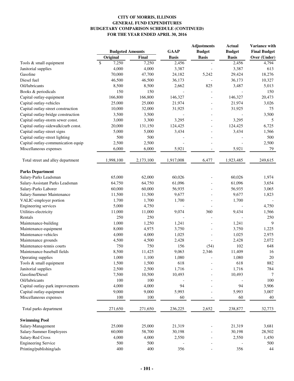|                                     | <b>Budgeted Amounts</b> |              | <b>GAAP</b>  | <b>Adjustments</b><br><b>Budget</b> | <b>Actual</b><br><b>Budget</b> | Variance with<br><b>Final Budget</b> |
|-------------------------------------|-------------------------|--------------|--------------|-------------------------------------|--------------------------------|--------------------------------------|
|                                     | Original                | Final        | <b>Basis</b> | <b>Basis</b>                        | <b>Basis</b>                   | Over (Under)                         |
| Tools & small equipment             | \$<br>7,250             | 7,250        | 2,456        |                                     | 2,456                          | 4,794                                |
| Janitorial supplies                 | 4,000                   | 4,000        | 3,387        |                                     | 3,387                          | 613                                  |
| Gasoline                            | 70,000                  | 47,700       | 24,182       | 5,242                               | 29,424                         | 18,276                               |
| Diesel fuel                         | 46,500                  | 46,500       | 36,173       |                                     | 36,173                         | 10,327                               |
| Oil/lubricants                      | 8,500                   | 8,500        | 2,662        | 825                                 | 3,487                          | 5,013                                |
| Books & periodicals                 | 150                     | 150          |              |                                     |                                | 150                                  |
| Capital outlay-equipment            | 166,800                 | 166,800      | 146,327      |                                     | 146,327                        | 20,473                               |
| Capital outlay-vehicles             | 25,000                  | 25,000       | 21,974       |                                     | 21,974                         | 3,026                                |
| Capital outlay-street construction  | 10,000                  | 32,000       | 31,925       |                                     | 31,925                         | 75                                   |
| Capital outlay-bridge construction  | 3,500                   | 3,500        |              | $\overline{a}$                      |                                | 3,500                                |
| Capital outlay-storm sewer const.   | 3,000                   | 3,300        | 3,295        |                                     | 3,295                          | 5                                    |
| Capital outlay-sidewalk/curb const. | 20,000                  | 131,150      | 124,425      |                                     | 124,425                        | 6,725                                |
|                                     |                         |              | 3,434        |                                     | 3,434                          |                                      |
| Capital outlay-street signs         | 5,000                   | 5,000        |              |                                     |                                | 1,566                                |
| Capital outlay-street lighting      | 500                     | 500          |              |                                     |                                | 500                                  |
| Capital outlay-communication equip  | 2,500                   | 2,500        |              |                                     |                                | 2,500                                |
| Miscellaneous expenses              | 6,000                   | 6,000        | 5,921        |                                     | 5,921                          | 79                                   |
| Total street and alley department   | 1,998,100               | 2,173,100    | 1,917,008    | 6,477                               | 1,923,485                      | 249,615                              |
| <b>Parks Department</b>             |                         |              |              |                                     |                                |                                      |
| Salary-Parks Leadsman               | 65,000                  | 62,000       | 60,026       |                                     | 60,026                         | 1,974                                |
| Salary-Assistant Parks Leadsman     | 64,750                  | 64,750       | 61,096       |                                     | 61,096                         | 3,654                                |
| Salary-Parks Laborer                | 60,000                  | 60,000       | 56,935       |                                     | 56,935                         | 3,065                                |
| Salary-Summer Maintenance           | 11,500                  | 11,500       | 9,677        |                                     | 9,677                          | 1,823                                |
| VALIC-employer portion              | 1,700                   | 1,700        | 1,700        |                                     | 1,700                          |                                      |
| <b>Engineering services</b>         | 5,000                   | 4,750        |              |                                     |                                | 4,750                                |
| Utilities-electricity               | 11,000                  | 11,000       | 9,074        | 360                                 | 9,434                          | 1,566                                |
| Rentals                             | 250                     | 250          |              |                                     |                                | 250                                  |
| Maintenance-building                | 1,000                   | 1,250        | 1,241        |                                     | 1,241                          | 9                                    |
| Maintenance-equipment               | 8,000                   | 4,975        | 3,750        |                                     | 3,750                          | 1,225                                |
| Maintenance-vehicles                | 4,000                   | 4,000        | 1,025        |                                     | 1,025                          | 2,975                                |
|                                     |                         |              |              |                                     | 2,428                          |                                      |
| Maintenance grounds                 | 4,500<br>750            | 4,500<br>750 | 2,428        |                                     | 102                            | 2,072                                |
| Maintenance-tennis courts           |                         |              | 156          | (54)                                |                                | 648                                  |
| Maintenance-baseball fields         | 8,500                   | 11,425       | 9,063        | 2,346                               | 11,409                         | 16                                   |
| Operating supplies                  | 1,000                   | 1,100        | 1,080        |                                     | 1,080                          | 20                                   |
| Tools & small equipment             | 1,500                   | 1,500        | 618          |                                     | 618                            | 882                                  |
| Janitorial supplies                 | 2,500                   | 2,500        | 1,716        |                                     | 1,716                          | 784                                  |
| Gasoline/Diesel                     | 7,500                   | 10,500       | 10,493       |                                     | 10,493                         | 7                                    |
| Oil/lubricants                      | 100                     | 100          |              |                                     |                                | 100                                  |
| Capital outlay-park improvements    | 4,000                   | 4,000        | 94           |                                     | 94                             | 3,906                                |
| Capital outlay-equipment            | 9,000                   | 9,000        | 5,993        |                                     | 5,993                          | 3,007                                |
| Miscellaneous expenses              | 100                     | 100          | 60           |                                     | 60                             | 40                                   |
| Total parks department              | 271,650                 | 271,650      | 236,225      | 2,652                               | 238,877                        | 32,773                               |
| <b>Swimming Pool</b>                |                         |              |              |                                     |                                |                                      |
| Salary-Management                   | 25,000                  | 25,000       | 21,319       |                                     | 21,319                         | 3,681                                |
| Salary-Summer Employees             | 60,000                  | 58,700       | 30,198       |                                     | 30,198                         | 28,502                               |
| Salary-Red Cross                    | 4,000                   | 4,000        | 2,550        |                                     | 2,550                          | 1,450                                |
| <b>Engineering Service</b>          | 500                     | 500          |              |                                     |                                | 500                                  |
| Printing/publishing/ads             | 400                     | 400          | 356          |                                     | 356                            | 44                                   |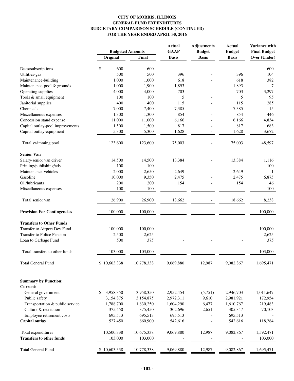|                                    |                         |            | <b>Actual</b> | <b>Adjustments</b>       | <b>Actual</b> | Variance with       |
|------------------------------------|-------------------------|------------|---------------|--------------------------|---------------|---------------------|
|                                    | <b>Budgeted Amounts</b> |            | <b>GAAP</b>   | <b>Budget</b>            | <b>Budget</b> | <b>Final Budget</b> |
|                                    | Original                | Final      | <b>Basis</b>  | <b>Basis</b>             | <b>Basis</b>  | Over (Under)        |
| Dues/subscriptions                 | \$<br>600               | 600        |               |                          |               | 600                 |
| Utilities-gas                      | 500                     | 500        | 396           |                          | 396           | 104                 |
| Maintenance-building               | 1,000                   | 1,000      | 618           |                          | 618           | 382                 |
| Maintenance-pool & grounds         | 1,000                   | 1,900      | 1,893         |                          | 1,893         | 7                   |
| Operating supplies                 | 4,000                   | 4,000      | 703           |                          | 703           | 3,297               |
| Tools & small equipment            | 100                     | 100        | 5             |                          | 5             | 95                  |
| Janitorial supplies                | 400                     | 400        | 115           |                          | 115           | 285                 |
| Chemicals                          | 7,000                   | 7,400      | 7,385         |                          | 7,385         | 15                  |
| Miscellaneous expenses             | 1,300                   | 1,300      | 854           |                          | 854           | 446                 |
| Concession stand expense           | 11,000                  | 11,000     | 6,166         |                          | 6,166         | 4,834               |
| Capital outlay-pool improvements   | 1,500                   | 1,500      | 817           |                          | 817           | 683                 |
|                                    |                         |            |               |                          |               |                     |
| Capital outlay-equipment           | 5,300                   | 5,300      | 1,628         | $\overline{\phantom{a}}$ | 1,628         | 3,672               |
| Total swimming pool                | 123,600                 | 123,600    | 75,003        |                          | 75,003        | 48,597              |
| <b>Senior Van</b>                  |                         |            |               |                          |               |                     |
| Salary-senior van driver           | 14,500                  | 14,500     | 13,384        |                          | 13,384        | 1,116               |
| Printing/publishing/ads            | 100                     | 100        |               |                          |               | 100                 |
| Maintenance-vehicles               | 2,000                   | 2,650      | 2,649         |                          | 2,649         | -1                  |
| Gasoline                           | 10,000                  | 9,350      | 2,475         |                          | 2,475         | 6,875               |
| Oil/lubricants                     | 200                     | 200        | 154           |                          | 154           | 46                  |
| Miscellaneous expenses             | 100                     | 100        |               |                          |               | 100                 |
|                                    |                         |            |               |                          |               |                     |
| Total senior van                   | 26,900                  | 26,900     | 18,662        |                          | 18,662        | 8,238               |
| <b>Provision For Contingencies</b> | 100,000                 | 100,000    |               |                          |               | 100,000             |
| <b>Transfers to Other Funds</b>    |                         |            |               |                          |               |                     |
| Transfer to Airport Dev Fund       | 100,000                 | 100,000    |               |                          |               | 100,000             |
| <b>Transfer to Police Pension</b>  | 2,500                   | 2,625      |               |                          |               | 2,625               |
| Loan to Garbage Fund               | 500                     | 375        |               |                          |               | 375                 |
| Total transfers to other funds     | 103,000                 | 103,000    |               |                          |               | 103,000             |
| <b>Total General Fund</b>          | \$10,603,338            | 10,778,338 | 9,069,880     | 12,987                   | 9,082,867     | 1,695,471           |
|                                    |                         |            |               |                          |               |                     |
| <b>Summary by Function:</b>        |                         |            |               |                          |               |                     |
| <b>Current:</b>                    |                         |            |               |                          |               |                     |
| General government                 | \$<br>3,958,350         | 3,958,350  | 2,952,454     | (5,751)                  | 2,946,703     | 1,011,647           |
| Public safety                      | 3,154,875               | 3,154,875  | 2,972,311     | 9,610                    | 2,981,921     | 172,954             |
| Transportation & public service    | 1,788,700               | 1,830,250  | 1,604,290     | 6,477                    | 1,610,767     | 219,483             |
| Culture & recreation               | 375,450                 | 375,450    | 302,696       | 2,651                    | 305,347       | 70,103              |
| Employee retirement costs          | 695,513                 | 695,513    | 695,513       |                          | 695,513       |                     |
| Capital outlay                     | 527,450                 | 660,900    | 542,616       |                          | 542,616       | 118,284             |
|                                    |                         |            |               |                          |               |                     |
| Total expenditures                 | 10,500,338              | 10,675,338 | 9,069,880     | 12,987                   | 9,082,867     | 1,592,471           |
| <b>Transfers to other funds</b>    | 103,000                 | 103,000    |               |                          |               | 103,000             |
| <b>Total General Fund</b>          | \$10,603,338            | 10,778,338 | 9,069,880     | 12,987                   | 9,082,867     | 1,695,471           |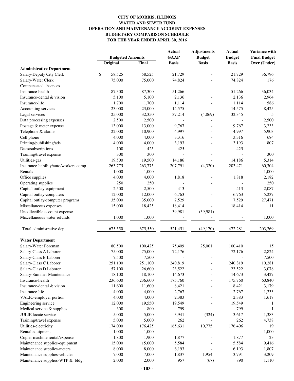#### **CITY OF MORRIS, ILLINOIS WATER AND SEWER FUND OPERATION AND MAINTENANCE ACCOUNT EXPENSES BUDGETARY COMPARISON SCHEDULE FOR THE YEAR ENDED APRIL 30, 2016**

|                                               | <b>Budgeted Amounts</b> |                  | <b>Actual</b> | <b>Adjustments</b> | <b>Actual</b> | Variance with       |
|-----------------------------------------------|-------------------------|------------------|---------------|--------------------|---------------|---------------------|
|                                               |                         |                  | <b>GAAP</b>   | <b>Budget</b>      | <b>Budget</b> | <b>Final Budget</b> |
|                                               | Original                | Final            | <b>Basis</b>  | <b>Basis</b>       | <b>Basis</b>  | Over (Under)        |
| <b>Administrative Department</b>              |                         |                  | 21,729        |                    |               |                     |
| Salary-Deputy City Clerk                      | \$<br>58,525            | 58,525<br>75,000 |               |                    | 21,729        | 36,796              |
| Salary-Water Clerk                            | 75,000                  |                  | 74,824        |                    | 74,824        | 176                 |
| Compensated absences                          |                         |                  |               |                    |               |                     |
| Insurance-health<br>Insurance-dental & vision | 87,300                  | 87,300           | 51,266        |                    | 51,266        | 36,034              |
|                                               | 5,100                   | 5,100            | 2,136         |                    | 2,136         | 2,964               |
| Insurance-life                                | 1,700                   | 1,700            | 1,114         |                    | 1,114         | 586                 |
| Accounting services                           | 23,000                  | 23,000           | 14,575        |                    | 14,575        | 8,425               |
| Legal services                                | 25,000                  | 32,350           | 37,214        | (4, 869)           | 32,345        | 5                   |
| Data processing expenses                      | 2,500                   | 2,500            |               |                    |               | 2,500               |
| Postage & meter expense                       | 13,000                  | 13,000           | 9,767         |                    | 9,767         | 3,233               |
| Telephone & alarms                            | 22,000                  | 10,900           | 4,997         |                    | 4,997         | 5,903               |
| Cell phone                                    | 4,000                   | 4,000            | 3,316         |                    | 3,316         | 684                 |
| Printing/publishing/ads                       | 4,000                   | 4,000            | 3,193         |                    | 3,193         | 807                 |
| Dues/subscriptions                            | 100                     | 425              | 425           |                    | 425           |                     |
| Training/travel expense                       | 300                     | 300              |               |                    |               | 300                 |
| Utilities-gas                                 | 19,500                  | 19,500           | 14,186        |                    | 14,186        | 5,314               |
| Insurance-liability/auto/workers comp         | 263,775                 | 263,775          | 207,791       | (4,320)            | 203,471       | 60,304              |
| Rentals                                       | 1,000                   | 1,000            |               |                    |               | 1,000               |
| Office supplies                               | 4,000                   | 4,000            | 1,818         |                    | 1,818         | 2,182               |
| Operating supplies                            | 250                     | 250              |               |                    |               | 250                 |
| Capital outlay-equipment                      | 2,500                   | 2,500            | 413           |                    | 413           | 2,087               |
| Capital outlay-computers                      | 12,000                  | 12,000           | 6,763         |                    | 6,763         | 5,237               |
| Capital outlay-computer programs              | 35,000                  | 35,000           | 7,529         |                    | 7,529         | 27,471              |
| Miscellaneous expenses                        | 15,000                  | 18,425           | 18,414        |                    | 18,414        | 11                  |
| Uncollectible account expense                 |                         |                  | 39,981        | (39,981)           |               |                     |
| Miscellaneous water refunds                   | 1,000                   | 1,000            |               |                    |               | 1,000               |
| Total administrative dept.                    | 675,550                 | 675,550          | 521,451       | (49, 170)          | 472,281       | 203,269             |
| <b>Water Department</b>                       |                         |                  |               |                    |               |                     |
| Salary-Water Foreman                          | 80,500                  | 100,425          | 75,409        | 25,001             | 100,410       | 15                  |
| Salary-Class A Laborer                        | 75,000                  | 75,000           | 72,176        |                    | 72,176        | 2,824               |
| Salary-Class B Laborer                        | 7,500                   | 7,500            |               |                    |               | 7,500               |
| Salary-Class C Laborer                        | 251,100                 | 251,100          | 240,819       |                    | 240,819       | 10,281              |
| Salary-Class D Laborer                        | 57,100                  | 26,600           | 23,522        |                    | 23,522        | 3,078               |
| Salary-Summer Maintenance                     | 18,100                  | 18,100           | 14,673        |                    | 14,673        | 3,427               |
| Insurance-health                              | 236,600                 | 236,600          | 175,760       |                    | 175,760       | 60,840              |
| Insurance-dental & vision                     | 11,600                  | 11,600           | 8,421         |                    | 8,421         | 3,179               |
| Insurance-life                                | 4,000                   | 4,000            | 2,767         |                    | 2,767         | 1,233               |
| VALIC-employer portion                        | 4,000                   | 4,000            | 2,383         |                    | 2,383         | 1,617               |
| Engineering service                           | 12,000                  | 19,550           | 19,549        |                    | 19,549        | -1                  |
| Medical service & supplies                    | 300                     | 800              | 799           |                    | 799           | -1                  |
| <b>JULIE</b> locate service                   | 5,000                   | 5,000            | 3,941         | (324)              | 3,617         | 1,383               |
| Training/travel expense                       | 5,000                   | 5,000            | 262           |                    | 262           | 4,738               |
| Utilities-electricity                         | 174,000                 | 176,425          | 165,631       | 10,775             | 176,406       | 19                  |
| Rental equipment                              | 1,000                   | 1,000            |               |                    |               | 1,000               |
| Copier machine rental/expense                 | 1,800                   | 1,900            | 1,877         |                    | 1,877         | 23                  |
| Maintenance supplies-equipment                | 15,000                  | 15,000           | 5,584         |                    | 5,584         | 9,416               |
| Maintenance supplies-meters                   | 8,000                   | 8,000            | 6,193         |                    | 6,193         | 1,807               |
| Maintenance supplies-vehicles                 | 7,000                   | 7,000            | 1,837         | 1,954              | 3,791         | 3,209               |
| Maintenance supplies-WTP & bldg.              | 2,000                   | 2,000            | 957           | (67)               | 890           | 1,110               |
|                                               |                         |                  |               |                    |               |                     |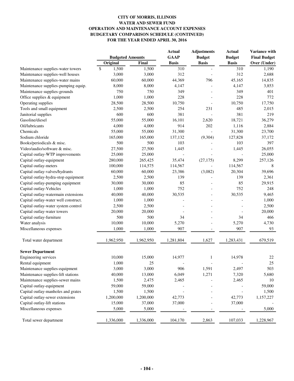#### **CITY OF MORRIS, ILLINOIS WATER AND SEWER FUND OPERATION AND MAINTENANCE ACCOUNT EXPENSES BUDGETARY COMPARISON SCHEDULE (CONTINUED) FOR THE YEAR ENDED APRIL 30, 2016**

|                                      | <b>Budgeted Amounts</b> |           | <b>Actual</b><br><b>GAAP</b> | <b>Adjustments</b><br><b>Budget</b> | <b>Actual</b><br><b>Budget</b> | Variance with<br><b>Final Budget</b> |
|--------------------------------------|-------------------------|-----------|------------------------------|-------------------------------------|--------------------------------|--------------------------------------|
|                                      | Original                | Final     | <b>Basis</b>                 | <b>Basis</b>                        | <b>Basis</b>                   | Over (Under)                         |
| Maintenance supplies-water towers    | $\mathbb{S}$<br>1,500   | 1,500     | 310                          |                                     | 310                            | 1,190                                |
| Maintenance supplies-well houses     | 3,000                   | 3,000     | 312                          |                                     | 312                            | 2,688                                |
| Maintenance supplies-water mains     | 60,000                  | 60,000    | 44,369                       | 796                                 | 45,165                         | 14,835                               |
| Maintenance supplies-pumping equip.  | 8,000                   | 8,000     | 4,147                        |                                     | 4,147                          | 3,853                                |
| Maintenance supplies-grounds         | 750                     | 750       | 349                          |                                     | 349                            | 401                                  |
| Office supplies & equipment          | 1,000                   | 1,000     | 228                          |                                     | 228                            | 772                                  |
| Operating supplies                   | 28,500                  | 28,500    | 10,750                       |                                     | 10,750                         | 17,750                               |
| Tools and small equipment            | 2,500                   | 2,500     | 254                          | 231                                 | 485                            | 2,015                                |
| Janitorial supplies                  | 600                     | 600       | 381                          |                                     | 381                            | 219                                  |
| Gasoline/diesel                      | 55,000                  | 55,000    | 16,101                       | 2,620                               | 18,721                         | 36,279                               |
| Oil/lubricants                       | 4,000                   | 4,000     | 914                          | 202                                 | 1,116                          | 2,884                                |
| Chemicals                            | 55,000                  | 55,000    | 31,300                       |                                     | 31,300                         | 23,700                               |
| Sodium chloride                      | 165,000                 | 165,000   | 137,132                      | (9,304)                             | 127,828                        | 37,172                               |
| Books/periodicals & misc.            | 500                     | 500       | 103                          |                                     | 103                            | 397                                  |
| Video/audio/software & misc.         | 27,500                  | 27,500    | 1,445                        |                                     | 1,445                          | 26,055                               |
| Capital outlay-WTP improvements      | 25,000                  | 25,000    | $\overline{\phantom{a}}$     |                                     |                                | 25,000                               |
| Capital outlay-equipment             | 280,000                 | 265,425   | 35,474                       | (27, 175)                           | 8,299                          | 257,126                              |
| Capital outlay-meters                | 100,000                 | 114,575   | 114,567                      |                                     | 114,567                        | 8                                    |
| Capital outlay-valves/hydrants       | 60,000                  | 60,000    | 23,386                       | (3,082)                             | 20,304                         | 39,696                               |
| Capital outlay-hydra-stop equipment  | 2,500                   | 2,500     | 139                          |                                     | 139                            | 2,361                                |
| Capital outlay-pumping equipment     | 30,000                  | 30,000    | 85                           |                                     | 85                             | 29,915                               |
| Capital outlay-Vehicles              | 1,000                   | 1,000     | 752                          |                                     | 752                            | 248                                  |
| Capital outlay-watermain extensions  | 40,000                  | 40,000    | 30,535                       |                                     | 30,535                         | 9,465                                |
| Capital outlay-water well construct. | 1,000                   | 1,000     |                              |                                     |                                | 1,000                                |
| Capital outlay-water system control  | 2,500                   | 2,500     |                              |                                     |                                | 2,500                                |
| Capital outlay-water towers          | 20,000                  | 20,000    |                              |                                     |                                | 20,000                               |
| Capital outlay-furniture             | 500                     | 500       | 34                           |                                     | 34                             | 466                                  |
| Water analysis                       | 10,000                  | 10,000    | 5,270                        |                                     | 5,270                          | 4,730                                |
| Miscellaneous expenses               | 1,000                   | 1,000     | 907                          |                                     | 907                            | 93                                   |
| Total water department               | 1,962,950               | 1,962,950 | 1,281,804                    | 1,627                               | 1,283,431                      | 679,519                              |
| <b>Sewer Department</b>              |                         |           |                              |                                     |                                |                                      |
| <b>Engineering services</b>          | 10,000                  | 15,000    | 14,977                       | 1                                   | 14,978                         | 22                                   |
| Rental equipment                     | 1,000                   | 25        |                              |                                     |                                | 25                                   |
| Maintenance supplies-equipment       | 3,000                   | 3,000     | 906                          | 1,591                               | 2,497                          | 503                                  |
| Maintenance supplies-lift stations   | 40,000                  | 13,000    | 6,049                        | 1,271                               | 7,320                          | 5,680                                |
| Maintenance supplies-sewer mains     | 1,500                   | 2,475     | 2,465                        |                                     | 2,465                          | 10                                   |
| Capital outlay-equipment             | 59,000                  | 59,000    |                              |                                     |                                | 59,000                               |
| Capital outlay-manholes and grates   | 1,500                   | 1,500     |                              |                                     |                                | 1,500                                |
| Capital outlay-sewer extensions      | 1,200,000               | 1,200,000 | 42,773                       |                                     | 42,773                         | 1,157,227                            |
| Capital outlay-lift stations         | 15,000                  | 37,000    | 37,000                       |                                     | 37,000                         |                                      |
| Miscellaneous expenses               | 5,000                   | 5,000     |                              |                                     |                                | 5,000                                |
| Total sewer department               | 1,336,000               | 1,336,000 | 104,170                      | 2,863                               | 107,033                        | 1,228,967                            |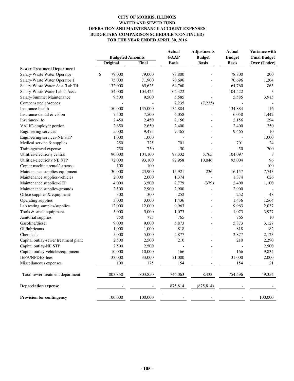#### **CITY OF MORRIS, ILLINOIS WATER AND SEWER FUND OPERATION AND MAINTENANCE ACCOUNT EXPENSES BUDGETARY COMPARISON SCHEDULE (CONTINUED) FOR THE YEAR ENDED APRIL 30, 2016**

|                                      | <b>Budgeted Amounts</b> |         | <b>Actual</b><br><b>GAAP</b> | <b>Adjustments</b><br><b>Budget</b> | <b>Actual</b><br><b>Budget</b> | Variance with<br><b>Final Budget</b> |
|--------------------------------------|-------------------------|---------|------------------------------|-------------------------------------|--------------------------------|--------------------------------------|
|                                      | Original                | Final   | <b>Basis</b>                 | <b>Basis</b>                        | <b>Basis</b>                   | Over (Under)                         |
| <b>Sewer Treatment Department</b>    |                         |         |                              |                                     |                                |                                      |
| Salary-Waste Water Operator          | \$<br>79,000            | 79,000  | 78,800                       |                                     | 78,800                         | 200                                  |
| Salary-Waste Water Operator 1        | 75,000                  | 71,900  | 70,696                       |                                     | 70,696                         | 1,204                                |
| Salary-Waste Water Asst./Lab T4      | 132,000                 | 65,625  | 64,760                       |                                     | 64,760                         | 865                                  |
| Salary-Waste Water Lab T Asst.       | 54,000                  | 104,425 | 104,422                      |                                     | 104,422                        | 3                                    |
| Salary-Summer Maintenance            | 9,500                   | 9,500   | 5,585                        |                                     | 5,585                          | 3,915                                |
| Compensated absences                 |                         |         | 7,235                        | (7,235)                             |                                |                                      |
| Insurance-health                     | 150,000                 | 135,000 | 134,884                      |                                     | 134,884                        | 116                                  |
| Insurance-dental & vision            | 7,500                   | 7,500   | 6,058                        |                                     | 6,058                          | 1,442                                |
| Insurance-life                       | 2,450                   | 2,450   | 2,156                        |                                     | 2,156                          | 294                                  |
| VALIC-employer portion               | 2,650                   | 2,650   | 2,400                        |                                     | 2,400                          | 250                                  |
| Engineering services                 | 5,000                   | 9,475   | 9,465                        |                                     | 9,465                          | 10                                   |
| Engineering services-NE STP          | 1,000                   | 1,000   |                              |                                     |                                | 1,000                                |
| Medical service & supplies           | 250                     | 725     | 701                          |                                     | 701                            | 24                                   |
| Training/travel expense              | 750                     | 750     | 50                           |                                     | 50                             | 700                                  |
| Utilities-electricity central        | 90,000                  | 104,100 | 98,332                       | 5,765                               | 104,097                        | 3                                    |
| Utilities-electricity NE STP         | 72,000                  | 93,100  | 82,958                       | 10,046                              | 93,004                         | 96                                   |
| Copier machine rental/expense        | 100                     | 100     |                              |                                     |                                | 100                                  |
| Maintenance supplies-equipment       | 30,000                  | 23,900  | 15,921                       | 236                                 | 16,157                         | 7,743                                |
| Maintenance supplies-vehicles        | 2,000                   | 2,000   | 1,374                        |                                     | 1,374                          | 626                                  |
| Maintenance supplies-STP             | 4,000                   | 3,500   | 2,779                        | (379)                               | 2,400                          | 1,100                                |
| Maintenance supplies-grounds         | 2,500                   | 2,900   | 2,900                        |                                     | 2,900                          |                                      |
| Office supplies & equipment          | 300                     | 300     | 252                          |                                     | 252                            | 48                                   |
| Operating supplies                   | 3,000                   | 3,000   | 1,436                        |                                     | 1,436                          | 1,564                                |
| Lab testing samples/supplies         | 12,000                  | 12,000  | 9,963                        |                                     | 9,963                          | 2,037                                |
| Tools & small equipment              | 5,000                   | 5,000   | 1,073                        |                                     | 1,073                          | 3,927                                |
| Janitorial supplies                  | 750                     | 775     | 765                          |                                     | 765                            | 10                                   |
| Gasoline/diesel                      | 9,000                   | 9,000   | 5,873                        |                                     | 5,873                          | 3,127                                |
| Oil/lubricants                       | 1,000                   | 1,000   | 818                          |                                     | 818                            | 182                                  |
| Chemicals                            | 5,000                   | 5,000   | 2,877                        |                                     | 2,877                          | 2,123                                |
| Capital outlay-sewer treatment plant | 2,500                   | 2,500   | 210                          |                                     | 210                            | 2,290                                |
| Capital outlay-NE STP                | 2,500                   | 2,500   | $\overline{a}$               |                                     |                                | 2,500                                |
| Capital outlay-vehicles/equipment    | 10,000                  | 10,000  | 166                          |                                     | 166                            | 9,834                                |
| <b>IEPA/NPDES</b> fees               | 33,000                  | 33,000  | 31,000                       |                                     | 31,000                         | 2,000                                |
| Miscellaneous expenses               | 100                     | 175     | 154                          |                                     | 154                            | 21                                   |
| Total sewer treatment department     | 803,850                 | 803,850 | 746,063                      | 8,433                               | 754,496                        | 49,354                               |
| <b>Depreciation expense</b>          |                         |         | 875,814                      | (875, 814)                          |                                |                                      |
| <b>Provision for contingency</b>     | 100,000                 | 100,000 |                              |                                     |                                | 100,000                              |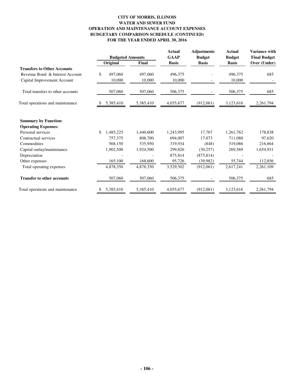#### **CITY OF MORRIS, ILLINOIS WATER AND SEWER FUND OPERATION AND MAINTENANCE ACCOUNT EXPENSES BUDGETARY COMPARISON SCHEDULE (CONTINUED) FOR THE YEAR ENDED APRIL 30, 2016**

|                                                           | <b>Budgeted Amounts</b> |           | <b>Actual</b> | <b>Adjustments</b> | <b>Actual</b><br><b>Budget</b> | <b>Variance with</b><br><b>Final Budget</b> |
|-----------------------------------------------------------|-------------------------|-----------|---------------|--------------------|--------------------------------|---------------------------------------------|
|                                                           |                         |           | <b>GAAP</b>   | <b>Budget</b>      |                                |                                             |
|                                                           | Original                | Final     | <b>Basis</b>  | <b>Basis</b>       | <b>Basis</b>                   | Over (Under)                                |
| <b>Transfers to Other Accounts</b>                        |                         |           |               |                    |                                |                                             |
| Revenue Bond & Interest Account                           | \$<br>497,060           | 497,060   | 496,375       |                    | 496,375                        | 685                                         |
| Capital Improvement Account                               | 10,000                  | 10,000    | 10,000        |                    | 10,000                         |                                             |
| Total transfers to other accounts                         | 507,060                 | 507,060   | 506,375       |                    | 506,375                        | 685                                         |
| Total operations and maintenance                          | 5,385,410               | 5,385,410 | 4,035,677     | (912,061)          | 3,123,616                      | 2,261,794                                   |
| <b>Summary by Function:</b><br><b>Operating Expenses:</b> |                         |           |               |                    |                                |                                             |
| Personal services                                         | \$<br>1,485,225         | 1,440,600 | 1,243,995     | 17,767             | 1,261,762                      | 178,838                                     |
| Contractual services                                      | 757,375                 | 808,700   | 694,007       | 17,073             | 711,080                        | 97,620                                      |
| Commodities                                               | 568,150                 | 535,950   | 319,934       | (848)              | 319,086                        | 216,864                                     |
| Capital outlay/maintenance                                | 1,902,500               | 1,924,500 | 299,826       | (30, 257)          | 269,569                        | 1,654,931                                   |
| Depreciation                                              |                         |           | 875,814       | (875, 814)         |                                |                                             |
| Other expenses                                            | 165,100                 | 168,600   | 95,726        | (39,982)           | 55,744                         | 112,856                                     |
| Total operating expenses                                  | 4,878,350               | 4,878,350 | 3,529,302     | (912,061)          | 2,617,241                      | 2,261,109                                   |
| <b>Transfer to other accounts</b>                         | 507,060                 | 507,060   | 506,375       |                    | 506,375                        | 685                                         |
| Total operations and maintenance                          | 5,385,410               | 5,385,410 | 4,035,677     | (912,061)          | 3,123,616                      | 2,261,794                                   |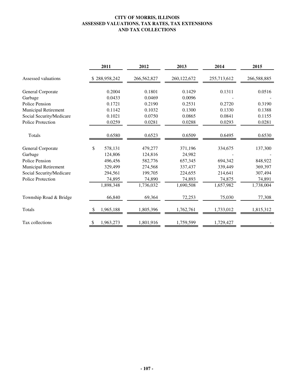### **CITY OF MORRIS, ILLINOIS ASSESSED VALUATIONS, TAX RATES, TAX EXTENSIONS AND TAX COLLECTIONS**

|                             | 2011            | 2012        | 2013        | 2014        | 2015        |
|-----------------------------|-----------------|-------------|-------------|-------------|-------------|
| Assessed valuations         | \$288,958,242   | 266,562,827 | 260,122,672 | 255,713,612 | 266,588,885 |
| General Corporate           | 0.2004          | 0.1801      | 0.1429      | 0.1311      | 0.0516      |
| Garbage                     | 0.0433          | 0.0469      | 0.0096      |             |             |
| Police Pension              | 0.1721          | 0.2190      | 0.2531      | 0.2720      | 0.3190      |
| Municipal Retirement        | 0.1142          | 0.1032      | 0.1300      | 0.1330      | 0.1388      |
| Social Security/Medicare    | 0.1021          | 0.0750      | 0.0865      | 0.0841      | 0.1155      |
| <b>Police Protection</b>    | 0.0259          | 0.0281      | 0.0288      | 0.0293      | 0.0281      |
|                             |                 |             |             |             |             |
| Totals                      | 0.6580          | 0.6523      | 0.6509      | 0.6495      | 0.6530      |
| General Corporate           | \$<br>578,131   | 479,277     | 371,196     | 334,675     | 137,300     |
| Garbage                     | 124,806         | 124,816     | 24,982      |             |             |
| Police Pension              | 496,456         | 582,776     | 657,345     | 694,342     | 848,922     |
| <b>Municipal Retirement</b> | 329,499         | 274,568     | 337,437     | 339,449     | 369,397     |
| Social Security/Medicare    | 294,561         | 199,705     | 224,655     | 214,641     | 307,494     |
| <b>Police Protection</b>    | 74,895          | 74,890      | 74,893      | 74,875      | 74,891      |
|                             | 1,898,348       | 1,736,032   | 1,690,508   | 1,657,982   | 1,738,004   |
| Township Road & Bridge      | 66,840          | 69,364      | 72,253      | 75,030      | 77,308      |
| Totals                      | 1,965,188<br>S. | 1,805,396   | 1,762,761   | 1,733,012   | 1,815,312   |
| Tax collections             | 1,963,273<br>\$ | 1,801,916   | 1,759,599   | 1,729,427   |             |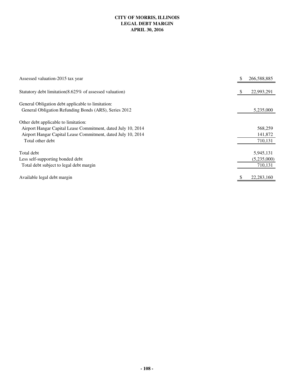### **CITY OF MORRIS, ILLINOIS LEGAL DEBT MARGIN APRIL 30, 2016**

| Assessed valuation-2015 tax year                             | S   | 266,588,885  |
|--------------------------------------------------------------|-----|--------------|
| Statutory debt limitation(8.625% of assessed valuation)      | \$. | 22,993,291   |
| General Obligation debt applicable to limitation:            |     |              |
| General Obligation Refunding Bonds (ARS), Series 2012        |     | 5,235,000    |
| Other debt applicable to limitation:                         |     |              |
| Airport Hangar Capital Lease Commitment, dated July 10, 2014 |     | 568,259      |
| Airport Hangar Capital Lease Commitment, dated July 10, 2014 |     | 141,872      |
| Total other debt                                             |     | 710,131      |
| Total debt                                                   |     | 5,945,131    |
| Less self-supporting bonded debt                             |     | (5,235,000)  |
| Total debt subject to legal debt margin                      |     | 710,131      |
| Available legal debt margin                                  |     | 22, 283, 160 |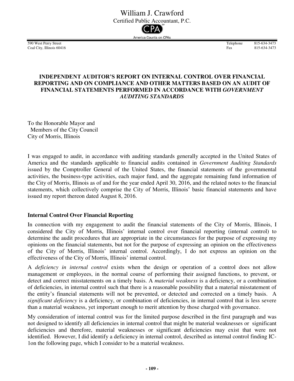# William J. Crawford

Certified Public Accountant, P.C.



Coal City, Illinois 60416 Fax 815-634-3473-415-634-3473-415-634-3473-4-3473-4-3473-4-3473-4-3473-4-3473-4-3473

590 West Perry Street 815-634-3473<br>
Coal City Illinois 60416<br>
Fax 815-634-3473

# **INDEPENDENT AUDITOR'S REPORT ON INTERNAL CONTROL OVER FINANCIAL REPORTING AND ON COMPLIANCE AND OTHER MATTERS BASED ON AN AUDIT OF FINANCIAL STATEMENTS PERFORMED IN ACCORDANCE WITH** *GOVERNMENT AUDITING STANDARDS*

To the Honorable Mayor and Members of the City Council City of Morris, Illinois

I was engaged to audit, in accordance with auditing standards generally accepted in the United States of America and the standards applicable to financial audits contained in *Government Auditing Standards* issued by the Comptroller General of the United States, the financial statements of the governmental activities, the business-type activities, each major fund, and the aggregate remaining fund information of the City of Morris, Illinois as of and for the year ended April 30, 2016, and the related notes to the financial statements, which collectively comprise the City of Morris, Illinois' basic financial statements and have issued my report thereon dated August 8, 2016.

# **Internal Control Over Financial Reporting**

In connection with my engagement to audit the financial statements of the City of Morris, Illinois, I considered the City of Morris, Illinois' internal control over financial reporting (internal control) to determine the audit procedures that are appropriate in the circumstances for the purpose of expressing my opinions on the financial statements, but not for the purpose of expressing an opinion on the effectiveness of the City of Morris, Illinois' internal control. Accordingly, I do not express an opinion on the effectiveness of the City of Morris, Illinois' internal control.

A *deficiency in internal control* exists when the design or operation of a control does not allow management or employees, in the normal course of performing their assigned functions, to prevent, or detect and correct misstatements on a timely basis. A *material weakness* is a deficiency, or a combination of deficiencies, in internal control such that there is a reasonable possibility that a material misstatement of the entity's financial statements will not be prevented, or detected and corrected on a timely basis. A *significant deficiency* is a deficiency, or combination of deficiencies, in internal control that is less severe than a material weakness, yet important enough to merit attention by those charged with governance.

My consideration of internal control was for the limited purpose described in the first paragraph and was not designed to identify all deficiencies in internal control that might be material weaknesses or significant deficiencies and therefore, material weaknesses or significant deficiencies may exist that were not identified. However, I did identify a deficiency in internal control, described as internal control finding IC-1on the following page, which I consider to be a material weakness.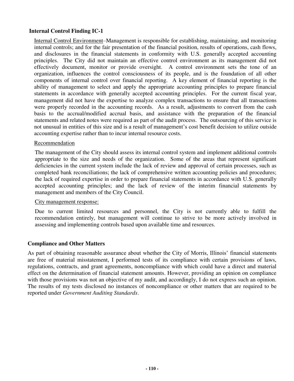## **Internal Control Finding IC-1**

Internal Control Environment–Management is responsible for establishing, maintaining, and monitoring internal controls; and for the fair presentation of the financial position, results of operations, cash flows, and disclosures in the financial statements in conformity with U.S. generally accepted accounting principles. The City did not maintain an effective control environment as its management did not effectively document, monitor or provide oversight. A control environment sets the tone of an organization, influences the control consciousness of its people, and is the foundation of all other components of internal control over financial reporting. A key element of financial reporting is the ability of management to select and apply the appropriate accounting principles to prepare financial statements in accordance with generally accepted accounting principles. For the current fiscal year, management did not have the expertise to analyze complex transactions to ensure that all transactions were properly recorded in the accounting records. As a result, adjustments to convert from the cash basis to the accrual/modified accrual basis, and assistance with the preparation of the financial statements and related notes were required as part of the audit process. The outsourcing of this service is not unusual in entities of this size and is a result of management's cost benefit decision to utilize outside accounting expertise rather than to incur internal resource costs.

### Recommendation

The management of the City should assess its internal control system and implement additional controls appropriate to the size and needs of the organization. Some of the areas that represent significant deficiencies in the current system include the lack of review and approval of certain processes, such as completed bank reconciliations; the lack of comprehensive written accounting policies and procedures; the lack of required expertise in order to prepare financial statements in accordance with U.S. generally accepted accounting principles; and the lack of review of the interim financial statements by management and members of the City Council.

#### City management response:

Due to current limited resources and personnel, the City is not currently able to fulfill the recommendation entirely, but management will continue to strive to be more actively involved in assessing and implementing controls based upon available time and resources.

## **Compliance and Other Matters**

As part of obtaining reasonable assurance about whether the City of Morris, Illinois' financial statements are free of material misstatement, I performed tests of its compliance with certain provisions of laws, regulations, contracts, and grant agreements, noncompliance with which could have a direct and material effect on the determination of financial statement amounts. However, providing an opinion on compliance with those provisions was not an objective of my audit, and accordingly, I do not express such an opinion. The results of my tests disclosed no instances of noncompliance or other matters that are required to be reported under *Government Auditing Standards*.